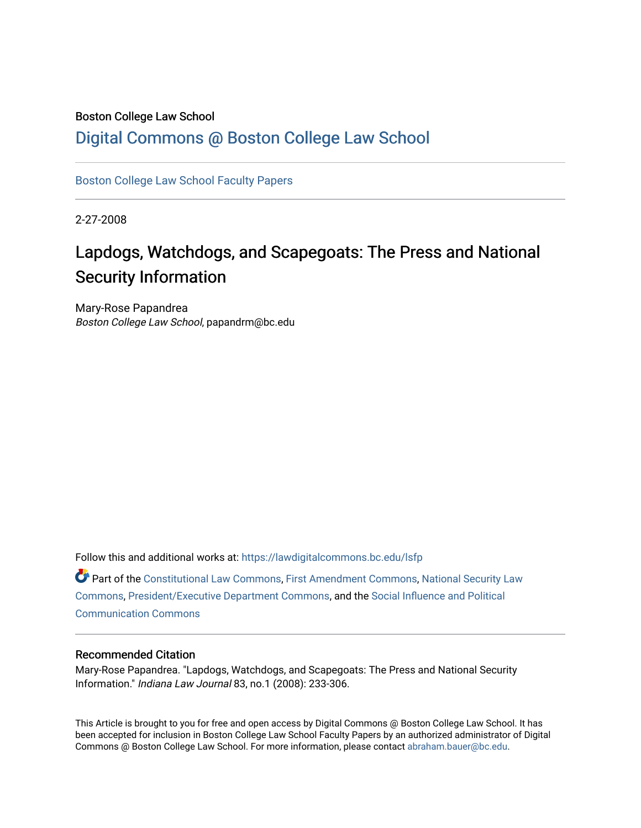## Boston College Law School

## [Digital Commons @ Boston College Law School](https://lawdigitalcommons.bc.edu/)

[Boston College Law School Faculty Papers](https://lawdigitalcommons.bc.edu/lsfp) 

2-27-2008

# Lapdogs, Watchdogs, and Scapegoats: The Press and National Security Information

Mary-Rose Papandrea Boston College Law School, papandrm@bc.edu

Follow this and additional works at: [https://lawdigitalcommons.bc.edu/lsfp](https://lawdigitalcommons.bc.edu/lsfp?utm_source=lawdigitalcommons.bc.edu%2Flsfp%2F201&utm_medium=PDF&utm_campaign=PDFCoverPages) 

Part of the [Constitutional Law Commons,](http://network.bepress.com/hgg/discipline/589?utm_source=lawdigitalcommons.bc.edu%2Flsfp%2F201&utm_medium=PDF&utm_campaign=PDFCoverPages) [First Amendment Commons,](http://network.bepress.com/hgg/discipline/1115?utm_source=lawdigitalcommons.bc.edu%2Flsfp%2F201&utm_medium=PDF&utm_campaign=PDFCoverPages) [National Security Law](http://network.bepress.com/hgg/discipline/1114?utm_source=lawdigitalcommons.bc.edu%2Flsfp%2F201&utm_medium=PDF&utm_campaign=PDFCoverPages) [Commons](http://network.bepress.com/hgg/discipline/1114?utm_source=lawdigitalcommons.bc.edu%2Flsfp%2F201&utm_medium=PDF&utm_campaign=PDFCoverPages), [President/Executive Department Commons,](http://network.bepress.com/hgg/discipline/1118?utm_source=lawdigitalcommons.bc.edu%2Flsfp%2F201&utm_medium=PDF&utm_campaign=PDFCoverPages) and the [Social Influence and Political](http://network.bepress.com/hgg/discipline/337?utm_source=lawdigitalcommons.bc.edu%2Flsfp%2F201&utm_medium=PDF&utm_campaign=PDFCoverPages)  [Communication Commons](http://network.bepress.com/hgg/discipline/337?utm_source=lawdigitalcommons.bc.edu%2Flsfp%2F201&utm_medium=PDF&utm_campaign=PDFCoverPages)

### Recommended Citation

Mary-Rose Papandrea. "Lapdogs, Watchdogs, and Scapegoats: The Press and National Security Information." Indiana Law Journal 83, no.1 (2008): 233-306.

This Article is brought to you for free and open access by Digital Commons @ Boston College Law School. It has been accepted for inclusion in Boston College Law School Faculty Papers by an authorized administrator of Digital Commons @ Boston College Law School. For more information, please contact [abraham.bauer@bc.edu.](mailto:abraham.bauer@bc.edu)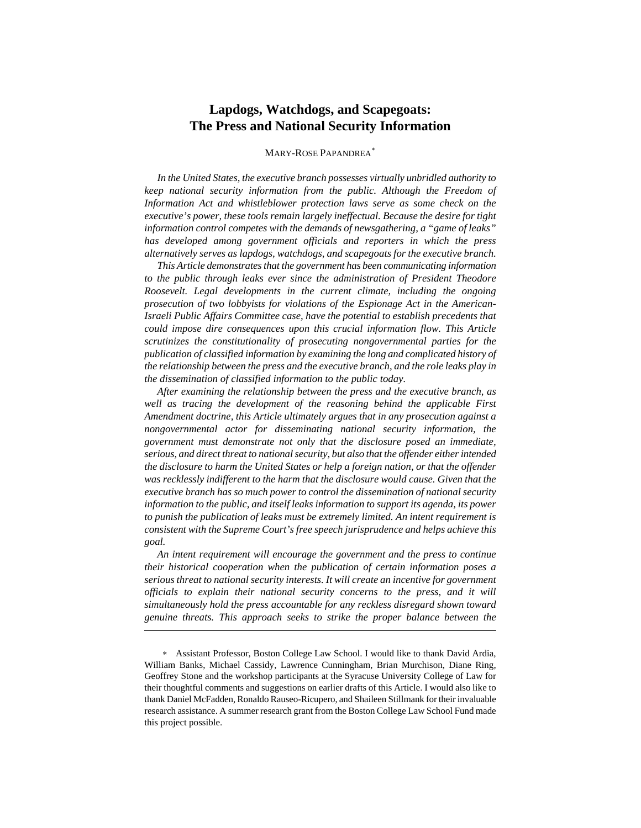## **Lapdogs, Watchdogs, and Scapegoats: The Press and National Security Information**

#### MARY-ROSE PAPANDREA[∗](#page-1-0)

*In the United States, the executive branch possesses virtually unbridled authority to keep national security information from the public. Although the Freedom of Information Act and whistleblower protection laws serve as some check on the executive's power, these tools remain largely ineffectual. Because the desire for tight information control competes with the demands of newsgathering, a "game of leaks" has developed among government officials and reporters in which the press alternatively serves as lapdogs, watchdogs, and scapegoats for the executive branch.* 

*This Article demonstrates that the government has been communicating information to the public through leaks ever since the administration of President Theodore Roosevelt. Legal developments in the current climate, including the ongoing prosecution of two lobbyists for violations of the Espionage Act in the American-Israeli Public Affairs Committee case, have the potential to establish precedents that could impose dire consequences upon this crucial information flow. This Article scrutinizes the constitutionality of prosecuting nongovernmental parties for the publication of classified information by examining the long and complicated history of the relationship between the press and the executive branch, and the role leaks play in the dissemination of classified information to the public today.* 

*After examining the relationship between the press and the executive branch, as well as tracing the development of the reasoning behind the applicable First Amendment doctrine, this Article ultimately argues that in any prosecution against a nongovernmental actor for disseminating national security information, the government must demonstrate not only that the disclosure posed an immediate, serious, and direct threat to national security, but also that the offender either intended the disclosure to harm the United States or help a foreign nation, or that the offender was recklessly indifferent to the harm that the disclosure would cause. Given that the executive branch has so much power to control the dissemination of national security information to the public, and itself leaks information to support its agenda, its power to punish the publication of leaks must be extremely limited. An intent requirement is consistent with the Supreme Court's free speech jurisprudence and helps achieve this goal.* 

*An intent requirement will encourage the government and the press to continue their historical cooperation when the publication of certain information poses a serious threat to national security interests. It will create an incentive for government officials to explain their national security concerns to the press, and it will simultaneously hold the press accountable for any reckless disregard shown toward genuine threats. This approach seeks to strike the proper balance between the* 

<span id="page-1-0"></span><sup>∗</sup> Assistant Professor, Boston College Law School. I would like to thank David Ardia, William Banks, Michael Cassidy, Lawrence Cunningham, Brian Murchison, Diane Ring, Geoffrey Stone and the workshop participants at the Syracuse University College of Law for their thoughtful comments and suggestions on earlier drafts of this Article. I would also like to thank Daniel McFadden, Ronaldo Rauseo-Ricupero, and Shaileen Stillmank for their invaluable research assistance. A summer research grant from the Boston College Law School Fund made this project possible.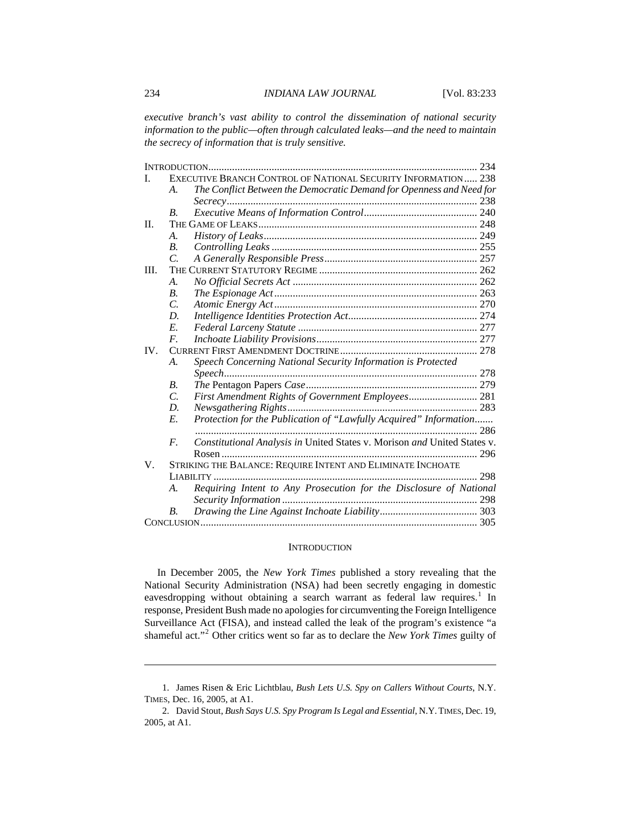#### <span id="page-2-0"></span>234 *INDIANA LAW JOURNAL* [Vol. 83:233

*executive branch's vast ability to control the dissemination of national security information to the public—often through calculated leaks—and the need to maintain the secrecy of information that is truly sensitive.* 

|                   | EXECUTIVE BRANCH CONTROL OF NATIONAL SECURITY INFORMATION 238 |                                                                          |     |
|-------------------|---------------------------------------------------------------|--------------------------------------------------------------------------|-----|
|                   | A.                                                            | The Conflict Between the Democratic Demand for Openness and Need for     |     |
|                   |                                                               |                                                                          |     |
|                   | <b>B.</b>                                                     |                                                                          |     |
| $\Pi$ .           |                                                               |                                                                          |     |
|                   | $\mathcal{A}_{\cdot}$                                         |                                                                          |     |
|                   | B <sub>1</sub>                                                |                                                                          |     |
|                   | $\overline{C}$                                                |                                                                          |     |
| III.              |                                                               |                                                                          |     |
|                   | A.                                                            |                                                                          |     |
|                   | B <sub>1</sub>                                                |                                                                          |     |
|                   | C.                                                            |                                                                          |     |
|                   | D.                                                            |                                                                          |     |
|                   | E.                                                            |                                                                          |     |
|                   | $F_{\cdot}$                                                   |                                                                          |     |
| $\mathbf{IV}_{-}$ |                                                               |                                                                          |     |
|                   | $\mathcal{A}_{\cdot}$                                         | Speech Concerning National Security Information is Protected             |     |
|                   |                                                               |                                                                          |     |
|                   | В.                                                            |                                                                          |     |
|                   | C.                                                            | First Amendment Rights of Government Employees 281                       |     |
|                   | D.                                                            |                                                                          |     |
|                   | E.                                                            | Protection for the Publication of "Lawfully Acquired" Information        |     |
|                   |                                                               |                                                                          | 286 |
|                   | $F_{\cdot}$                                                   | Constitutional Analysis in United States v. Morison and United States v. |     |
|                   |                                                               |                                                                          |     |
| V.                | STRIKING THE BALANCE: REQUIRE INTENT AND ELIMINATE INCHOATE   |                                                                          |     |
|                   | , 298                                                         |                                                                          |     |
|                   | А.                                                            | Requiring Intent to Any Prosecution for the Disclosure of National       |     |
|                   |                                                               |                                                                          |     |
|                   | В.                                                            |                                                                          |     |
|                   |                                                               |                                                                          |     |

#### **INTRODUCTION**

In December 2005, the *New York Times* published a story revealing that the National Security Administration (NSA) had been secretly engaging in domestic eavesdropping without obtaining a search warrant as federal law requires.<sup>[1](#page-2-1)</sup> In response, President Bush made no apologies for circumventing the Foreign Intelligence Surveillance Act (FISA), and instead called the leak of the program's existence "a shameful act."[2](#page-2-2) Other critics went so far as to declare the *New York Times* guilty of

<span id="page-2-1"></span><sup>1.</sup> James Risen & Eric Lichtblau, *Bush Lets U.S. Spy on Callers Without Courts*, N.Y. TIMES, Dec. 16, 2005, at A1.

<span id="page-2-2"></span><sup>2.</sup> David Stout, *Bush Says U.S. Spy Program Is Legal and Essential*, N.Y.TIMES, Dec. 19, 2005, at A1.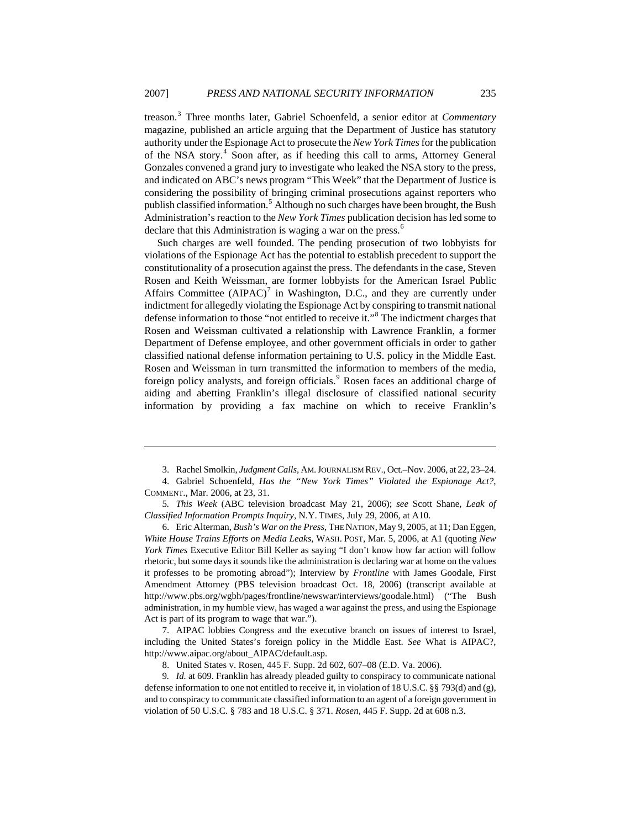treason.[3](#page-3-0) Three months later, Gabriel Schoenfeld, a senior editor at *Commentary* magazine, published an article arguing that the Department of Justice has statutory authority under the Espionage Act to prosecute the *New York Times* for the publication of the NSA story.<sup>[4](#page-3-1)</sup> Soon after, as if heeding this call to arms, Attorney General Gonzales convened a grand jury to investigate who leaked the NSA story to the press, and indicated on ABC's news program "This Week" that the Department of Justice is considering the possibility of bringing criminal prosecutions against reporters who publish classified information.<sup>[5](#page-3-2)</sup> Although no such charges have been brought, the Bush Administration's reaction to the *New York Times* publication decision has led some to declare that this Administration is waging a war on the press.<sup>[6](#page-3-3)</sup>

Such charges are well founded. The pending prosecution of two lobbyists for violations of the Espionage Act has the potential to establish precedent to support the constitutionality of a prosecution against the press. The defendants in the case, Steven Rosen and Keith Weissman, are former lobbyists for the American Israel Public Affairs Committee  $(AIPAC)^7$  $(AIPAC)^7$  in Washington, D.C., and they are currently under indictment for allegedly violating the Espionage Act by conspiring to transmit national defense information to those "not entitled to receive it."<sup>[8](#page-3-5)</sup> The indictment charges that Rosen and Weissman cultivated a relationship with Lawrence Franklin, a former Department of Defense employee, and other government officials in order to gather classified national defense information pertaining to U.S. policy in the Middle East. Rosen and Weissman in turn transmitted the information to members of the media, foreign policy analysts, and foreign officials.<sup>[9](#page-3-6)</sup> Rosen faces an additional charge of aiding and abetting Franklin's illegal disclosure of classified national security information by providing a fax machine on which to receive Franklin's

 $\overline{a}$ 

<span id="page-3-3"></span>6. Eric Alterman, *Bush's War on the Press*, THE NATION, May 9, 2005, at 11; Dan Eggen, *White House Trains Efforts on Media Leaks*, WASH. POST, Mar. 5, 2006, at A1 (quoting *New York Times* Executive Editor Bill Keller as saying "I don't know how far action will follow rhetoric, but some days it sounds like the administration is declaring war at home on the values it professes to be promoting abroad"); Interview by *Frontline* with James Goodale, First Amendment Attorney (PBS television broadcast Oct. 18, 2006) (transcript available at http://www.pbs.org/wgbh/pages/frontline/newswar/interviews/goodale.html) ("The Bush administration, in my humble view, has waged a war against the press, and using the Espionage Act is part of its program to wage that war.").

<span id="page-3-4"></span>7. AIPAC lobbies Congress and the executive branch on issues of interest to Israel, including the United States's foreign policy in the Middle East. *See* What is AIPAC?, http://www.aipac.org/about\_AIPAC/default.asp.

<sup>3.</sup> Rachel Smolkin, *Judgment Calls*, AM.JOURNALISM REV., Oct.–Nov. 2006, at 22, 23–24.

<span id="page-3-1"></span><span id="page-3-0"></span><sup>4.</sup> Gabriel Schoenfeld, *Has the "New York Times" Violated the Espionage Act?*, COMMENT., Mar. 2006, at 23, 31.

<span id="page-3-2"></span><sup>5</sup>*. This Week* (ABC television broadcast May 21, 2006); *see* Scott Shane, *Leak of Classified Information Prompts Inquiry*, N.Y. TIMES, July 29, 2006, at A10.

<sup>8.</sup> United States v. Rosen, 445 F. Supp. 2d 602, 607–08 (E.D. Va. 2006).

<span id="page-3-6"></span><span id="page-3-5"></span><sup>9</sup>*. Id.* at 609. Franklin has already pleaded guilty to conspiracy to communicate national defense information to one not entitled to receive it, in violation of 18 U.S.C. §§ 793(d) and (g), and to conspiracy to communicate classified information to an agent of a foreign government in violation of 50 U.S.C. § 783 and 18 U.S.C. § 371. *Rosen*, 445 F. Supp. 2d at 608 n.3.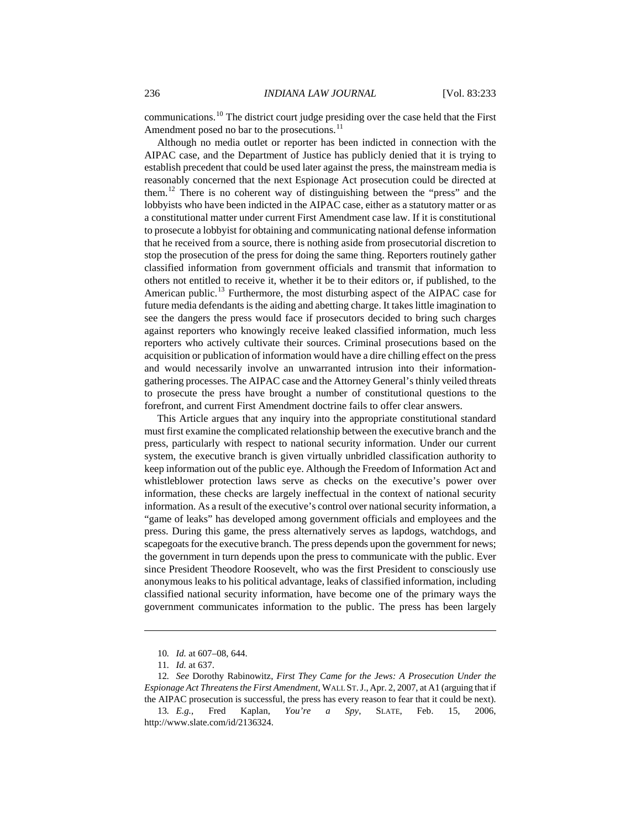communications.[10](#page-4-0) The district court judge presiding over the case held that the First Amendment posed no bar to the prosecutions.<sup>[11](#page-4-1)</sup>

Although no media outlet or reporter has been indicted in connection with the AIPAC case, and the Department of Justice has publicly denied that it is trying to establish precedent that could be used later against the press, the mainstream media is reasonably concerned that the next Espionage Act prosecution could be directed at them.[12](#page-4-2) There is no coherent way of distinguishing between the "press" and the lobbyists who have been indicted in the AIPAC case, either as a statutory matter or as a constitutional matter under current First Amendment case law. If it is constitutional to prosecute a lobbyist for obtaining and communicating national defense information that he received from a source, there is nothing aside from prosecutorial discretion to stop the prosecution of the press for doing the same thing. Reporters routinely gather classified information from government officials and transmit that information to others not entitled to receive it, whether it be to their editors or, if published, to the American public.<sup>[13](#page-4-3)</sup> Furthermore, the most disturbing aspect of the AIPAC case for future media defendants is the aiding and abetting charge. It takes little imagination to see the dangers the press would face if prosecutors decided to bring such charges against reporters who knowingly receive leaked classified information, much less reporters who actively cultivate their sources. Criminal prosecutions based on the acquisition or publication of information would have a dire chilling effect on the press and would necessarily involve an unwarranted intrusion into their informationgathering processes. The AIPAC case and the Attorney General's thinly veiled threats to prosecute the press have brought a number of constitutional questions to the forefront, and current First Amendment doctrine fails to offer clear answers.

This Article argues that any inquiry into the appropriate constitutional standard must first examine the complicated relationship between the executive branch and the press, particularly with respect to national security information. Under our current system, the executive branch is given virtually unbridled classification authority to keep information out of the public eye. Although the Freedom of Information Act and whistleblower protection laws serve as checks on the executive's power over information, these checks are largely ineffectual in the context of national security information. As a result of the executive's control over national security information, a "game of leaks" has developed among government officials and employees and the press. During this game, the press alternatively serves as lapdogs, watchdogs, and scapegoats for the executive branch. The press depends upon the government for news; the government in turn depends upon the press to communicate with the public. Ever since President Theodore Roosevelt, who was the first President to consciously use anonymous leaks to his political advantage, leaks of classified information, including classified national security information, have become one of the primary ways the government communicates information to the public. The press has been largely

<sup>10</sup>*. Id.* at 607–08, 644.

<sup>11</sup>*. Id.* at 637.

<span id="page-4-2"></span><span id="page-4-1"></span><span id="page-4-0"></span><sup>12</sup>*. See* Dorothy Rabinowitz, *First They Came for the Jews: A Prosecution Under the Espionage Act Threatens the First Amendment*, WALL ST.J., Apr. 2, 2007, at A1 (arguing that if the AIPAC prosecution is successful, the press has every reason to fear that it could be next).

<span id="page-4-3"></span><sup>13</sup>*. E.g.*, Fred Kaplan, *You're a Spy*, SLATE, Feb. 15, 2006, <http://www.slate.com/id/2136324>.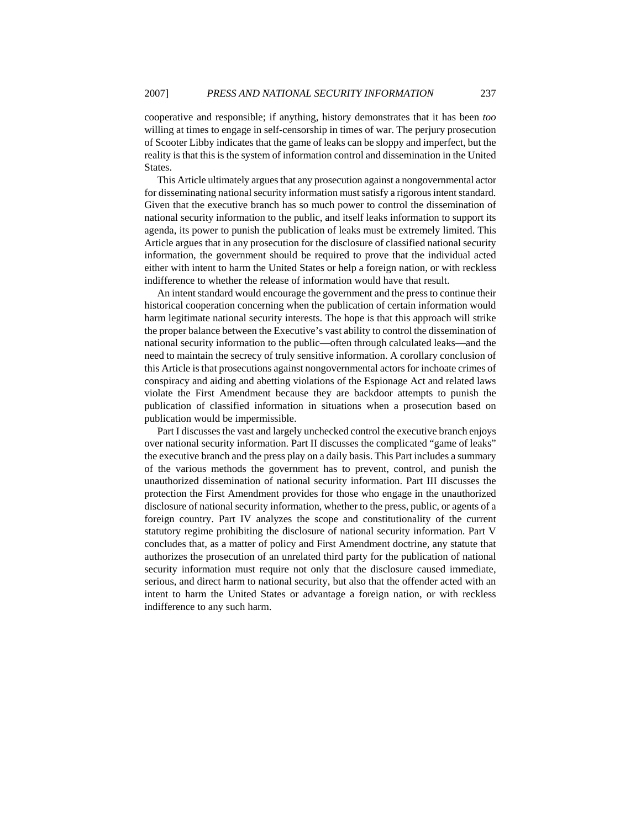cooperative and responsible; if anything, history demonstrates that it has been *too* willing at times to engage in self-censorship in times of war. The perjury prosecution of Scooter Libby indicates that the game of leaks can be sloppy and imperfect, but the reality is that this is the system of information control and dissemination in the United States.

This Article ultimately argues that any prosecution against a nongovernmental actor for disseminating national security information must satisfy a rigorous intent standard. Given that the executive branch has so much power to control the dissemination of national security information to the public, and itself leaks information to support its agenda, its power to punish the publication of leaks must be extremely limited. This Article argues that in any prosecution for the disclosure of classified national security information, the government should be required to prove that the individual acted either with intent to harm the United States or help a foreign nation, or with reckless indifference to whether the release of information would have that result.

An intent standard would encourage the government and the press to continue their historical cooperation concerning when the publication of certain information would harm legitimate national security interests. The hope is that this approach will strike the proper balance between the Executive's vast ability to control the dissemination of national security information to the public—often through calculated leaks—and the need to maintain the secrecy of truly sensitive information. A corollary conclusion of this Article is that prosecutions against nongovernmental actors for inchoate crimes of conspiracy and aiding and abetting violations of the Espionage Act and related laws violate the First Amendment because they are backdoor attempts to punish the publication of classified information in situations when a prosecution based on publication would be impermissible.

Part I discusses the vast and largely unchecked control the executive branch enjoys over national security information. Part II discusses the complicated "game of leaks" the executive branch and the press play on a daily basis. This Part includes a summary of the various methods the government has to prevent, control, and punish the unauthorized dissemination of national security information. Part III discusses the protection the First Amendment provides for those who engage in the unauthorized disclosure of national security information, whether to the press, public, or agents of a foreign country. Part IV analyzes the scope and constitutionality of the current statutory regime prohibiting the disclosure of national security information. Part V concludes that, as a matter of policy and First Amendment doctrine, any statute that authorizes the prosecution of an unrelated third party for the publication of national security information must require not only that the disclosure caused immediate, serious, and direct harm to national security, but also that the offender acted with an intent to harm the United States or advantage a foreign nation, or with reckless indifference to any such harm.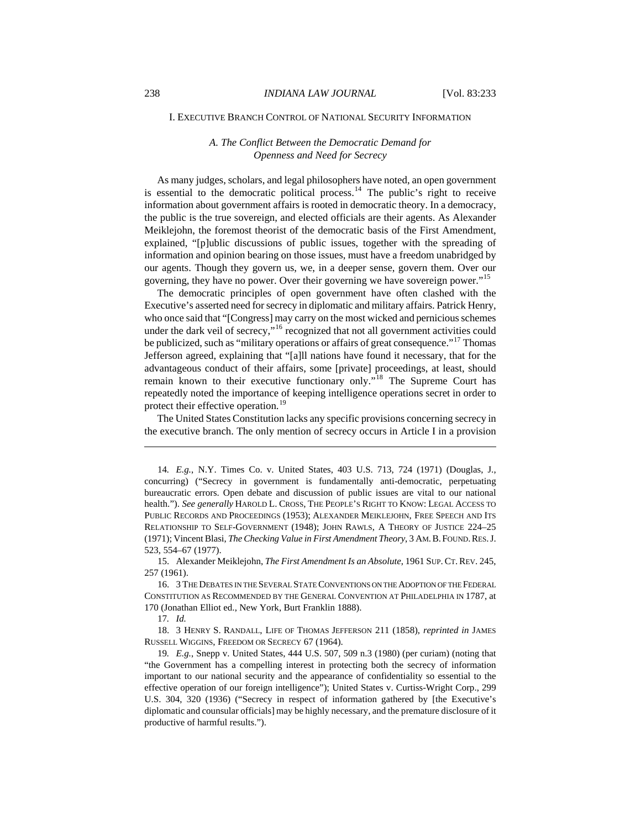#### <span id="page-6-0"></span>I. EXECUTIVE BRANCH CONTROL OF NATIONAL SECURITY INFORMATION

#### *A. The Conflict Between the Democratic Demand for Openness and Need for Secrecy*

As many judges, scholars, and legal philosophers have noted, an open government is essential to the democratic political process.<sup>[14](#page-6-1)</sup> The public's right to receive information about government affairs is rooted in democratic theory. In a democracy, the public is the true sovereign, and elected officials are their agents. As Alexander Meiklejohn, the foremost theorist of the democratic basis of the First Amendment, explained, "[p]ublic discussions of public issues, together with the spreading of information and opinion bearing on those issues, must have a freedom unabridged by our agents. Though they govern us, we, in a deeper sense, govern them. Over our governing, they have no power. Over their governing we have sovereign power."[15](#page-6-2)

The democratic principles of open government have often clashed with the Executive's asserted need for secrecy in diplomatic and military affairs. Patrick Henry, who once said that "[Congress] may carry on the most wicked and pernicious schemes under the dark veil of secrecy,"<sup>[16](#page-6-3)</sup> recognized that not all government activities could be publicized, such as "military operations or affairs of great consequence."<sup>[17](#page-6-4)</sup> Thomas Jefferson agreed, explaining that "[a]ll nations have found it necessary, that for the advantageous conduct of their affairs, some [private] proceedings, at least, should remain known to their executive functionary only."<sup>[18](#page-6-5)</sup> The Supreme Court has repeatedly noted the importance of keeping intelligence operations secret in order to protect their effective operation.<sup>[19](#page-6-6)</sup>

The United States Constitution lacks any specific provisions concerning secrecy in the executive branch. The only mention of secrecy occurs in Article I in a provision

<span id="page-6-2"></span>15. Alexander Meiklejohn, *The First Amendment Is an Absolute*, 1961 SUP.CT.REV. 245, 257 (1961).

<span id="page-6-3"></span>16. 3 THE DEBATES IN THE SEVERAL STATE CONVENTIONS ON THE ADOPTION OF THE FEDERAL CONSTITUTION AS RECOMMENDED BY THE GENERAL CONVENTION AT PHILADELPHIA IN 1787, at 170 (Jonathan Elliot ed., New York, Burt Franklin 1888).

 $\overline{a}$ 

<span id="page-6-5"></span><span id="page-6-4"></span>18. 3 HENRY S. RANDALL, LIFE OF THOMAS JEFFERSON 211 (1858), *reprinted in* JAMES RUSSELL WIGGINS, FREEDOM OR SECRECY 67 (1964).

<span id="page-6-6"></span>19*. E.g.*, Snepp v. United States, 444 U.S. 507, 509 n.3 (1980) (per curiam) (noting that "the Government has a compelling interest in protecting both the secrecy of information important to our national security and the appearance of confidentiality so essential to the effective operation of our foreign intelligence"); United States v. Curtiss-Wright Corp., 299 U.S. 304, 320 (1936) ("Secrecy in respect of information gathered by [the Executive's diplomatic and counsular officials] may be highly necessary, and the premature disclosure of it productive of harmful results.").

<span id="page-6-1"></span><sup>14</sup>*. E.g.*, N.Y. Times Co. v. United States, 403 U.S. 713, 724 (1971) (Douglas, J., concurring) ("Secrecy in government is fundamentally anti-democratic, perpetuating bureaucratic errors. Open debate and discussion of public issues are vital to our national health."). *See generally* HAROLD L. CROSS, THE PEOPLE'S RIGHT TO KNOW: LEGAL ACCESS TO PUBLIC RECORDS AND PROCEEDINGS (1953); ALEXANDER MEIKLEJOHN, FREE SPEECH AND ITS RELATIONSHIP TO SELF-GOVERNMENT (1948); JOHN RAWLS, A THEORY OF JUSTICE 224–25 (1971); Vincent Blasi, *The Checking Value in First Amendment Theory*, 3 AM.B.FOUND.RES.J. 523, 554–67 (1977).

<sup>17</sup>*. Id.*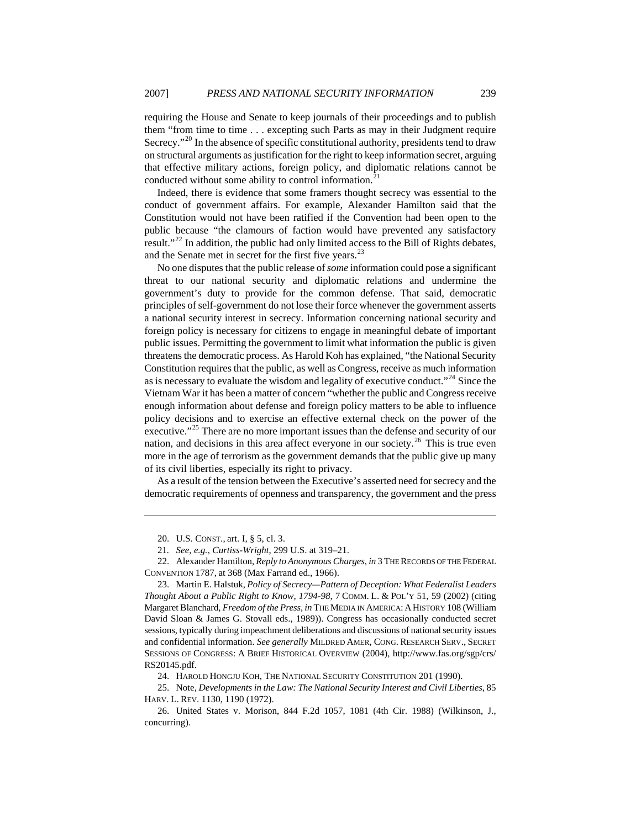requiring the House and Senate to keep journals of their proceedings and to publish them "from time to time . . . excepting such Parts as may in their Judgment require Secrecy."<sup>[20](#page-7-0)</sup> In the absence of specific constitutional authority, presidents tend to draw on structural arguments as justification for the right to keep information secret, arguing that effective military actions, foreign policy, and diplomatic relations cannot be conducted without some ability to control information.<sup>[21](#page-7-1)</sup>

Indeed, there is evidence that some framers thought secrecy was essential to the conduct of government affairs. For example, Alexander Hamilton said that the Constitution would not have been ratified if the Convention had been open to the public because "the clamours of faction would have prevented any satisfactory result."<sup>[22](#page-7-2)</sup> In addition, the public had only limited access to the Bill of Rights debates, and the Senate met in secret for the first five years.<sup>[23](#page-7-3)</sup>

No one disputes that the public release of *some* information could pose a significant threat to our national security and diplomatic relations and undermine the government's duty to provide for the common defense. That said, democratic principles of self-government do not lose their force whenever the government asserts a national security interest in secrecy. Information concerning national security and foreign policy is necessary for citizens to engage in meaningful debate of important public issues. Permitting the government to limit what information the public is given threatens the democratic process. As Harold Koh has explained, "the National Security Constitution requires that the public, as well as Congress, receive as much information as is necessary to evaluate the wisdom and legality of executive conduct.<sup> $24$ </sup> Since the Vietnam War it has been a matter of concern "whether the public and Congress receive enough information about defense and foreign policy matters to be able to influence policy decisions and to exercise an effective external check on the power of the executive."<sup>[25](#page-7-5)</sup> There are no more important issues than the defense and security of our nation, and decisions in this area affect everyone in our society.<sup>[26](#page-7-6)</sup> This is true even more in the age of terrorism as the government demands that the public give up many of its civil liberties, especially its right to privacy.

As a result of the tension between the Executive's asserted need for secrecy and the democratic requirements of openness and transparency, the government and the press

 $\overline{a}$ 

24. HAROLD HONGJU KOH, THE NATIONAL SECURITY CONSTITUTION 201 (1990).

<span id="page-7-5"></span><span id="page-7-4"></span>25. Note, *Developments in the Law: The National Security Interest and Civil Liberties*, 85 HARV. L. REV. 1130, 1190 (1972).

<sup>20.</sup> U.S. CONST., art. I, § 5, cl. 3.

<sup>21</sup>*. See, e.g.*, *Curtiss-Wright*, 299 U.S. at 319–21.

<span id="page-7-2"></span><span id="page-7-1"></span><span id="page-7-0"></span><sup>22.</sup> Alexander Hamilton, *Reply to Anonymous Charges*, *in* 3 THE RECORDS OF THE FEDERAL CONVENTION 1787, at 368 (Max Farrand ed., 1966).

<span id="page-7-3"></span><sup>23.</sup> Martin E. Halstuk, *Policy of Secrecy—Pattern of Deception: What Federalist Leaders Thought About a Public Right to Know, 1794-98*, 7 COMM. L. & POL'Y 51, 59 (2002) (citing Margaret Blanchard, *Freedom of the Press*, *in* THE MEDIA IN AMERICA: A HISTORY 108 (William David Sloan & James G. Stovall eds., 1989)). Congress has occasionally conducted secret sessions, typically during impeachment deliberations and discussions of national security issues and confidential information. *See generally* MILDRED AMER, CONG. RESEARCH SERV., SECRET SESSIONS OF CONGRESS: A BRIEF HISTORICAL OVERVIEW (2004), <http://www.fas.org/sgp/crs/> RS20145.pdf.

<span id="page-7-6"></span><sup>26.</sup> United States v. Morison, 844 F.2d 1057, 1081 (4th Cir. 1988) (Wilkinson, J., concurring).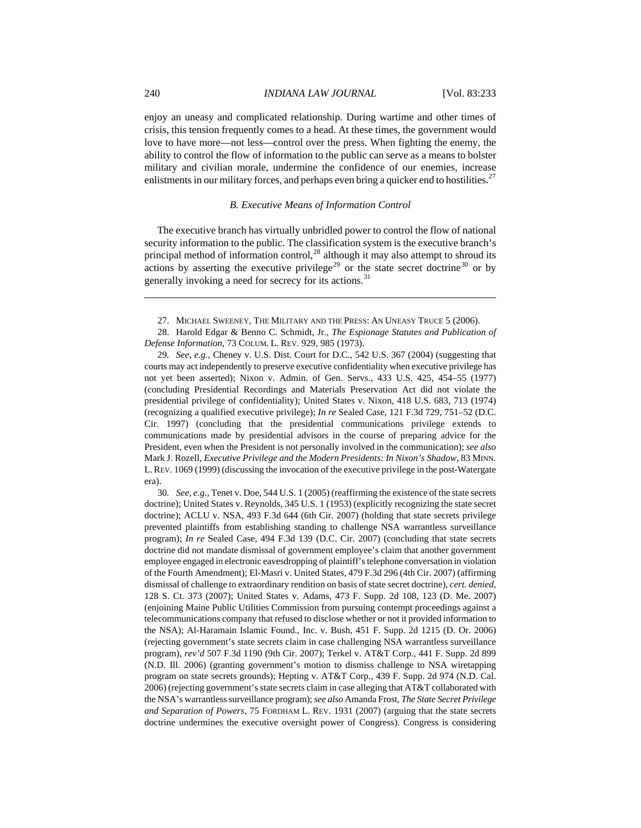<span id="page-8-0"></span>enjoy an uneasy and complicated relationship. During wartime and other times of crisis, this tension frequently comes to a head. At these times, the government would love to have more—not less—control over the press. When fighting the enemy, the ability to control the flow of information to the public can serve as a means to bolster military and civilian morale, undermine the confidence of our enemies, increase enlistments in our military forces, and perhaps even bring a quicker end to hostilities.<sup>[27](#page-8-1)</sup>

#### *B. Executive Means of Information Control*

The executive branch has virtually unbridled power to control the flow of national security information to the public. The classification system is the executive branch's principal method of information control, $^{28}$  $^{28}$  $^{28}$  although it may also attempt to shroud its actions by asserting the executive privilege<sup>[29](#page-8-3)</sup> or the state secret doctrine<sup>[30](#page-8-4)</sup> or by generally invoking a need for secrecy for its actions.<sup>[31](#page-8-5)</sup>

27. MICHAEL SWEENEY, THE MILITARY AND THE PRESS: AN UNEASY TRUCE 5 (2006).

<span id="page-8-2"></span><span id="page-8-1"></span>28. Harold Edgar & Benno C. Schmidt, Jr., *The Espionage Statutes and Publication of Defense Information*, 73 COLUM. L. REV. 929, 985 (1973).

<span id="page-8-5"></span><span id="page-8-3"></span>29*. See, e.g.*, Cheney v. U.S. Dist. Court for D.C., 542 U.S. 367 (2004) (suggesting that courts may act independently to preserve executive confidentiality when executive privilege has not yet been asserted); Nixon v. Admin. of Gen. Servs., 433 U.S. 425, 454–55 (1977) (concluding Presidential Recordings and Materials Preservation Act did not violate the presidential privilege of confidentiality); United States v. Nixon, 418 U.S. 683, 713 (1974) (recognizing a qualified executive privilege); *In re* Sealed Case, 121 F.3d 729, 751–52 (D.C. Cir. 1997) (concluding that the presidential communications privilege extends to communications made by presidential advisors in the course of preparing advice for the President, even when the President is not personally involved in the communication); *see also* Mark J. Rozell, *Executive Privilege and the Modern Presidents: In Nixon's Shadow*, 83 MINN. L.REV. 1069 (1999) (discussing the invocation of the executive privilege in the post-Watergate era).

<span id="page-8-4"></span>30*. See, e.g.*, Tenet v. Doe, 544 U.S. 1 (2005) (reaffirming the existence of the state secrets doctrine); United States v. Reynolds, 345 U.S. 1 (1953) (explicitly recognizing the state secret doctrine); ACLU v. NSA, 493 F.3d 644 (6th Cir. 2007) (holding that state secrets privilege prevented plaintiffs from establishing standing to challenge NSA warrantless surveillance program); *In re* Sealed Case, 494 F.3d 139 (D.C. Cir. 2007) (concluding that state secrets doctrine did not mandate dismissal of government employee's claim that another government employee engaged in electronic eavesdropping of plaintiff's telephone conversation in violation of the Fourth Amendment); El-Masri v. United States, 479 F.3d 296 (4th Cir. 2007) (affirming dismissal of challenge to extraordinary rendition on basis of state secret doctrine), *cert. denied*, 128 S. Ct. 373 (2007); United States v. Adams, 473 F. Supp. 2d 108, 123 (D. Me. 2007) (enjoining Maine Public Utilities Commission from pursuing contempt proceedings against a telecommunications company that refused to disclose whether or not it provided information to the NSA); Al-Haramain Islamic Found., Inc. v. Bush, 451 F. Supp. 2d 1215 (D. Or. 2006) (rejecting government's state secrets claim in case challenging NSA warrantless surveillance program), *rev'd* 507 F.3d 1190 (9th Cir. 2007); Terkel v. AT&T Corp., 441 F. Supp. 2d 899 (N.D. Ill. 2006) (granting government's motion to dismiss challenge to NSA wiretapping program on state secrets grounds); Hepting v. AT&T Corp., 439 F. Supp. 2d 974 (N.D. Cal. 2006) (rejecting government's state secrets claim in case alleging that AT&T collaborated with the NSA's warrantless surveillance program); *see also* Amanda Frost, *The State Secret Privilege and Separation of Powers*, 75 FORDHAM L. REV. 1931 (2007) (arguing that the state secrets doctrine undermines the executive oversight power of Congress). Congress is considering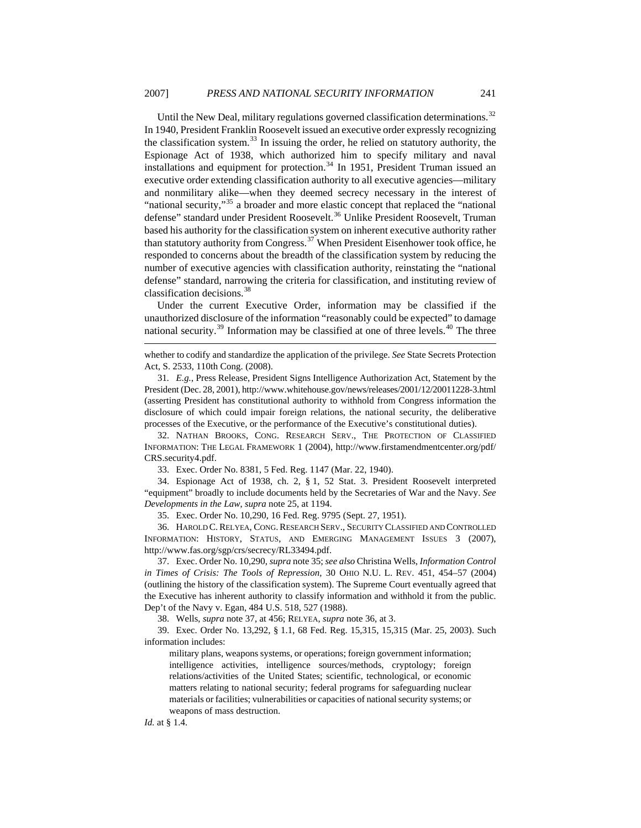Until the New Deal, military regulations governed classification determinations.<sup>[32](#page-9-0)</sup> In 1940, President Franklin Roosevelt issued an executive order expressly recognizing the classification system. $^{33}$  $^{33}$  $^{33}$  In issuing the order, he relied on statutory authority, the Espionage Act of 1938, which authorized him to specify military and naval installations and equipment for protection.<sup>[34](#page-9-2)</sup> In 1951, President Truman issued an executive order extending classification authority to all executive agencies—military and nonmilitary alike—when they deemed secrecy necessary in the interest of "national security,"<sup>[35](#page-9-3)</sup> a broader and more elastic concept that replaced the "national defense" standard under President Roosevelt.<sup>[36](#page-9-4)</sup> Unlike President Roosevelt, Truman based his authority for the classification system on inherent executive authority rather than statutory authority from Congress.[37](#page-9-5) When President Eisenhower took office, he responded to concerns about the breadth of the classification system by reducing the number of executive agencies with classification authority, reinstating the "national defense" standard, narrowing the criteria for classification, and instituting review of classification decisions.[38](#page-9-6)

Under the current Executive Order, information may be classified if the unauthorized disclosure of the information "reasonably could be expected" to damage national security. $39$  Information may be classified at one of three levels. $40$  The three

<span id="page-9-0"></span>32. NATHAN BROOKS, CONG. RESEARCH SERV., THE PROTECTION OF CLASSIFIED INFORMATION: THE LEGAL FRAMEWORK 1 (2004), <http://www.firstamendmentcenter.org/pdf/> CRS.security4.pdf.

33. Exec. Order No. 8381, 5 Fed. Reg. 1147 (Mar. 22, 1940).

<span id="page-9-2"></span><span id="page-9-1"></span>34. Espionage Act of 1938, ch. 2, § 1, 52 Stat. 3. President Roosevelt interpreted "equipment" broadly to include documents held by the Secretaries of War and the Navy. *See Developments in the Law*, *supra* note 25, at 1194.

35. Exec. Order No. 10,290, 16 Fed. Reg. 9795 (Sept. 27, 1951).

<span id="page-9-4"></span><span id="page-9-3"></span>36. HAROLD C.RELYEA, CONG.RESEARCH SERV., SECURITY CLASSIFIED AND CONTROLLED INFORMATION: HISTORY, STATUS, AND EMERGING MANAGEMENT ISSUES 3 (2007), http://www.fas.org/sgp/crs/secrecy/RL33494.pdf.

<span id="page-9-5"></span>37. Exec. Order No. 10,290, *supra* note 35; *see also* Christina Wells, *Information Control in Times of Crisis: The Tools of Repression*, 30 OHIO N.U. L. REV. 451, 454–57 (2004) (outlining the history of the classification system). The Supreme Court eventually agreed that the Executive has inherent authority to classify information and withhold it from the public. Dep't of the Navy v. Egan, 484 U.S. 518, 527 (1988).

38. Wells, *supra* note 37, at 456; RELYEA, *supra* note 36, at 3.

<span id="page-9-7"></span><span id="page-9-6"></span>39. Exec. Order No. 13,292, § 1.1, 68 Fed. Reg. 15,315, 15,315 (Mar. 25, 2003). Such information includes:

military plans, weapons systems, or operations; foreign government information; intelligence activities, intelligence sources/methods, cryptology; foreign relations/activities of the United States; scientific, technological, or economic matters relating to national security; federal programs for safeguarding nuclear materials or facilities; vulnerabilities or capacities of national security systems; or weapons of mass destruction.

*Id.* at § 1.4.

whether to codify and standardize the application of the privilege. *See* State Secrets Protection Act, S. 2533, 110th Cong. (2008).

<sup>31</sup>*. E.g.*, Press Release, President Signs Intelligence Authorization Act, Statement by the President (Dec. 28, 2001), http://www.whitehouse.gov/news/releases/2001/12/20011228-3.html (asserting President has constitutional authority to withhold from Congress information the disclosure of which could impair foreign relations, the national security, the deliberative processes of the Executive, or the performance of the Executive's constitutional duties).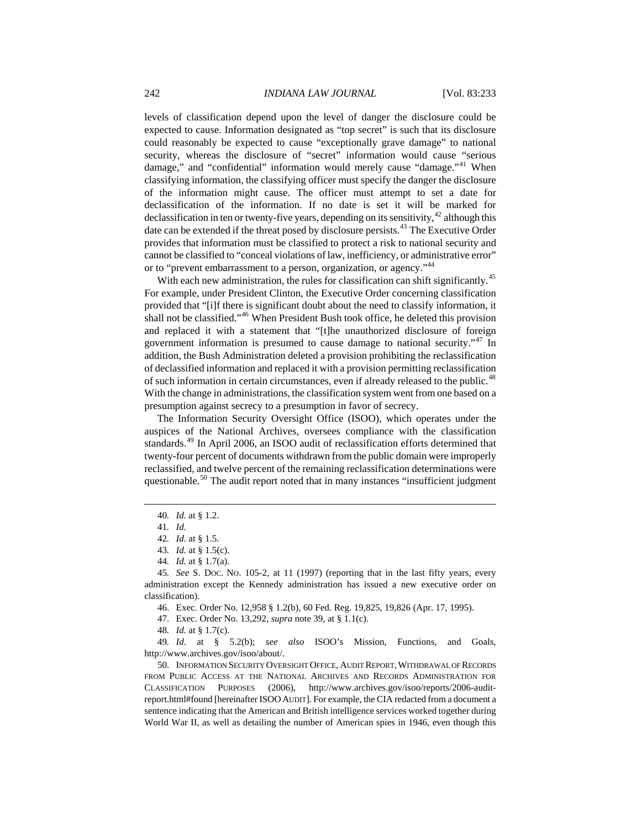levels of classification depend upon the level of danger the disclosure could be expected to cause. Information designated as "top secret" is such that its disclosure could reasonably be expected to cause "exceptionally grave damage" to national security, whereas the disclosure of "secret" information would cause "serious damage," and "confidential" information would merely cause "damage."<sup>[41](#page-10-0)</sup> When classifying information, the classifying officer must specify the danger the disclosure of the information might cause. The officer must attempt to set a date for declassification of the information. If no date is set it will be marked for declassification in ten or twenty-five years, depending on its sensitivity,  $42$  although this date can be extended if the threat posed by disclosure persists.<sup>[43](#page-10-2)</sup> The Executive Order provides that information must be classified to protect a risk to national security and cannot be classified to "conceal violations of law, inefficiency, or administrative error" or to "prevent embarrassment to a person, organization, or agency."<sup>[44](#page-10-3)</sup>

With each new administration, the rules for classification can shift significantly.<sup>[45](#page-10-4)</sup> For example, under President Clinton, the Executive Order concerning classification provided that "[i]f there is significant doubt about the need to classify information, it shall not be classified."[46](#page-10-5) When President Bush took office, he deleted this provision and replaced it with a statement that "[t]he unauthorized disclosure of foreign government information is presumed to cause damage to national security."[47](#page-10-6) In addition, the Bush Administration deleted a provision prohibiting the reclassification of declassified information and replaced it with a provision permitting reclassification of such information in certain circumstances, even if already released to the public.<sup>[48](#page-10-7)</sup> With the change in administrations, the classification system went from one based on a presumption against secrecy to a presumption in favor of secrecy.

The Information Security Oversight Office (ISOO), which operates under the auspices of the National Archives, oversees compliance with the classification standards.[49](#page-10-8) In April 2006, an ISOO audit of reclassification efforts determined that twenty-four percent of documents withdrawn from the public domain were improperly reclassified, and twelve percent of the remaining reclassification determinations were questionable. $50$  The audit report noted that in many instances "insufficient judgment

<span id="page-10-0"></span> $\overline{a}$ 

46. Exec. Order No. 12,958 § 1.2(b), 60 Fed. Reg. 19,825, 19,826 (Apr. 17, 1995).

47. Exec. Order No. 13,292, *supra* note 39, at § 1.1(c).

48*. Id.* at § 1.7(c).

<span id="page-10-8"></span><span id="page-10-7"></span><span id="page-10-6"></span>49*. Id.* at § 5.2(b); *see also* ISOO's Mission, Functions, and Goals, [http://www.archives.gov/isoo/about/.](http://www.archives.gov/isoo/about/)

<span id="page-10-9"></span>50. INFORMATION SECURITY OVERSIGHT OFFICE, AUDIT REPORT,WITHDRAWAL OF RECORDS FROM PUBLIC ACCESS AT THE NATIONAL ARCHIVES AND RECORDS ADMINISTRATION FOR CLASSIFICATION PURPOSES (2006), [http://www.archives.gov/isoo/reports/2006-audit](http://www.archives.gov/isoo/reports/2006-audit-report.html#found)[report.html#found](http://www.archives.gov/isoo/reports/2006-audit-report.html#found) [hereinafter ISOOAUDIT]. For example, the CIA redacted from a document a sentence indicating that the American and British intelligence services worked together during World War II, as well as detailing the number of American spies in 1946, even though this

<sup>40</sup>*. Id.* at § 1.2.

<sup>41</sup>*. Id.*

<sup>42</sup>*. Id.* at § 1.5.

<sup>43</sup>*. Id.* at § 1.5(c).

<sup>44</sup>*. Id.* at § 1.7(a).

<span id="page-10-5"></span><span id="page-10-4"></span><span id="page-10-3"></span><span id="page-10-2"></span><span id="page-10-1"></span><sup>45</sup>*. See* S. DOC. NO. 105-2, at 11 (1997) (reporting that in the last fifty years, every administration except the Kennedy administration has issued a new executive order on classification).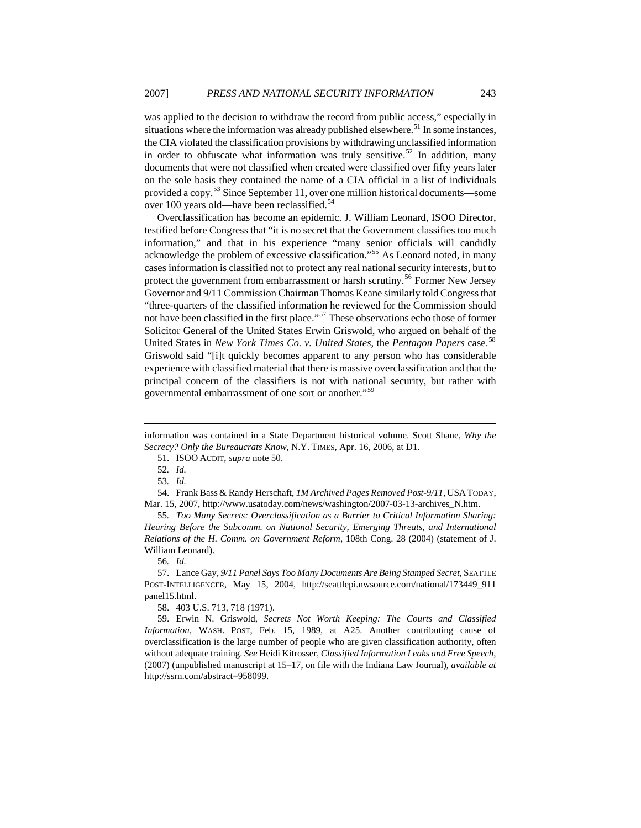was applied to the decision to withdraw the record from public access," especially in situations where the information was already published elsewhere.<sup>[51](#page-11-0)</sup> In some instances, the CIA violated the classification provisions by withdrawing unclassified information in order to obfuscate what information was truly sensitive.<sup>[52](#page-11-1)</sup> In addition, many documents that were not classified when created were classified over fifty years later on the sole basis they contained the name of a CIA official in a list of individuals provided a copy.[53](#page-11-2) Since September 11, over one million historical documents—some over 100 years old—have been reclassified.<sup>[54](#page-11-3)</sup>

Overclassification has become an epidemic. J. William Leonard, ISOO Director, testified before Congress that "it is no secret that the Government classifies too much information," and that in his experience "many senior officials will candidly acknowledge the problem of excessive classification."[55](#page-11-4) As Leonard noted, in many cases information is classified not to protect any real national security interests, but to protect the government from embarrassment or harsh scrutiny.<sup>[56](#page-11-5)</sup> Former New Jersey Governor and 9/11 Commission Chairman Thomas Keane similarly told Congress that "three-quarters of the classified information he reviewed for the Commission should not have been classified in the first place."<sup>[57](#page-11-6)</sup> These observations echo those of former Solicitor General of the United States Erwin Griswold, who argued on behalf of the United States in *New York Times Co. v. United States*, the *Pentagon Papers* case.<sup>[58](#page-11-7)</sup> Griswold said "[i]t quickly becomes apparent to any person who has considerable experience with classified material that there is massive overclassification and that the principal concern of the classifiers is not with national security, but rather with governmental embarrassment of one sort or another."[59](#page-11-8)

 $\overline{a}$ 

<span id="page-11-3"></span><span id="page-11-2"></span><span id="page-11-1"></span>54. Frank Bass & Randy Herschaft, *1M Archived Pages Removed Post-9/11*, USATODAY, Mar. 15, 2007, http://www.usatoday.com/news/washington/2007-03-13-archives\_N.htm.

<span id="page-11-4"></span>55*. Too Many Secrets: Overclassification as a Barrier to Critical Information Sharing: Hearing Before the Subcomm. on National Security, Emerging Threats, and International Relations of the H. Comm. on Government Reform*, 108th Cong. 28 (2004) (statement of J. William Leonard).

56*. Id.*

<span id="page-11-6"></span><span id="page-11-5"></span>57. Lance Gay, *9/11 Panel Says Too Many Documents Are Being Stamped Secret*, SEATTLE POST-INTELLIGENCER, May 15, 2004, [http://seattlepi.nwsource.com/national/173449\\_911](http://seattlepi.nwsource.com/national/173449_911) panel15.html.

58. 403 U.S. 713, 718 (1971).

<span id="page-11-8"></span><span id="page-11-7"></span>59. Erwin N. Griswold, *Secrets Not Worth Keeping: The Courts and Classified Information*, WASH. POST, Feb. 15, 1989, at A25. Another contributing cause of overclassification is the large number of people who are given classification authority, often without adequate training. *See* Heidi Kitrosser, *Classified Information Leaks and Free Speech*, (2007) (unpublished manuscript at 15–17, on file with the Indiana Law Journal), *available at* http://ssrn.com/abstract=958099.

<span id="page-11-0"></span>information was contained in a State Department historical volume. Scott Shane, *Why the Secrecy? Only the Bureaucrats Know*, N.Y. TIMES, Apr. 16, 2006, at D1.

<sup>51.</sup> ISOO AUDIT, *supra* note 50.

<sup>52</sup>*. Id.*

<sup>53</sup>*. Id.*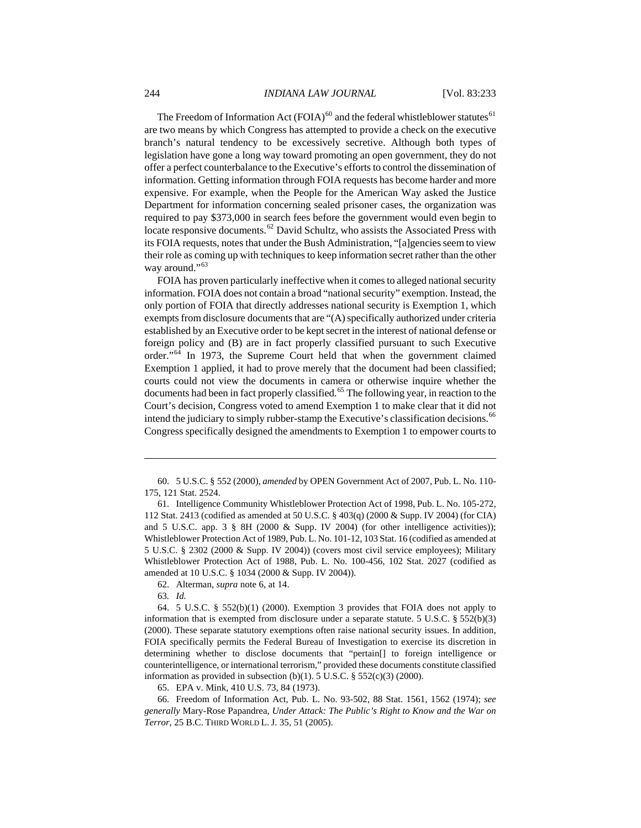The Freedom of Information Act  $(FOIA)^{60}$  $(FOIA)^{60}$  $(FOIA)^{60}$  and the federal whistleblower statutes<sup>[61](#page-12-1)</sup> are two means by which Congress has attempted to provide a check on the executive branch's natural tendency to be excessively secretive. Although both types of legislation have gone a long way toward promoting an open government, they do not offer a perfect counterbalance to the Executive's efforts to control the dissemination of information. Getting information through FOIA requests has become harder and more expensive. For example, when the People for the American Way asked the Justice Department for information concerning sealed prisoner cases, the organization was required to pay \$373,000 in search fees before the government would even begin to locate responsive documents.<sup>[62](#page-12-2)</sup> David Schultz, who assists the Associated Press with its FOIA requests, notes that under the Bush Administration, "[a]gencies seem to view their role as coming up with techniques to keep information secret rather than the other way around."<sup>[63](#page-12-3)</sup>

FOIA has proven particularly ineffective when it comes to alleged national security information. FOIA does not contain a broad "national security" exemption. Instead, the only portion of FOIA that directly addresses national security is Exemption 1, which exempts from disclosure documents that are "(A) specifically authorized under criteria established by an Executive order to be kept secret in the interest of national defense or foreign policy and (B) are in fact properly classified pursuant to such Executive order."[64](#page-12-4) In 1973, the Supreme Court held that when the government claimed Exemption 1 applied, it had to prove merely that the document had been classified; courts could not view the documents in camera or otherwise inquire whether the documents had been in fact properly classified.<sup>[65](#page-12-5)</sup> The following year, in reaction to the Court's decision, Congress voted to amend Exemption 1 to make clear that it did not intend the judiciary to simply rubber-stamp the Executive's classification decisions.<sup>[66](#page-12-6)</sup> Congress specifically designed the amendments to Exemption 1 to empower courts to

62. Alterman, *supra* note 6, at 14.

63*. Id.*

 $\overline{a}$ 

65. EPA v. Mink, 410 U.S. 73, 84 (1973).

<span id="page-12-6"></span><span id="page-12-5"></span>66. Freedom of Information Act, Pub. L. No. 93-502, 88 Stat. 1561, 1562 (1974); *see generally* Mary-Rose Papandrea, *Under Attack: The Public's Right to Know and the War on Terror*, 25 B.C. THIRD WORLD L. J. 35, 51 (2005).

<span id="page-12-0"></span><sup>60. 5</sup> U.S.C. § 552 (2000), *amended* by OPEN Government Act of 2007, Pub. L. No. 110- 175, 121 Stat. 2524.

<span id="page-12-1"></span><sup>61.</sup> Intelligence Community Whistleblower Protection Act of 1998, Pub. L. No. 105-272, 112 Stat. 2413 (codified as amended at 50 U.S.C. § 403(q) (2000 & Supp. IV 2004) (for CIA) and 5 U.S.C. app. 3 § 8H (2000 & Supp. IV 2004) (for other intelligence activities)); Whistleblower Protection Act of 1989, Pub. L. No. 101-12, 103 Stat. 16 (codified as amended at 5 U.S.C. § 2302 (2000 & Supp. IV 2004)) (covers most civil service employees); Military Whistleblower Protection Act of 1988, Pub. L. No. 100-456, 102 Stat. 2027 (codified as amended at 10 U.S.C. § 1034 (2000 & Supp. IV 2004)).

<span id="page-12-4"></span><span id="page-12-3"></span><span id="page-12-2"></span><sup>64. 5</sup> U.S.C. § 552(b)(1) (2000). Exemption 3 provides that FOIA does not apply to information that is exempted from disclosure under a separate statute. 5 U.S.C.  $\S 552(b)(3)$ (2000). These separate statutory exemptions often raise national security issues. In addition, FOIA specifically permits the Federal Bureau of Investigation to exercise its discretion in determining whether to disclose documents that "pertain[] to foreign intelligence or counterintelligence, or international terrorism," provided these documents constitute classified information as provided in subsection (b)(1). 5 U.S.C.  $\S$  552(c)(3) (2000).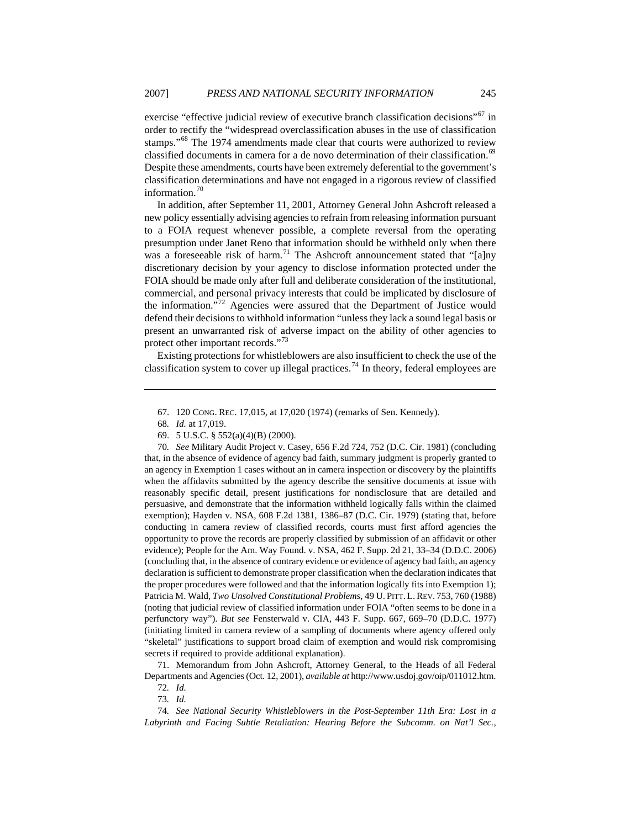exercise "effective judicial review of executive branch classification decisions"<sup>[67](#page-13-0)</sup> in order to rectify the "widespread overclassification abuses in the use of classification stamps."<sup>[68](#page-13-1)</sup> The 1974 amendments made clear that courts were authorized to review classified documents in camera for a de novo determination of their classification.<sup>[69](#page-13-2)</sup> Despite these amendments, courts have been extremely deferential to the government's classification determinations and have not engaged in a rigorous review of classified information.<sup>[70](#page-13-3)</sup>

In addition, after September 11, 2001, Attorney General John Ashcroft released a new policy essentially advising agencies to refrain from releasing information pursuant to a FOIA request whenever possible, a complete reversal from the operating presumption under Janet Reno that information should be withheld only when there was a foreseeable risk of harm.<sup>[71](#page-13-4)</sup> The Ashcroft announcement stated that "[a]ny discretionary decision by your agency to disclose information protected under the FOIA should be made only after full and deliberate consideration of the institutional, commercial, and personal privacy interests that could be implicated by disclosure of the information."<sup>[72](#page-13-5)</sup> Agencies were assured that the Department of Justice would defend their decisions to withhold information "unless they lack a sound legal basis or present an unwarranted risk of adverse impact on the ability of other agencies to protect other important records."<sup>[73](#page-13-6)</sup>

Existing protections for whistleblowers are also insufficient to check the use of the classification system to cover up illegal practices.<sup>[74](#page-13-7)</sup> In theory, federal employees are

<span id="page-13-0"></span> $\overline{a}$ 

<span id="page-13-3"></span><span id="page-13-2"></span><span id="page-13-1"></span>70*. See* Military Audit Project v. Casey, 656 F.2d 724, 752 (D.C. Cir. 1981) (concluding that, in the absence of evidence of agency bad faith, summary judgment is properly granted to an agency in Exemption 1 cases without an in camera inspection or discovery by the plaintiffs when the affidavits submitted by the agency describe the sensitive documents at issue with reasonably specific detail, present justifications for nondisclosure that are detailed and persuasive, and demonstrate that the information withheld logically falls within the claimed exemption); Hayden v. NSA, 608 F.2d 1381, 1386–87 (D.C. Cir. 1979) (stating that, before conducting in camera review of classified records, courts must first afford agencies the opportunity to prove the records are properly classified by submission of an affidavit or other evidence); People for the Am. Way Found. v. NSA, 462 F. Supp. 2d 21, 33–34 (D.D.C. 2006) (concluding that, in the absence of contrary evidence or evidence of agency bad faith, an agency declaration is sufficient to demonstrate proper classification when the declaration indicates that the proper procedures were followed and that the information logically fits into Exemption 1); Patricia M. Wald, *Two Unsolved Constitutional Problems*, 49 U. PITT. L.REV. 753, 760 (1988) (noting that judicial review of classified information under FOIA "often seems to be done in a perfunctory way"). *But see* Fensterwald v. CIA, 443 F. Supp. 667, 669–70 (D.D.C. 1977) (initiating limited in camera review of a sampling of documents where agency offered only "skeletal" justifications to support broad claim of exemption and would risk compromising secrets if required to provide additional explanation).

<span id="page-13-5"></span><span id="page-13-4"></span>71. Memorandum from John Ashcroft, Attorney General, to the Heads of all Federal Departments and Agencies (Oct. 12, 2001), *available at* http://www.usdoj.gov/oip/011012.htm.

72*. Id.* 73*. Id.*

<span id="page-13-7"></span><span id="page-13-6"></span>74*. See National Security Whistleblowers in the Post-September 11th Era: Lost in a*  Labyrinth and Facing Subtle Retaliation: Hearing Before the Subcomm. on Nat'l Sec.,

<sup>67. 120</sup> CONG. REC. 17,015, at 17,020 (1974) (remarks of Sen. Kennedy).

<sup>68</sup>*. Id.* at 17,019.

<sup>69. 5</sup> U.S.C. § 552(a)(4)(B) (2000).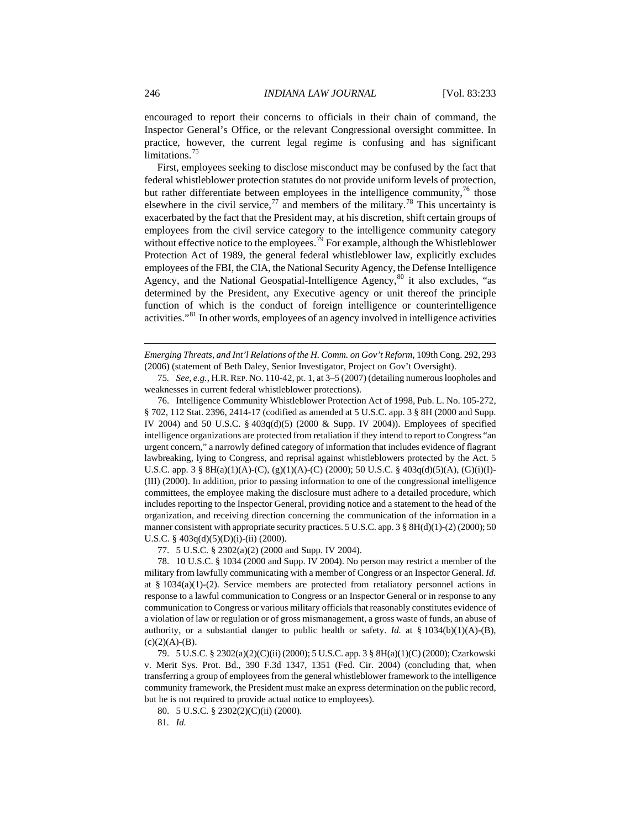encouraged to report their concerns to officials in their chain of command, the Inspector General's Office, or the relevant Congressional oversight committee. In practice, however, the current legal regime is confusing and has significant limitations.<sup>[75](#page-14-0)</sup>

First, employees seeking to disclose misconduct may be confused by the fact that federal whistleblower protection statutes do not provide uniform levels of protection, but rather differentiate between employees in the intelligence community,  $\frac{76}{6}$  $\frac{76}{6}$  $\frac{76}{6}$  those elsewhere in the civil service,<sup>[77](#page-14-2)</sup> and members of the military.<sup>[78](#page-14-3)</sup> This uncertainty is exacerbated by the fact that the President may, at his discretion, shift certain groups of employees from the civil service category to the intelligence community category without effective notice to the employees.<sup>[79](#page-14-4)</sup> For example, although the Whistleblower Protection Act of 1989, the general federal whistleblower law, explicitly excludes employees of the FBI, the CIA, the National Security Agency, the Defense Intelligence Agency, and the National Geospatial-Intelligence Agency, $80$  it also excludes, "as determined by the President, any Executive agency or unit thereof the principle function of which is the conduct of foreign intelligence or counterintelligence activities."[81](#page-14-6) In other words, employees of an agency involved in intelligence activities

*Emerging Threats, and Int'l Relations of the H. Comm. on Gov't Reform*, 109th Cong. 292, 293 (2006) (statement of Beth Daley, Senior Investigator, Project on Gov't Oversight).

<span id="page-14-0"></span>75*. See, e.g.*, H.R.REP. NO. 110-42, pt. 1, at 3–5 (2007) (detailing numerous loopholes and weaknesses in current federal whistleblower protections).

<span id="page-14-1"></span>76. Intelligence Community Whistleblower Protection Act of 1998, Pub. L. No. 105-272, § 702, 112 Stat. 2396, 2414-17 (codified as amended at 5 U.S.C. app. 3 § 8H (2000 and Supp. IV 2004) and 50 U.S.C. § 403q(d)(5) (2000 & Supp. IV 2004)). Employees of specified intelligence organizations are protected from retaliation if they intend to report to Congress "an urgent concern," a narrowly defined category of information that includes evidence of flagrant lawbreaking, lying to Congress, and reprisal against whistleblowers protected by the Act. 5 U.S.C. app. 3 § 8H(a)(1)(A)-(C), (g)(1)(A)-(C) (2000); 50 U.S.C. § 403q(d)(5)(A), (G)(i)(I)- (III) (2000). In addition, prior to passing information to one of the congressional intelligence committees, the employee making the disclosure must adhere to a detailed procedure, which includes reporting to the Inspector General, providing notice and a statement to the head of the organization, and receiving direction concerning the communication of the information in a manner consistent with appropriate security practices. 5 U.S.C. app. 3 § 8H(d)(1)-(2) (2000); 50 U.S.C. §  $403q(d)(5)(D)(i)-(ii)$  (2000).

77. 5 U.S.C. § 2302(a)(2) (2000 and Supp. IV 2004).

<span id="page-14-3"></span><span id="page-14-2"></span>78. 10 U.S.C. § 1034 (2000 and Supp. IV 2004). No person may restrict a member of the military from lawfully communicating with a member of Congress or an Inspector General. *Id.* at §  $1034(a)(1)-(2)$ . Service members are protected from retaliatory personnel actions in response to a lawful communication to Congress or an Inspector General or in response to any communication to Congress or various military officials that reasonably constitutes evidence of a violation of law or regulation or of gross mismanagement, a gross waste of funds, an abuse of authority, or a substantial danger to public health or safety. *Id.* at § 1034(b)(1)(A)-(B),  $(c)(2)(A)-(B).$ 

<span id="page-14-5"></span><span id="page-14-4"></span>79. 5 U.S.C. § 2302(a)(2)(C)(ii) (2000); 5 U.S.C. app. 3 § 8H(a)(1)(C) (2000); Czarkowski v. Merit Sys. Prot. Bd., 390 F.3d 1347, 1351 (Fed. Cir. 2004) (concluding that, when transferring a group of employees from the general whistleblower framework to the intelligence community framework, the President must make an express determination on the public record, but he is not required to provide actual notice to employees).

<span id="page-14-6"></span>80. 5 U.S.C. § 2302(2)(C)(ii) (2000).

81*. Id.*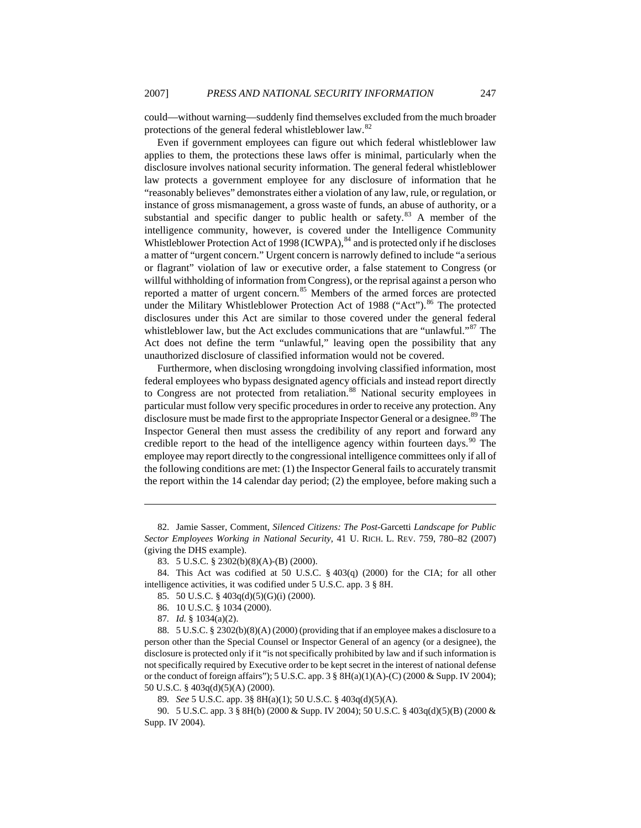could—without warning—suddenly find themselves excluded from the much broader protections of the general federal whistleblower law.<sup>[82](#page-15-0)</sup>

Even if government employees can figure out which federal whistleblower law applies to them, the protections these laws offer is minimal, particularly when the disclosure involves national security information. The general federal whistleblower law protects a government employee for any disclosure of information that he "reasonably believes" demonstrates either a violation of any law, rule, or regulation, or instance of gross mismanagement, a gross waste of funds, an abuse of authority, or a substantial and specific danger to public health or safety.<sup>[83](#page-15-1)</sup> A member of the intelligence community, however, is covered under the Intelligence Community Whistleblower Protection Act of 1998 (ICWPA), <sup>[84](#page-15-2)</sup> and is protected only if he discloses a matter of "urgent concern." Urgent concern is narrowly defined to include "a serious or flagrant" violation of law or executive order, a false statement to Congress (or willful withholding of information from Congress), or the reprisal against a person who reported a matter of urgent concern.<sup>[85](#page-15-3)</sup> Members of the armed forces are protected under the Military Whistleblower Protection Act of 1988 ("Act").<sup>[86](#page-15-4)</sup> The protected disclosures under this Act are similar to those covered under the general federal whistleblower law, but the Act excludes communications that are "unlawful."<sup>[87](#page-15-5)</sup> The Act does not define the term "unlawful," leaving open the possibility that any unauthorized disclosure of classified information would not be covered.

Furthermore, when disclosing wrongdoing involving classified information, most federal employees who bypass designated agency officials and instead report directly to Congress are not protected from retaliation.<sup>[88](#page-15-6)</sup> National security employees in particular must follow very specific procedures in order to receive any protection. Any disclosure must be made first to the appropriate Inspector General or a designee.<sup>[89](#page-15-7)</sup> The Inspector General then must assess the credibility of any report and forward any credible report to the head of the intelligence agency within fourteen days. $90$  The employee may report directly to the congressional intelligence committees only if all of the following conditions are met: (1) the Inspector General fails to accurately transmit the report within the 14 calendar day period; (2) the employee, before making such a

- 85. 50 U.S.C. § 403q(d)(5)(G)(i) (2000).
- 86. 10 U.S.C. § 1034 (2000).

<span id="page-15-0"></span><sup>82.</sup> Jamie Sasser, Comment, *Silenced Citizens: The Post-*Garcetti *Landscape for Public Sector Employees Working in National Security*, 41 U. RICH. L. REV. 759, 780–82 (2007) (giving the DHS example).

<sup>83. 5</sup> U.S.C. § 2302(b)(8)(A)-(B) (2000).

<span id="page-15-3"></span><span id="page-15-2"></span><span id="page-15-1"></span><sup>84.</sup> This Act was codified at 50 U.S.C. § 403(q) (2000) for the CIA; for all other intelligence activities, it was codified under 5 U.S.C. app. 3 § 8H.

<sup>87</sup>*. Id.* § 1034(a)(2).

<span id="page-15-6"></span><span id="page-15-5"></span><span id="page-15-4"></span><sup>88. 5</sup> U.S.C. § 2302(b)(8)(A) (2000) (providing that if an employee makes a disclosure to a person other than the Special Counsel or Inspector General of an agency (or a designee), the disclosure is protected only if it "is not specifically prohibited by law and if such information is not specifically required by Executive order to be kept secret in the interest of national defense or the conduct of foreign affairs"); 5 U.S.C. app. 3 § 8H(a)(1)(A)-(C) (2000 & Supp. IV 2004); 50 U.S.C. § 403q(d)(5)(A) (2000).

<sup>89</sup>*. See* 5 U.S.C. app. 3§ 8H(a)(1); 50 U.S.C. § 403q(d)(5)(A).

<span id="page-15-8"></span><span id="page-15-7"></span><sup>90. 5</sup> U.S.C. app. 3 § 8H(b) (2000 & Supp. IV 2004); 50 U.S.C. § 403q(d)(5)(B) (2000 & Supp. IV 2004).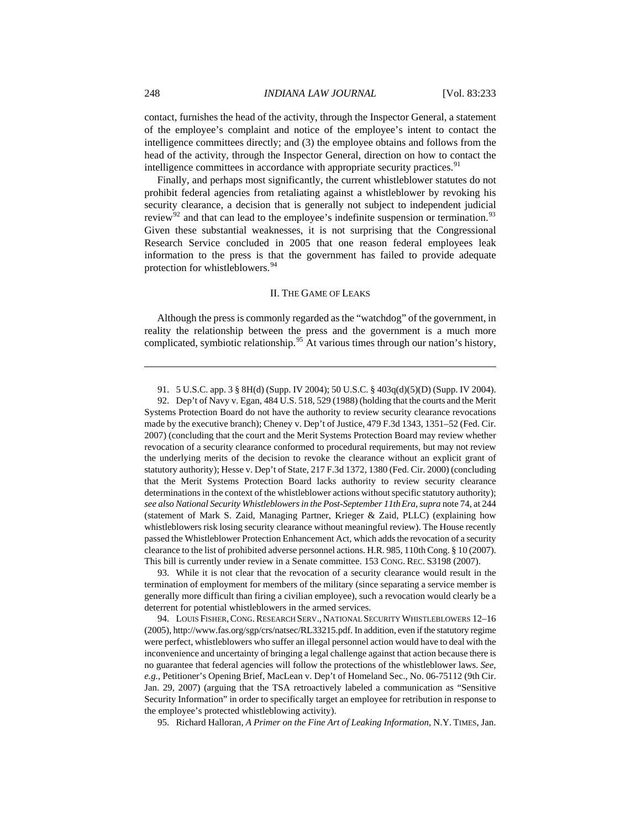<span id="page-16-0"></span>contact, furnishes the head of the activity, through the Inspector General, a statement of the employee's complaint and notice of the employee's intent to contact the intelligence committees directly; and (3) the employee obtains and follows from the head of the activity, through the Inspector General, direction on how to contact the intelligence committees in accordance with appropriate security practices.<sup>[91](#page-16-1)</sup>

Finally, and perhaps most significantly, the current whistleblower statutes do not prohibit federal agencies from retaliating against a whistleblower by revoking his security clearance, a decision that is generally not subject to independent judicial review<sup>[92](#page-16-2)</sup> and that can lead to the employee's indefinite suspension or termination.<sup>[93](#page-16-3)</sup> Given these substantial weaknesses, it is not surprising that the Congressional Research Service concluded in 2005 that one reason federal employees leak information to the press is that the government has failed to provide adequate protection for whistleblowers.<sup>[94](#page-16-4)</sup>

#### II. THE GAME OF LEAKS

Although the press is commonly regarded as the "watchdog" of the government, in reality the relationship between the press and the government is a much more complicated, symbiotic relationship.<sup>[95](#page-16-5)</sup> At various times through our nation's history,

<span id="page-16-3"></span>93. While it is not clear that the revocation of a security clearance would result in the termination of employment for members of the military (since separating a service member is generally more difficult than firing a civilian employee), such a revocation would clearly be a deterrent for potential whistleblowers in the armed services.

<span id="page-16-4"></span>94. LOUIS FISHER, CONG. RESEARCH SERV., NATIONAL SECURITY WHISTLEBLOWERS  $12-16$ (2005), [http://www.fas.org/sgp/crs/natsec/RL33215.pdf.](http://www.fas.org/sgp/crs/natsec/RL33215.pdf) In addition, even if the statutory regime were perfect, whistleblowers who suffer an illegal personnel action would have to deal with the inconvenience and uncertainty of bringing a legal challenge against that action because there is no guarantee that federal agencies will follow the protections of the whistleblower laws. *See, e.g.*, Petitioner's Opening Brief, MacLean v. Dep't of Homeland Sec., No. 06-75112 (9th Cir. Jan. 29, 2007) (arguing that the TSA retroactively labeled a communication as "Sensitive Security Information" in order to specifically target an employee for retribution in response to the employee's protected whistleblowing activity).

<span id="page-16-5"></span>95. Richard Halloran, *A Primer on the Fine Art of Leaking Information*, N.Y. TIMES, Jan.

<sup>91. 5</sup> U.S.C. app. 3 § 8H(d) (Supp. IV 2004); 50 U.S.C. § 403q(d)(5)(D) (Supp. IV 2004).

<span id="page-16-2"></span><span id="page-16-1"></span><sup>92.</sup> Dep't of Navy v. Egan, 484 U.S. 518, 529 (1988) (holding that the courts and the Merit Systems Protection Board do not have the authority to review security clearance revocations made by the executive branch); Cheney v. Dep't of Justice, 479 F.3d 1343, 1351–52 (Fed. Cir. 2007) (concluding that the court and the Merit Systems Protection Board may review whether revocation of a security clearance conformed to procedural requirements, but may not review the underlying merits of the decision to revoke the clearance without an explicit grant of statutory authority); Hesse v. Dep't of State, 217 F.3d 1372, 1380 (Fed. Cir. 2000) (concluding that the Merit Systems Protection Board lacks authority to review security clearance determinations in the context of the whistleblower actions without specific statutory authority); *see also National Security Whistleblowers in the Post-September 11thEra*, *supra* note 74, at 244 (statement of Mark S. Zaid, Managing Partner, Krieger & Zaid, PLLC) (explaining how whistleblowers risk losing security clearance without meaningful review). The House recently passed the Whistleblower Protection Enhancement Act, which adds the revocation of a security clearance to the list of prohibited adverse personnel actions. H.R. 985, 110th Cong. § 10 (2007). This bill is currently under review in a Senate committee. 153 CONG. REC. S3198 (2007).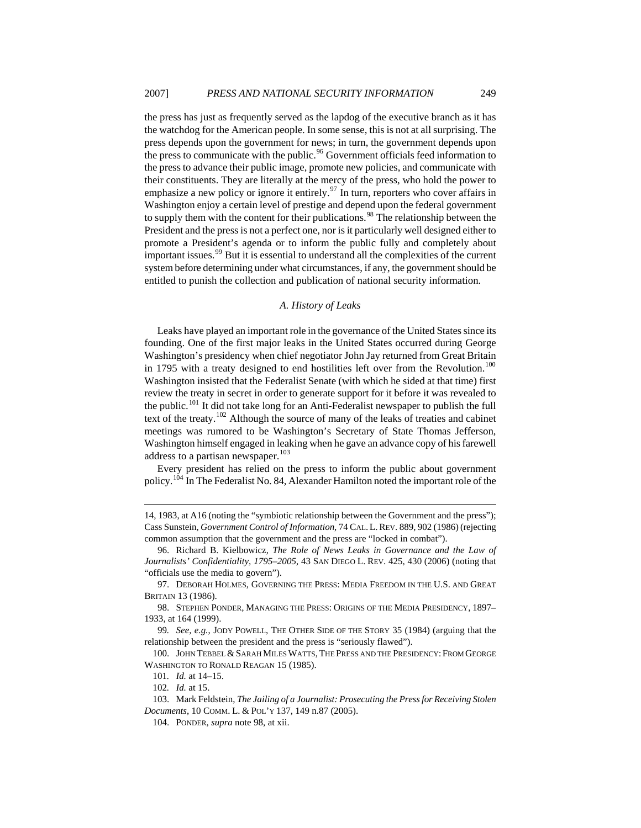<span id="page-17-0"></span>the press has just as frequently served as the lapdog of the executive branch as it has the watchdog for the American people. In some sense, this is not at all surprising. The press depends upon the government for news; in turn, the government depends upon the press to communicate with the public.<sup>[96](#page-17-1)</sup> Government officials feed information to the press to advance their public image, promote new policies, and communicate with their constituents. They are literally at the mercy of the press, who hold the power to emphasize a new policy or ignore it entirely.<sup>[97](#page-17-2)</sup> In turn, reporters who cover affairs in Washington enjoy a certain level of prestige and depend upon the federal government to supply them with the content for their publications.<sup>[98](#page-17-3)</sup> The relationship between the President and the press is not a perfect one, nor is it particularly well designed either to promote a President's agenda or to inform the public fully and completely about important issues.<sup>[99](#page-17-4)</sup> But it is essential to understand all the complexities of the current system before determining under what circumstances, if any, the government should be entitled to punish the collection and publication of national security information.

#### *A. History of Leaks*

Leaks have played an important role in the governance of the United States since its founding. One of the first major leaks in the United States occurred during George Washington's presidency when chief negotiator John Jay returned from Great Britain in 1795 with a treaty designed to end hostilities left over from the Revolution.<sup>[100](#page-17-5)</sup> Washington insisted that the Federalist Senate (with which he sided at that time) first review the treaty in secret in order to generate support for it before it was revealed to the public.[101](#page-17-6) It did not take long for an Anti-Federalist newspaper to publish the full text of the treaty.<sup>[102](#page-17-7)</sup> Although the source of many of the leaks of treaties and cabinet meetings was rumored to be Washington's Secretary of State Thomas Jefferson, Washington himself engaged in leaking when he gave an advance copy of his farewell address to a partisan newspaper.<sup>[103](#page-17-8)</sup>

Every president has relied on the press to inform the public about government policy.<sup>[104](#page-17-9)</sup> In The Federalist No. 84, Alexander Hamilton noted the important role of the

<sup>14, 1983,</sup> at A16 (noting the "symbiotic relationship between the Government and the press"); Cass Sunstein, *Government Control of Information*, 74 CAL.L.REV. 889, 902 (1986) (rejecting common assumption that the government and the press are "locked in combat").

<span id="page-17-1"></span><sup>96.</sup> Richard B. Kielbowicz, *The Role of News Leaks in Governance and the Law of Journalists' Confidentiality, 1795–2005*, 43 SAN DIEGO L. REV. 425, 430 (2006) (noting that "officials use the media to govern").

<span id="page-17-3"></span><span id="page-17-2"></span><sup>97.</sup> DEBORAH HOLMES, GOVERNING THE PRESS: MEDIA FREEDOM IN THE U.S. AND GREAT BRITAIN 13 (1986).

<sup>98.</sup> STEPHEN PONDER, MANAGING THE PRESS: ORIGINS OF THE MEDIA PRESIDENCY, 1897– 1933, at 164 (1999).

<span id="page-17-4"></span><sup>99</sup>*. See, e.g.*, JODY POWELL, THE OTHER SIDE OF THE STORY 35 (1984) (arguing that the relationship between the president and the press is "seriously flawed").

<span id="page-17-6"></span><span id="page-17-5"></span><sup>100.</sup> JOHN TEBBEL & SARAH MILES WATTS, THE PRESS AND THE PRESIDENCY: FROM GEORGE WASHINGTON TO RONALD REAGAN 15 (1985).

<sup>101</sup>*. Id.* at 14–15.

<sup>102</sup>*. Id.* at 15.

<span id="page-17-9"></span><span id="page-17-8"></span><span id="page-17-7"></span><sup>103.</sup> Mark Feldstein, *The Jailing of a Journalist: Prosecuting the Press for Receiving Stolen Documents*, 10 COMM. L. & POL'Y 137, 149 n.87 (2005).

<sup>104.</sup> PONDER, *supra* note 98, at xii.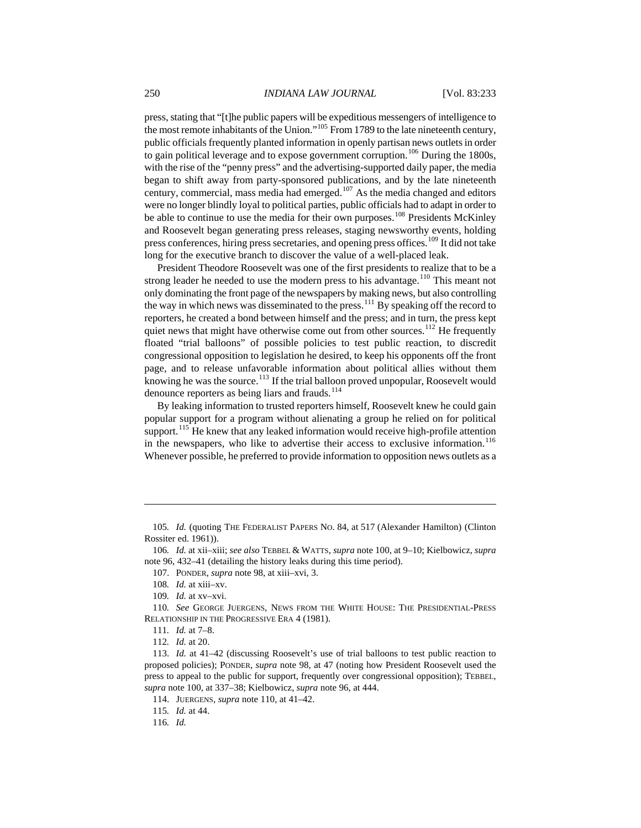press, stating that "[t]he public papers will be expeditious messengers of intelligence to the most remote inhabitants of the Union."[105](#page-18-0) From 1789 to the late nineteenth century, public officials frequently planted information in openly partisan news outlets in order to gain political leverage and to expose government corruption.<sup>[106](#page-18-1)</sup> During the 1800s, with the rise of the "penny press" and the advertising-supported daily paper, the media began to shift away from party-sponsored publications, and by the late nineteenth century, commercial, mass media had emerged.[107](#page-18-2) As the media changed and editors were no longer blindly loyal to political parties, public officials had to adapt in order to be able to continue to use the media for their own purposes.<sup>[108](#page-18-3)</sup> Presidents McKinley and Roosevelt began generating press releases, staging newsworthy events, holding press conferences, hiring press secretaries, and opening press offices.<sup>[109](#page-18-4)</sup> It did not take long for the executive branch to discover the value of a well-placed leak.

President Theodore Roosevelt was one of the first presidents to realize that to be a strong leader he needed to use the modern press to his advantage.<sup>[110](#page-18-5)</sup> This meant not only dominating the front page of the newspapers by making news, but also controlling the way in which news was disseminated to the press.<sup>[111](#page-18-6)</sup> By speaking off the record to reporters, he created a bond between himself and the press; and in turn, the press kept quiet news that might have otherwise come out from other sources.<sup>[112](#page-18-7)</sup> He frequently floated "trial balloons" of possible policies to test public reaction, to discredit congressional opposition to legislation he desired, to keep his opponents off the front page, and to release unfavorable information about political allies without them knowing he was the source.<sup>[113](#page-18-8)</sup> If the trial balloon proved unpopular, Roosevelt would denounce reporters as being liars and frauds.<sup>[114](#page-18-9)</sup>

By leaking information to trusted reporters himself, Roosevelt knew he could gain popular support for a program without alienating a group he relied on for political support.<sup>[115](#page-18-10)</sup> He knew that any leaked information would receive high-profile attention in the newspapers, who like to advertise their access to exclusive information.<sup>[116](#page-18-11)</sup> Whenever possible, he preferred to provide information to opposition news outlets as a

<span id="page-18-0"></span><sup>105</sup>*. Id.* (quoting THE FEDERALIST PAPERS NO. 84, at 517 (Alexander Hamilton) (Clinton Rossiter ed. 1961)).

<span id="page-18-2"></span><span id="page-18-1"></span><sup>106</sup>*. Id.* at xii–xiii; *see also* TEBBEL & WATTS, *supra* note 100, at 9–10; Kielbowicz, *supra*  note 96, 432–41 (detailing the history leaks during this time period).

<sup>107.</sup> PONDER, *supra* note 98, at xiii–xvi, 3.

<sup>108</sup>*. Id.* at xiii–xv.

<sup>109</sup>*. Id.* at xv–xvi.

<span id="page-18-6"></span><span id="page-18-5"></span><span id="page-18-4"></span><span id="page-18-3"></span><sup>110</sup>*. See* GEORGE JUERGENS, NEWS FROM THE WHITE HOUSE: THE PRESIDENTIAL-PRESS RELATIONSHIP IN THE PROGRESSIVE ERA 4 (1981).

<sup>111</sup>*. Id.* at 7–8.

<sup>112</sup>*. Id.* at 20.

<span id="page-18-9"></span><span id="page-18-8"></span><span id="page-18-7"></span><sup>113.</sup> *Id.* at 41–42 (discussing Roosevelt's use of trial balloons to test public reaction to proposed policies); PONDER, *supra* note 98, at 47 (noting how President Roosevelt used the press to appeal to the public for support, frequently over congressional opposition); TEBBEL, *supra* note 100, at 337–38; Kielbowicz, *supra* note 96, at 444.

<sup>114.</sup> JUERGENS, *supra* note 110, at 41–42.

<span id="page-18-10"></span><sup>115</sup>*. Id.* at 44.

<span id="page-18-11"></span><sup>116</sup>*. Id.*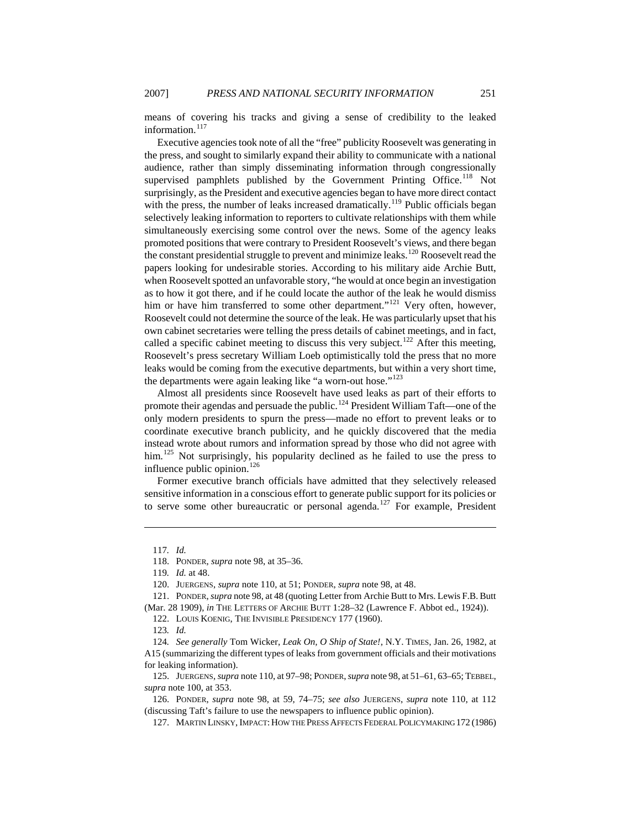means of covering his tracks and giving a sense of credibility to the leaked information. $117$ 

Executive agencies took note of all the "free" publicity Roosevelt was generating in the press, and sought to similarly expand their ability to communicate with a national audience, rather than simply disseminating information through congressionally supervised pamphlets published by the Government Printing Office.<sup>[118](#page-19-1)</sup> Not surprisingly, as the President and executive agencies began to have more direct contact with the press, the number of leaks increased dramatically.<sup>[119](#page-19-2)</sup> Public officials began selectively leaking information to reporters to cultivate relationships with them while simultaneously exercising some control over the news. Some of the agency leaks promoted positions that were contrary to President Roosevelt's views, and there began the constant presidential struggle to prevent and minimize leaks.<sup>[120](#page-19-3)</sup> Roosevelt read the papers looking for undesirable stories. According to his military aide Archie Butt, when Roosevelt spotted an unfavorable story, "he would at once begin an investigation as to how it got there, and if he could locate the author of the leak he would dismiss him or have him transferred to some other department."<sup>[121](#page-19-4)</sup> Very often, however, Roosevelt could not determine the source of the leak. He was particularly upset that his own cabinet secretaries were telling the press details of cabinet meetings, and in fact, called a specific cabinet meeting to discuss this very subject.<sup>[122](#page-19-5)</sup> After this meeting, Roosevelt's press secretary William Loeb optimistically told the press that no more leaks would be coming from the executive departments, but within a very short time, the departments were again leaking like "a worn-out hose."<sup>[123](#page-19-6)</sup>

Almost all presidents since Roosevelt have used leaks as part of their efforts to promote their agendas and persuade the public.<sup>[124](#page-19-7)</sup> President William Taft—one of the only modern presidents to spurn the press—made no effort to prevent leaks or to coordinate executive branch publicity, and he quickly discovered that the media instead wrote about rumors and information spread by those who did not agree with him.<sup>[125](#page-19-8)</sup> Not surprisingly, his popularity declined as he failed to use the press to influence public opinion.<sup>[126](#page-19-9)</sup>

Former executive branch officials have admitted that they selectively released sensitive information in a conscious effort to generate public support for its policies or to serve some other bureaucratic or personal agenda.<sup>[127](#page-19-10)</sup> For example, President

<sup>117</sup>*. Id.*

<sup>118.</sup> PONDER, *supra* note 98, at 35–36.

<sup>119</sup>*. Id.* at 48.

<sup>120.</sup> JUERGENS, *supra* note 110, at 51; PONDER, *supra* note 98, at 48.

<span id="page-19-5"></span><span id="page-19-4"></span><span id="page-19-3"></span><span id="page-19-2"></span><span id="page-19-1"></span><span id="page-19-0"></span><sup>121.</sup> PONDER, *supra* note 98, at 48 (quoting Letter from Archie Butt to Mrs. Lewis F.B. Butt (Mar. 28 1909), *in* THE LETTERS OF ARCHIE BUTT 1:28–32 (Lawrence F. Abbot ed., 1924)).

<sup>122.</sup> LOUIS KOENIG, THE INVISIBLE PRESIDENCY 177 (1960).

<sup>123</sup>*. Id.*

<span id="page-19-7"></span><span id="page-19-6"></span><sup>124</sup>*. See generally* Tom Wicker, *Leak On, O Ship of State!*, N.Y. TIMES, Jan. 26, 1982, at A15 (summarizing the different types of leaks from government officials and their motivations for leaking information).

<span id="page-19-8"></span><sup>125.</sup> JUERGENS, *supra* note 110, at 97–98; PONDER, *supra* note 98, at 51–61, 63–65; TEBBEL, *supra* note 100, at 353.

<span id="page-19-10"></span><span id="page-19-9"></span><sup>126.</sup> PONDER, *supra* note 98, at 59, 74–75; *see also* JUERGENS, *supra* note 110, at 112 (discussing Taft's failure to use the newspapers to influence public opinion).

<sup>127.</sup> MARTIN LINSKY, IMPACT:HOW THE PRESS AFFECTS FEDERAL POLICYMAKING 172 (1986)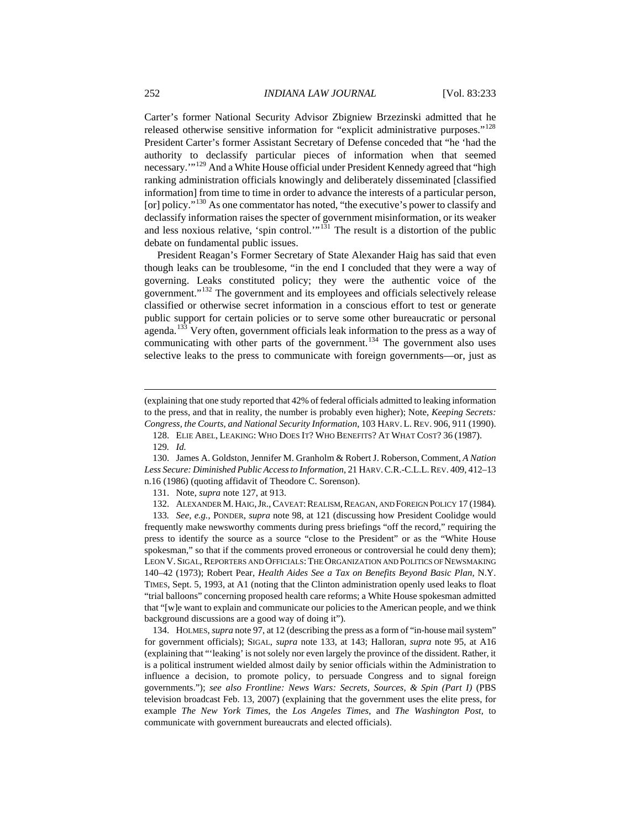Carter's former National Security Advisor Zbigniew Brzezinski admitted that he released otherwise sensitive information for "explicit administrative purposes."[128](#page-20-0) President Carter's former Assistant Secretary of Defense conceded that "he 'had the authority to declassify particular pieces of information when that seemed necessary.'"[129](#page-20-1) And a White House official under President Kennedy agreed that "high ranking administration officials knowingly and deliberately disseminated [classified information] from time to time in order to advance the interests of a particular person, [or] policy."<sup>[130](#page-20-2)</sup> As one commentator has noted, "the executive's power to classify and declassify information raises the specter of government misinformation, or its weaker and less noxious relative, 'spin control.'"<sup>[131](#page-20-3)</sup> The result is a distortion of the public debate on fundamental public issues.

President Reagan's Former Secretary of State Alexander Haig has said that even though leaks can be troublesome, "in the end I concluded that they were a way of governing. Leaks constituted policy; they were the authentic voice of the government."[132](#page-20-4) The government and its employees and officials selectively release classified or otherwise secret information in a conscious effort to test or generate public support for certain policies or to serve some other bureaucratic or personal agenda.<sup>[133](#page-20-5)</sup> Very often, government officials leak information to the press as a way of communicating with other parts of the government.<sup>[134](#page-20-6)</sup> The government also uses selective leaks to the press to communicate with foreign governments—or, just as

 $\overline{a}$ 

<span id="page-20-6"></span>134. HOLMES, *supra* note 97, at 12 (describing the press as a form of "in-house mail system" for government officials); SIGAL, *supra* note 133, at 143; Halloran, *supra* note 95, at A16 (explaining that "'leaking' is not solely nor even largely the province of the dissident. Rather, it is a political instrument wielded almost daily by senior officials within the Administration to influence a decision, to promote policy, to persuade Congress and to signal foreign governments."); *see also Frontline: News Wars: Secrets, Sources, & Spin (Part I)* (PBS television broadcast Feb. 13, 2007) (explaining that the government uses the elite press, for example *The New York Times*, the *Los Angeles Times*, and *The Washington Post*, to communicate with government bureaucrats and elected officials).

<sup>(</sup>explaining that one study reported that 42% of federal officials admitted to leaking information to the press, and that in reality, the number is probably even higher); Note, *Keeping Secrets: Congress, the Courts, and National Security Information*, 103 HARV. L. REV. 906, 911 (1990).

<sup>128.</sup> ELIE ABEL, LEAKING: WHO DOES IT? WHO BENEFITS? AT WHAT COST? 36 (1987).

<sup>129</sup>*. Id.*

<span id="page-20-2"></span><span id="page-20-1"></span><span id="page-20-0"></span><sup>130.</sup> James A. Goldston, Jennifer M. Granholm & Robert J. Roberson, Comment, *A Nation Less Secure: Diminished Public Access to Information*, 21 HARV.C.R.-C.L.L.REV. 409, 412–13 n.16 (1986) (quoting affidavit of Theodore C. Sorenson).

<sup>131.</sup> Note, *supra* note 127, at 913.

<sup>132.</sup> ALEXANDER M. HAIG, JR., CAVEAT: REALISM, REAGAN, AND FOREIGN POLICY 17 (1984).

<span id="page-20-5"></span><span id="page-20-4"></span><span id="page-20-3"></span><sup>133</sup>*. See, e.g.*, PONDER, *supra* note 98, at 121 (discussing how President Coolidge would frequently make newsworthy comments during press briefings "off the record," requiring the press to identify the source as a source "close to the President" or as the "White House spokesman," so that if the comments proved erroneous or controversial he could deny them); LEON V. SIGAL, REPORTERS AND OFFICIALS:THE ORGANIZATION AND POLITICS OF NEWSMAKING 140–42 (1973); Robert Pear, *Health Aides See a Tax on Benefits Beyond Basic Plan*, N.Y. TIMES, Sept. 5, 1993, at A1 (noting that the Clinton administration openly used leaks to float "trial balloons" concerning proposed health care reforms; a White House spokesman admitted that "[w]e want to explain and communicate our policies to the American people, and we think background discussions are a good way of doing it").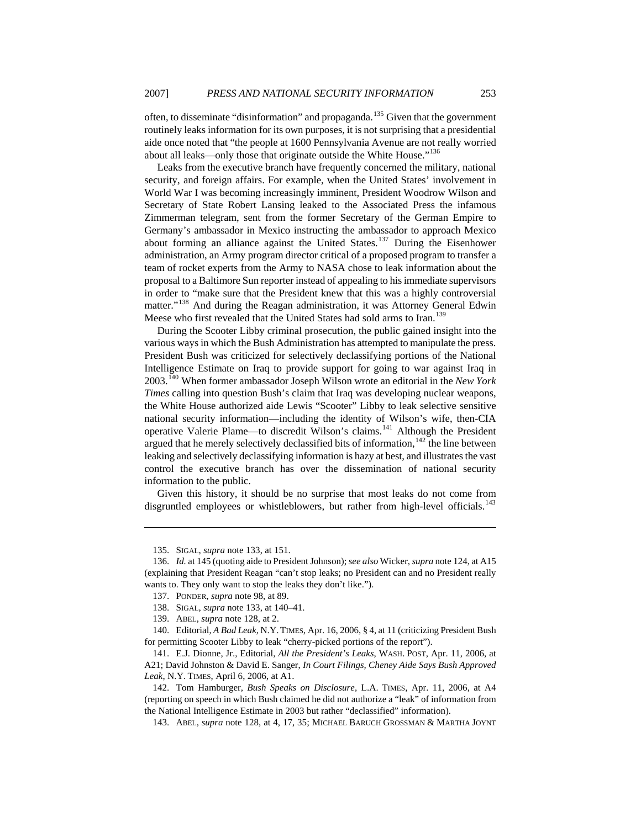often, to disseminate "disinformation" and propaganda.[135](#page-21-0) Given that the government routinely leaks information for its own purposes, it is not surprising that a presidential aide once noted that "the people at 1600 Pennsylvania Avenue are not really worried about all leaks—only those that originate outside the White House."<sup>[136](#page-21-1)</sup>

Leaks from the executive branch have frequently concerned the military, national security, and foreign affairs. For example, when the United States' involvement in World War I was becoming increasingly imminent, President Woodrow Wilson and Secretary of State Robert Lansing leaked to the Associated Press the infamous Zimmerman telegram, sent from the former Secretary of the German Empire to Germany's ambassador in Mexico instructing the ambassador to approach Mexico about forming an alliance against the United States.[137](#page-21-2) During the Eisenhower administration, an Army program director critical of a proposed program to transfer a team of rocket experts from the Army to NASA chose to leak information about the proposal to a Baltimore Sun reporter instead of appealing to his immediate supervisors in order to "make sure that the President knew that this was a highly controversial matter."<sup>[138](#page-21-3)</sup> And during the Reagan administration, it was Attorney General Edwin Meese who first revealed that the United States had sold arms to Iran.<sup>[139](#page-21-4)</sup>

During the Scooter Libby criminal prosecution, the public gained insight into the various ways in which the Bush Administration has attempted to manipulate the press. President Bush was criticized for selectively declassifying portions of the National Intelligence Estimate on Iraq to provide support for going to war against Iraq in 2003.[140](#page-21-5) When former ambassador Joseph Wilson wrote an editorial in the *New York Times* calling into question Bush's claim that Iraq was developing nuclear weapons, the White House authorized aide Lewis "Scooter" Libby to leak selective sensitive national security information—including the identity of Wilson's wife, then-CIA operative Valerie Plame—to discredit Wilson's claims.[141](#page-21-6) Although the President argued that he merely selectively declassified bits of information, $142$  the line between leaking and selectively declassifying information is hazy at best, and illustrates the vast control the executive branch has over the dissemination of national security information to the public.

Given this history, it should be no surprise that most leaks do not come from disgruntled employees or whistleblowers, but rather from high-level officials.<sup>[143](#page-21-8)</sup>

<sup>135.</sup> SIGAL, *supra* note 133, at 151.

<span id="page-21-2"></span><span id="page-21-1"></span><span id="page-21-0"></span><sup>136.</sup> *Id.* at 145 (quoting aide to President Johnson); *see also* Wicker, *supra* note 124, at A15 (explaining that President Reagan "can't stop leaks; no President can and no President really wants to. They only want to stop the leaks they don't like.").

<sup>137.</sup> PONDER, *supra* note 98, at 89.

<sup>138.</sup> SIGAL, *supra* note 133, at 140–41.

<sup>139.</sup> ABEL, *supra* note 128, at 2.

<span id="page-21-5"></span><span id="page-21-4"></span><span id="page-21-3"></span><sup>140.</sup> Editorial, *A Bad Leak*, N.Y.TIMES, Apr. 16, 2006, § 4, at 11 (criticizing President Bush for permitting Scooter Libby to leak "cherry-picked portions of the report").

<span id="page-21-6"></span><sup>141.</sup> E.J. Dionne, Jr., Editorial, *All the President's Leaks*, WASH. POST, Apr. 11, 2006, at A21; David Johnston & David E. Sanger, *In Court Filings, Cheney Aide Says Bush Approved Leak*, N.Y. TIMES, April 6, 2006, at A1.

<span id="page-21-8"></span><span id="page-21-7"></span><sup>142.</sup> Tom Hamburger, *Bush Speaks on Disclosure*, L.A. TIMES, Apr. 11, 2006, at A4 (reporting on speech in which Bush claimed he did not authorize a "leak" of information from the National Intelligence Estimate in 2003 but rather "declassified" information).

<sup>143.</sup> ABEL, *supra* note 128, at 4, 17, 35; MICHAEL BARUCH GROSSMAN & MARTHA JOYNT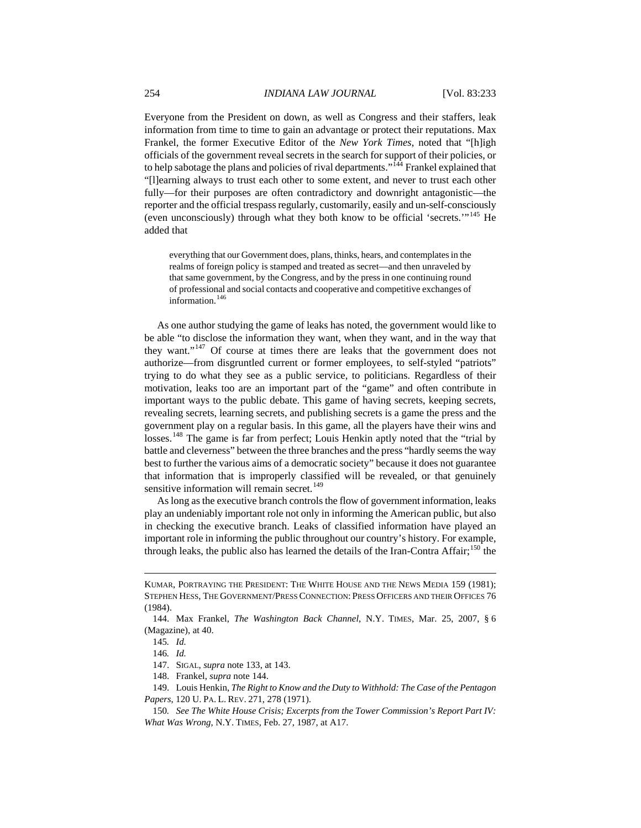Everyone from the President on down, as well as Congress and their staffers, leak information from time to time to gain an advantage or protect their reputations. Max Frankel, the former Executive Editor of the *New York Times*, noted that "[h]igh officials of the government reveal secrets in the search for support of their policies, or to help sabotage the plans and policies of rival departments." $144$  Frankel explained that "[l]earning always to trust each other to some extent, and never to trust each other fully—for their purposes are often contradictory and downright antagonistic—the reporter and the official trespass regularly, customarily, easily and un-self-consciously (even unconsciously) through what they both know to be official 'secrets.'"[145](#page-22-1) He added that

everything that our Government does, plans, thinks, hears, and contemplates in the realms of foreign policy is stamped and treated as secret—and then unraveled by that same government, by the Congress, and by the press in one continuing round of professional and social contacts and cooperative and competitive exchanges of information.<sup>[146](#page-22-2)</sup>

As one author studying the game of leaks has noted, the government would like to be able "to disclose the information they want, when they want, and in the way that they want."[147](#page-22-3) Of course at times there are leaks that the government does not authorize—from disgruntled current or former employees, to self-styled "patriots" trying to do what they see as a public service, to politicians. Regardless of their motivation, leaks too are an important part of the "game" and often contribute in important ways to the public debate. This game of having secrets, keeping secrets, revealing secrets, learning secrets, and publishing secrets is a game the press and the government play on a regular basis. In this game, all the players have their wins and losses.<sup>[148](#page-22-4)</sup> The game is far from perfect; Louis Henkin aptly noted that the "trial by battle and cleverness" between the three branches and the press "hardly seems the way best to further the various aims of a democratic society" because it does not guarantee that information that is improperly classified will be revealed, or that genuinely sensitive information will remain secret.<sup>[149](#page-22-5)</sup>

As long as the executive branch controls the flow of government information, leaks play an undeniably important role not only in informing the American public, but also in checking the executive branch. Leaks of classified information have played an important role in informing the public throughout our country's history. For example, through leaks, the public also has learned the details of the Iran-Contra Affair;<sup>[150](#page-22-6)</sup> the

KUMAR, PORTRAYING THE PRESIDENT: THE WHITE HOUSE AND THE NEWS MEDIA 159 (1981); STEPHEN HESS, THE GOVERNMENT/PRESS CONNECTION: PRESS OFFICERS AND THEIR OFFICES 76 (1984).

<span id="page-22-2"></span><span id="page-22-1"></span><span id="page-22-0"></span><sup>144.</sup> Max Frankel, *The Washington Back Channel*, N.Y. TIMES, Mar. 25, 2007, § 6 (Magazine), at 40.

<sup>145</sup>*. Id.*

<sup>146</sup>*. Id.*

<sup>147.</sup> SIGAL, *supra* note 133, at 143.

<sup>148.</sup> Frankel, *supra* note 144.

<span id="page-22-5"></span><span id="page-22-4"></span><span id="page-22-3"></span><sup>149.</sup> Louis Henkin, *The Right to Know and the Duty to Withhold: The Case of the Pentagon Papers*, 120 U. PA. L. REV. 271, 278 (1971).

<span id="page-22-6"></span><sup>150</sup>*. See The White House Crisis; Excerpts from the Tower Commission's Report Part IV: What Was Wrong*, N.Y. TIMES, Feb. 27, 1987, at A17.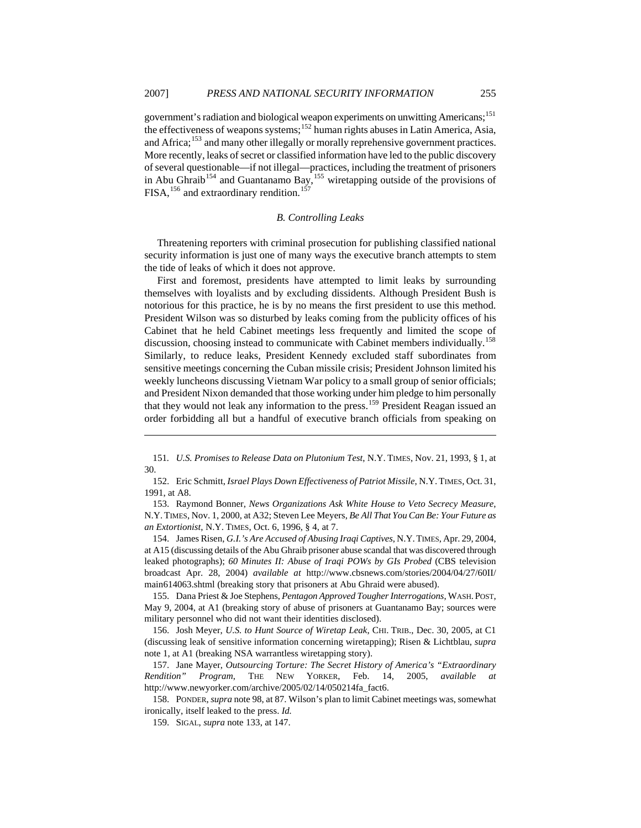<span id="page-23-0"></span>government's radiation and biological weapon experiments on unwitting Americans;<sup>[151](#page-23-1)</sup> the effectiveness of weapons systems;[152](#page-23-2) human rights abuses in Latin America, Asia, and Africa;<sup>[153](#page-23-3)</sup> and many other illegally or morally reprehensive government practices. More recently, leaks of secret or classified information have led to the public discovery of several questionable—if not illegal—practices, including the treatment of prisoners in Abu Ghraib<sup>[154](#page-23-4)</sup> and Guantanamo Bay,  $155$  wiretapping outside of the provisions of FISA,<sup>[156](#page-23-6)</sup> and extraordinary rendition.<sup>[157](#page-23-7)</sup>

#### *B. Controlling Leaks*

Threatening reporters with criminal prosecution for publishing classified national security information is just one of many ways the executive branch attempts to stem the tide of leaks of which it does not approve.

First and foremost, presidents have attempted to limit leaks by surrounding themselves with loyalists and by excluding dissidents. Although President Bush is notorious for this practice, he is by no means the first president to use this method. President Wilson was so disturbed by leaks coming from the publicity offices of his Cabinet that he held Cabinet meetings less frequently and limited the scope of discussion, choosing instead to communicate with Cabinet members individually.<sup>[158](#page-23-8)</sup> Similarly, to reduce leaks, President Kennedy excluded staff subordinates from sensitive meetings concerning the Cuban missile crisis; President Johnson limited his weekly luncheons discussing Vietnam War policy to a small group of senior officials; and President Nixon demanded that those working under him pledge to him personally that they would not leak any information to the press.<sup>[159](#page-23-9)</sup> President Reagan issued an order forbidding all but a handful of executive branch officials from speaking on

<span id="page-23-3"></span>153. Raymond Bonner, *News Organizations Ask White House to Veto Secrecy Measure*, N.Y.TIMES, Nov. 1, 2000, at A32; Steven Lee Meyers, *Be All That You Can Be: Your Future as an Extortionist*, N.Y. TIMES, Oct. 6, 1996, § 4, at 7.

<span id="page-23-4"></span>154. James Risen, *G.I.'s Are Accused of Abusing Iraqi Captives*, N.Y.TIMES, Apr. 29, 2004, at A15 (discussing details of the Abu Ghraib prisoner abuse scandal that was discovered through leaked photographs); *60 Minutes II: Abuse of Iraqi POWs by GIs Probed* (CBS television broadcast Apr. 28, 2004) *available at* <http://www.cbsnews.com/stories/2004/04/27/60II/> main614063.shtml (breaking story that prisoners at Abu Ghraid were abused).

<span id="page-23-5"></span>155. Dana Priest & Joe Stephens, *Pentagon Approved Tougher Interrogations*, WASH.POST, May 9, 2004, at A1 (breaking story of abuse of prisoners at Guantanamo Bay; sources were military personnel who did not want their identities disclosed).

<span id="page-23-6"></span>156. Josh Meyer, *U.S. to Hunt Source of Wiretap Leak*, CHI. TRIB., Dec. 30, 2005, at C1 (discussing leak of sensitive information concerning wiretapping); Risen & Lichtblau, *supra*  note 1, at A1 (breaking NSA warrantless wiretapping story).

<span id="page-23-7"></span>157. Jane Mayer, *Outsourcing Torture: The Secret History of America's "Extraordinary Rendition" Program*, THE NEW YORKER, Feb. 14, 2005, *available at* <http://www.newyorker.com/archive/>2005/02/14/050214fa\_fact6.

<span id="page-23-9"></span><span id="page-23-8"></span>158. PONDER, *supra* note 98, at 87. Wilson's plan to limit Cabinet meetings was, somewhat ironically, itself leaked to the press. *Id.*

159. SIGAL, *supra* note 133, at 147.

<span id="page-23-1"></span><sup>151</sup>*. U.S. Promises to Release Data on Plutonium Test*, N.Y. TIMES, Nov. 21, 1993, § 1, at 30.

<span id="page-23-2"></span><sup>152.</sup> Eric Schmitt, *Israel Plays Down Effectiveness of Patriot Missile*, N.Y. TIMES, Oct. 31, 1991, at A8.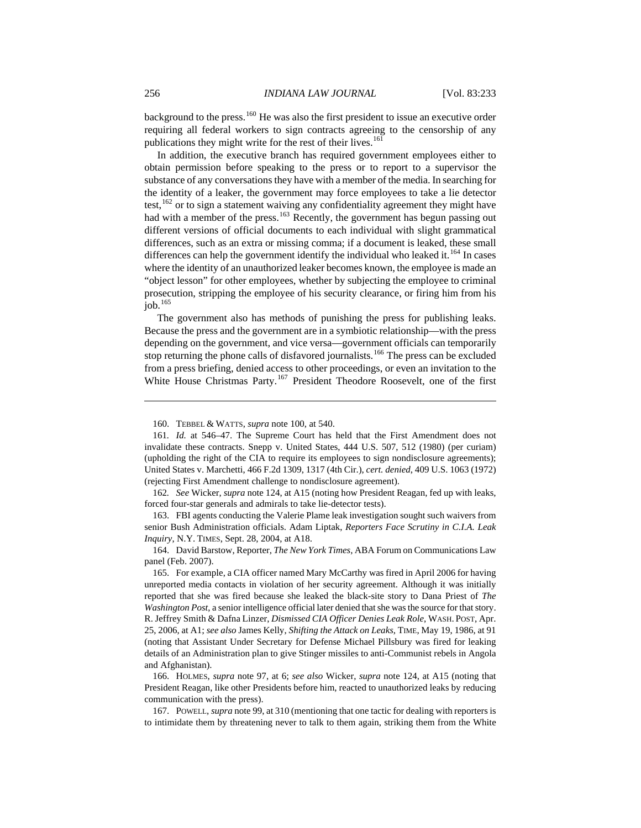background to the press.<sup>[160](#page-24-0)</sup> He was also the first president to issue an executive order requiring all federal workers to sign contracts agreeing to the censorship of any publications they might write for the rest of their lives.<sup>[161](#page-24-1)</sup>

In addition, the executive branch has required government employees either to obtain permission before speaking to the press or to report to a supervisor the substance of any conversations they have with a member of the media. In searching for the identity of a leaker, the government may force employees to take a lie detector test, $162$  or to sign a statement waiving any confidentiality agreement they might have had with a member of the press.<sup>[163](#page-24-3)</sup> Recently, the government has begun passing out different versions of official documents to each individual with slight grammatical differences, such as an extra or missing comma; if a document is leaked, these small differences can help the government identify the individual who leaked it.<sup>[164](#page-24-4)</sup> In cases where the identity of an unauthorized leaker becomes known, the employee is made an "object lesson" for other employees, whether by subjecting the employee to criminal prosecution, stripping the employee of his security clearance, or firing him from his job. $165$ 

The government also has methods of punishing the press for publishing leaks. Because the press and the government are in a symbiotic relationship—with the press depending on the government, and vice versa—government officials can temporarily stop returning the phone calls of disfavored journalists.<sup>[166](#page-24-6)</sup> The press can be excluded from a press briefing, denied access to other proceedings, or even an invitation to the White House Christmas Party.<sup>[167](#page-24-7)</sup> President Theodore Roosevelt, one of the first

<sup>160.</sup> TEBBEL & WATTS, *supra* note 100, at 540.

<span id="page-24-1"></span><span id="page-24-0"></span><sup>161</sup>*. Id.* at 546–47. The Supreme Court has held that the First Amendment does not invalidate these contracts. Snepp v. United States, 444 U.S. 507, 512 (1980) (per curiam) (upholding the right of the CIA to require its employees to sign nondisclosure agreements); United States v. Marchetti, 466 F.2d 1309, 1317 (4th Cir.), *cert. denied*, 409 U.S. 1063 (1972) (rejecting First Amendment challenge to nondisclosure agreement).

<span id="page-24-2"></span><sup>162</sup>*. See* Wicker, *supra* note 124, at A15 (noting how President Reagan, fed up with leaks, forced four-star generals and admirals to take lie-detector tests).

<span id="page-24-3"></span><sup>163.</sup> FBI agents conducting the Valerie Plame leak investigation sought such waivers from senior Bush Administration officials. Adam Liptak, *Reporters Face Scrutiny in C.I.A. Leak Inquiry*, N.Y. TIMES, Sept. 28, 2004, at A18.

<span id="page-24-4"></span><sup>164.</sup> David Barstow, Reporter, *The New York Times*, ABA Forum on Communications Law panel (Feb. 2007).

<span id="page-24-5"></span><sup>165.</sup> For example, a CIA officer named Mary McCarthy was fired in April 2006 for having unreported media contacts in violation of her security agreement. Although it was initially reported that she was fired because she leaked the black-site story to Dana Priest of *The Washington Post*, a senior intelligence official later denied that she was the source for that story. R. Jeffrey Smith & Dafna Linzer, *Dismissed CIA Officer Denies Leak Role*, WASH. POST, Apr. 25, 2006, at A1; *see also* James Kelly, *Shifting the Attack on Leaks*, TIME, May 19, 1986, at 91 (noting that Assistant Under Secretary for Defense Michael Pillsbury was fired for leaking details of an Administration plan to give Stinger missiles to anti-Communist rebels in Angola and Afghanistan).

<span id="page-24-6"></span><sup>166.</sup> HOLMES, *supra* note 97, at 6; *see also* Wicker, *supra* note 124, at A15 (noting that President Reagan, like other Presidents before him, reacted to unauthorized leaks by reducing communication with the press).

<span id="page-24-7"></span><sup>167.</sup> POWELL, *supra* note 99, at 310 (mentioning that one tactic for dealing with reporters is to intimidate them by threatening never to talk to them again, striking them from the White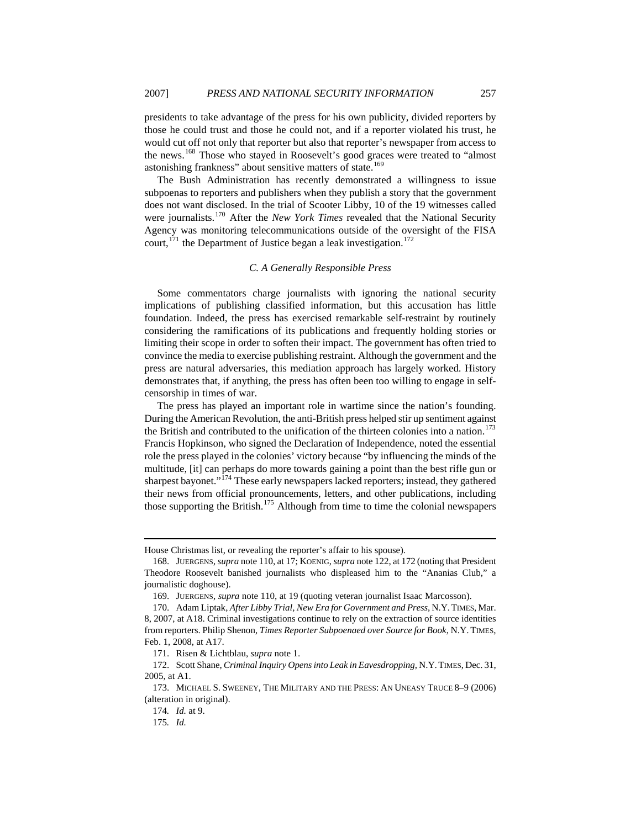<span id="page-25-0"></span>presidents to take advantage of the press for his own publicity, divided reporters by those he could trust and those he could not, and if a reporter violated his trust, he would cut off not only that reporter but also that reporter's newspaper from access to the news.[168](#page-25-1) Those who stayed in Roosevelt's good graces were treated to "almost astonishing frankness" about sensitive matters of state.<sup>[169](#page-25-2)</sup>

The Bush Administration has recently demonstrated a willingness to issue subpoenas to reporters and publishers when they publish a story that the government does not want disclosed. In the trial of Scooter Libby, 10 of the 19 witnesses called were journalists.<sup>[170](#page-25-3)</sup> After the *New York Times* revealed that the National Security Agency was monitoring telecommunications outside of the oversight of the FISA court,  $171$  the Department of Justice began a leak investigation.<sup>[172](#page-25-5)</sup>

#### *C. A Generally Responsible Press*

Some commentators charge journalists with ignoring the national security implications of publishing classified information, but this accusation has little foundation. Indeed, the press has exercised remarkable self-restraint by routinely considering the ramifications of its publications and frequently holding stories or limiting their scope in order to soften their impact. The government has often tried to convince the media to exercise publishing restraint. Although the government and the press are natural adversaries, this mediation approach has largely worked. History demonstrates that, if anything, the press has often been too willing to engage in selfcensorship in times of war.

The press has played an important role in wartime since the nation's founding. During the American Revolution, the anti-British press helped stir up sentiment against the British and contributed to the unification of the thirteen colonies into a nation.<sup>[173](#page-25-6)</sup> Francis Hopkinson, who signed the Declaration of Independence, noted the essential role the press played in the colonies' victory because "by influencing the minds of the multitude, [it] can perhaps do more towards gaining a point than the best rifle gun or sharpest bayonet."<sup>[174](#page-25-7)</sup> These early newspapers lacked reporters; instead, they gathered their news from official pronouncements, letters, and other publications, including those supporting the British.<sup>[175](#page-25-8)</sup> Although from time to time the colonial newspapers

House Christmas list, or revealing the reporter's affair to his spouse).

<span id="page-25-1"></span><sup>168.</sup> JUERGENS, *supra* note 110, at 17; KOENIG, *supra* note 122, at 172 (noting that President Theodore Roosevelt banished journalists who displeased him to the "Ananias Club," a journalistic doghouse).

<sup>169.</sup> JUERGENS, *supra* note 110, at 19 (quoting veteran journalist Isaac Marcosson).

<span id="page-25-3"></span><span id="page-25-2"></span><sup>170.</sup> Adam Liptak, *After Libby Trial, New Era for Government and Press*, N.Y.TIMES, Mar. 8, 2007, at A18. Criminal investigations continue to rely on the extraction of source identities from reporters. Philip Shenon, *Times Reporter Subpoenaed over Source for Book*, N.Y. TIMES, Feb. 1, 2008, at A17.

<sup>171.</sup> Risen & Lichtblau, *supra* note 1.

<span id="page-25-5"></span><span id="page-25-4"></span><sup>172.</sup> Scott Shane, *Criminal Inquiry Opens into Leak in Eavesdropping*, N.Y.TIMES, Dec. 31, 2005, at A1.

<span id="page-25-8"></span><span id="page-25-7"></span><span id="page-25-6"></span><sup>173.</sup> MICHAEL S. SWEENEY, THE MILITARY AND THE PRESS: AN UNEASY TRUCE 8–9 (2006) (alteration in original).

<sup>174</sup>*. Id.* at 9.

<sup>175</sup>*. Id.*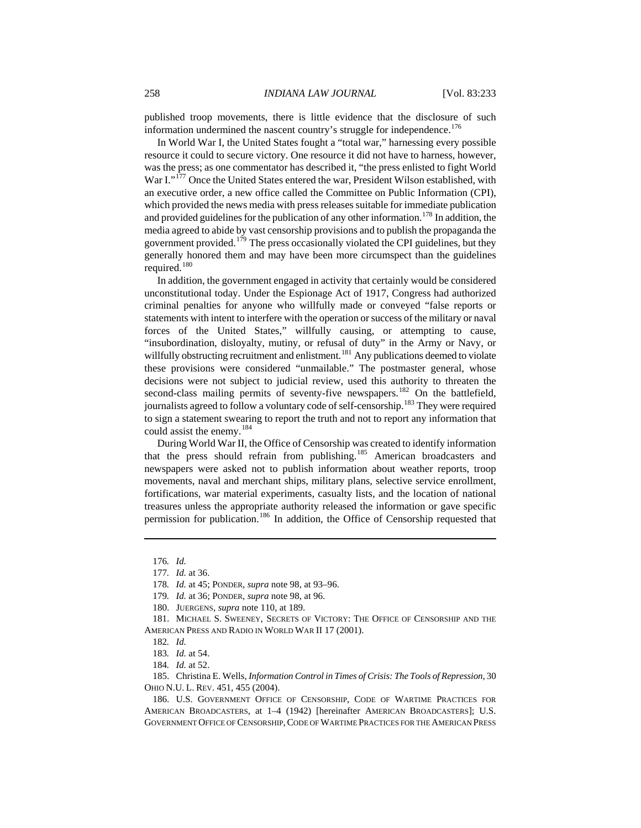published troop movements, there is little evidence that the disclosure of such information undermined the nascent country's struggle for independence.<sup>[176](#page-26-0)</sup>

In World War I, the United States fought a "total war," harnessing every possible resource it could to secure victory. One resource it did not have to harness, however, was the press; as one commentator has described it, "the press enlisted to fight World War I."<sup>[177](#page-26-1)</sup> Once the United States entered the war, President Wilson established, with an executive order, a new office called the Committee on Public Information (CPI), which provided the news media with press releases suitable for immediate publication and provided guidelines for the publication of any other information.<sup>[178](#page-26-2)</sup> In addition, the media agreed to abide by vast censorship provisions and to publish the propaganda the government provided.<sup>[179](#page-26-3)</sup> The press occasionally violated the CPI guidelines, but they generally honored them and may have been more circumspect than the guidelines required.<sup>[180](#page-26-4)</sup>

In addition, the government engaged in activity that certainly would be considered unconstitutional today. Under the Espionage Act of 1917, Congress had authorized criminal penalties for anyone who willfully made or conveyed "false reports or statements with intent to interfere with the operation or success of the military or naval forces of the United States," willfully causing, or attempting to cause, "insubordination, disloyalty, mutiny, or refusal of duty" in the Army or Navy, or willfully obstructing recruitment and enlistment.<sup>[181](#page-26-5)</sup> Any publications deemed to violate these provisions were considered "unmailable." The postmaster general, whose decisions were not subject to judicial review, used this authority to threaten the second-class mailing permits of seventy-five newspapers.<sup>[182](#page-26-6)</sup> On the battlefield, journalists agreed to follow a voluntary code of self-censorship.<sup>[183](#page-26-7)</sup> They were required to sign a statement swearing to report the truth and not to report any information that could assist the enemy.<sup>[184](#page-26-8)</sup>

During World War II, the Office of Censorship was created to identify information that the press should refrain from publishing.<sup>[185](#page-26-9)</sup> American broadcasters and newspapers were asked not to publish information about weather reports, troop movements, naval and merchant ships, military plans, selective service enrollment, fortifications, war material experiments, casualty lists, and the location of national treasures unless the appropriate authority released the information or gave specific permission for publication.<sup>[186](#page-26-10)</sup> In addition, the Office of Censorship requested that

<span id="page-26-0"></span><sup>176</sup>*. Id.*

<sup>177</sup>*. Id.* at 36.

<sup>178</sup>*. Id.* at 45; PONDER, *supra* note 98, at 93–96.

<sup>179</sup>*. Id.* at 36; PONDER, *supra* note 98, at 96.

<sup>180.</sup> JUERGENS, *supra* note 110, at 189.

<span id="page-26-6"></span><span id="page-26-5"></span><span id="page-26-4"></span><span id="page-26-3"></span><span id="page-26-2"></span><span id="page-26-1"></span><sup>181.</sup> MICHAEL S. SWEENEY, SECRETS OF VICTORY: THE OFFICE OF CENSORSHIP AND THE AMERICAN PRESS AND RADIO IN WORLD WAR II 17 (2001).

<sup>182</sup>*. Id.*

<sup>183</sup>*. Id.* at 54.

<sup>184</sup>*. Id.* at 52.

<span id="page-26-9"></span><span id="page-26-8"></span><span id="page-26-7"></span><sup>185.</sup> Christina E. Wells, *Information Control in Times of Crisis: The Tools of Repression*, 30 OHIO N.U. L. REV. 451, 455 (2004).

<span id="page-26-10"></span><sup>186.</sup> U.S. GOVERNMENT OFFICE OF CENSORSHIP, CODE OF WARTIME PRACTICES FOR AMERICAN BROADCASTERS, at 1–4 (1942) [hereinafter AMERICAN BROADCASTERS]; U.S. GOVERNMENT OFFICE OF CENSORSHIP,CODE OF WARTIME PRACTICES FOR THE AMERICAN PRESS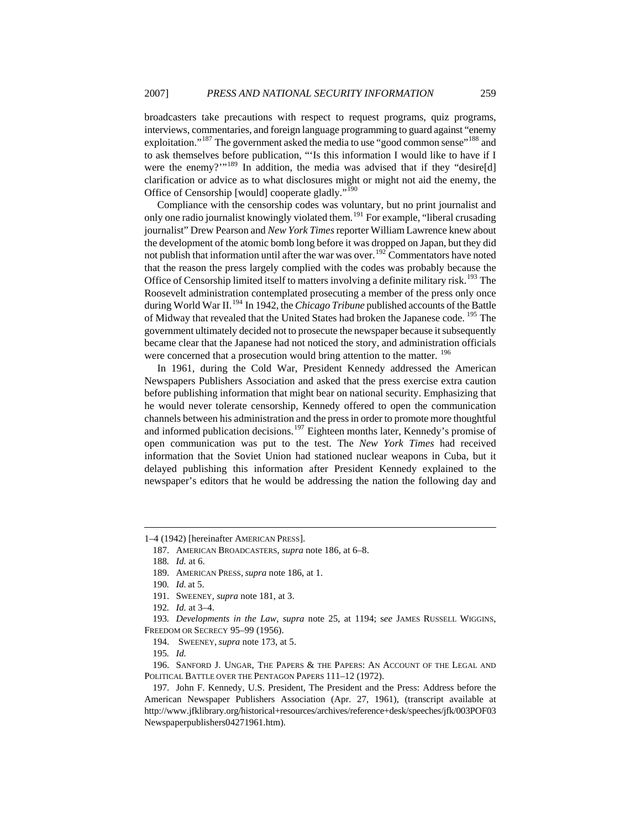broadcasters take precautions with respect to request programs, quiz programs, interviews, commentaries, and foreign language programming to guard against "enemy exploitation."<sup>[187](#page-27-0)</sup> The government asked the media to use "good common sense"<sup>188</sup> and to ask themselves before publication, "'Is this information I would like to have if I were the enemy?"<sup>[189](#page-27-2)</sup> In addition, the media was advised that if they "desire[d] clarification or advice as to what disclosures might or might not aid the enemy, the Office of Censorship [would] cooperate gladly."[190](#page-27-3)

Compliance with the censorship codes was voluntary, but no print journalist and only one radio journalist knowingly violated them.<sup>[191](#page-27-4)</sup> For example, "liberal crusading journalist" Drew Pearson and *New York Times* reporter William Lawrence knew about the development of the atomic bomb long before it was dropped on Japan, but they did not publish that information until after the war was over.<sup>[192](#page-27-5)</sup> Commentators have noted that the reason the press largely complied with the codes was probably because the Office of Censorship limited itself to matters involving a definite military risk.<sup>[193](#page-27-6)</sup> The Roosevelt administration contemplated prosecuting a member of the press only once during World War II.<sup>[194](#page-27-7)</sup> In 1942, the *Chicago Tribune* published accounts of the Battle of Midway that revealed that the United States had broken the Japanese code. [195](#page-27-8) The government ultimately decided not to prosecute the newspaper because it subsequently became clear that the Japanese had not noticed the story, and administration officials were concerned that a prosecution would bring attention to the matter. <sup>[196](#page-27-9)</sup>

In 1961, during the Cold War, President Kennedy addressed the American Newspapers Publishers Association and asked that the press exercise extra caution before publishing information that might bear on national security. Emphasizing that he would never tolerate censorship, Kennedy offered to open the communication channels between his administration and the press in order to promote more thoughtful and informed publication decisions.<sup>[197](#page-27-10)</sup> Eighteen months later, Kennedy's promise of open communication was put to the test. The *New York Times* had received information that the Soviet Union had stationed nuclear weapons in Cuba, but it delayed publishing this information after President Kennedy explained to the newspaper's editors that he would be addressing the nation the following day and

 $\overline{a}$ 

195*. Id.*

<span id="page-27-9"></span><span id="page-27-8"></span>196. SANFORD J. UNGAR, THE PAPERS & THE PAPERS: AN ACCOUNT OF THE LEGAL AND POLITICAL BATTLE OVER THE PENTAGON PAPERS 111–12 (1972).

<span id="page-27-2"></span><span id="page-27-1"></span><span id="page-27-0"></span><sup>1–4 (1942) [</sup>hereinafter AMERICAN PRESS].

<sup>187.</sup> AMERICAN BROADCASTERS, *supra* note 186, at 6–8.

<sup>188</sup>*. Id.* at 6.

<sup>189.</sup> AMERICAN PRESS, *supra* note 186, at 1.

<sup>190</sup>*. Id.* at 5.

<sup>191.</sup> SWEENEY, *supra* note 181, at 3.

<sup>192</sup>*. Id.* at 3–4.

<span id="page-27-7"></span><span id="page-27-6"></span><span id="page-27-5"></span><span id="page-27-4"></span><span id="page-27-3"></span><sup>193</sup>*. Developments in the Law, supra* note 25, at 1194; s*ee* JAMES RUSSELL WIGGINS, FREEDOM OR SECRECY 95–99 (1956).

<sup>194.</sup> SWEENEY, *supra* note 173, at 5.

<span id="page-27-10"></span><sup>197.</sup> John F. Kennedy, U.S. President, The President and the Press: Address before the American Newspaper Publishers Association (Apr. 27, 1961), (transcript available at http://www.jfklibrary.org/historical+resources/archives/reference+desk/speeches/jfk/003POF03 Newspaperpublishers04271961.htm).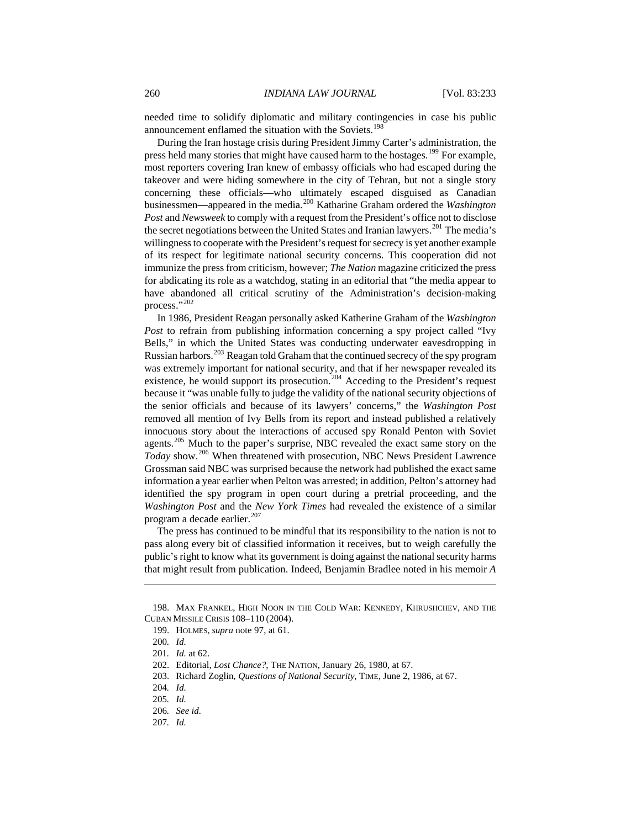needed time to solidify diplomatic and military contingencies in case his public announcement enflamed the situation with the Soviets.<sup>[198](#page-28-0)</sup>

During the Iran hostage crisis during President Jimmy Carter's administration, the press held many stories that might have caused harm to the hostages.<sup>[199](#page-28-1)</sup> For example, most reporters covering Iran knew of embassy officials who had escaped during the takeover and were hiding somewhere in the city of Tehran, but not a single story concerning these officials—who ultimately escaped disguised as Canadian businessmen—appeared in the media.[200](#page-28-2) Katharine Graham ordered the *Washington Post* and *Newsweek* to comply with a request from the President's office not to disclose the secret negotiations between the United States and Iranian lawyers.<sup>[201](#page-28-3)</sup> The media's willingness to cooperate with the President's request for secrecy is yet another example of its respect for legitimate national security concerns. This cooperation did not immunize the press from criticism, however; *The Nation* magazine criticized the press for abdicating its role as a watchdog, stating in an editorial that "the media appear to have abandoned all critical scrutiny of the Administration's decision-making process."[202](#page-28-4)

In 1986, President Reagan personally asked Katherine Graham of the *Washington Post* to refrain from publishing information concerning a spy project called "Ivy Bells," in which the United States was conducting underwater eavesdropping in Russian harbors.<sup>[203](#page-28-5)</sup> Reagan told Graham that the continued secrecy of the spy program was extremely important for national security, and that if her newspaper revealed its existence, he would support its prosecution.<sup>[204](#page-28-6)</sup> Acceding to the President's request because it "was unable fully to judge the validity of the national security objections of the senior officials and because of its lawyers' concerns," the *Washington Post* removed all mention of Ivy Bells from its report and instead published a relatively innocuous story about the interactions of accused spy Ronald Penton with Soviet agents.[205](#page-28-7) Much to the paper's surprise, NBC revealed the exact same story on the *Today* show.<sup>206</sup> When threatened with prosecution, NBC News President Lawrence Grossman said NBC was surprised because the network had published the exact same information a year earlier when Pelton was arrested; in addition, Pelton's attorney had identified the spy program in open court during a pretrial proceeding, and the *Washington Post* and the *New York Times* had revealed the existence of a similar program a decade earlier.<sup>[207](#page-28-9)</sup>

The press has continued to be mindful that its responsibility to the nation is not to pass along every bit of classified information it receives, but to weigh carefully the public's right to know what its government is doing against the national security harms that might result from publication. Indeed, Benjamin Bradlee noted in his memoir *A* 

<span id="page-28-3"></span><span id="page-28-2"></span><span id="page-28-1"></span><span id="page-28-0"></span><sup>198.</sup> MAX FRANKEL, HIGH NOON IN THE COLD WAR: KENNEDY, KHRUSHCHEV, AND THE CUBAN MISSILE CRISIS 108–110 (2004).

<sup>199.</sup> HOLMES, *supra* note 97, at 61.

<sup>200</sup>*. Id.*

<sup>201</sup>*. Id.* at 62.

<span id="page-28-4"></span><sup>202.</sup> Editorial, *Lost Chance?*, THE NATION, January 26, 1980, at 67.

<span id="page-28-5"></span><sup>203.</sup> Richard Zoglin, *Questions of National Security*, TIME, June 2, 1986, at 67.

<span id="page-28-6"></span><sup>204</sup>*. Id.* 

<span id="page-28-7"></span><sup>205</sup>*. Id.*

<span id="page-28-8"></span><sup>206</sup>*. See id.*

<span id="page-28-9"></span><sup>207</sup>*. Id.*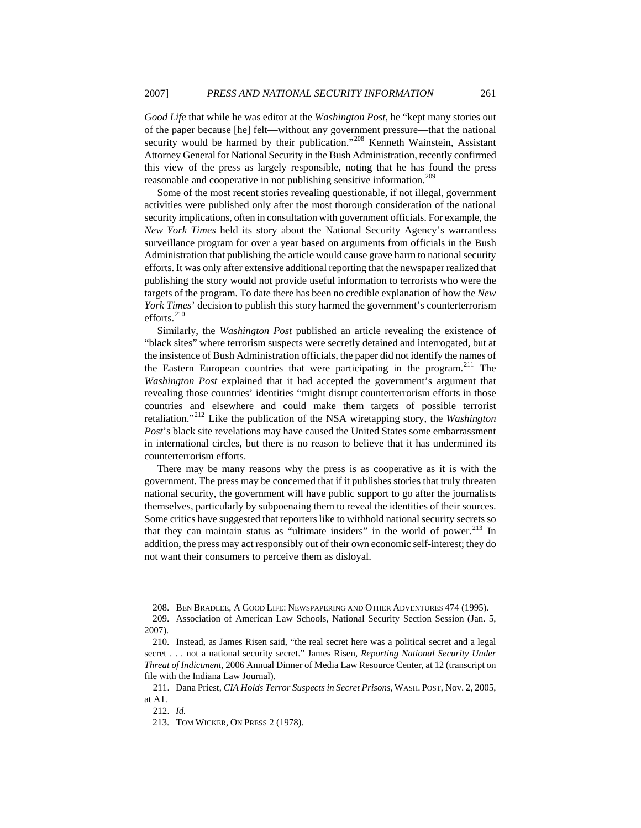*Good Life* that while he was editor at the *Washington Post*, he "kept many stories out of the paper because [he] felt—without any government pressure—that the national security would be harmed by their publication."<sup>[208](#page-29-0)</sup> Kenneth Wainstein, Assistant Attorney General for National Security in the Bush Administration, recently confirmed this view of the press as largely responsible, noting that he has found the press reasonable and cooperative in not publishing sensitive information.<sup>[209](#page-29-1)</sup>

Some of the most recent stories revealing questionable, if not illegal, government activities were published only after the most thorough consideration of the national security implications, often in consultation with government officials. For example, the *New York Times* held its story about the National Security Agency's warrantless surveillance program for over a year based on arguments from officials in the Bush Administration that publishing the article would cause grave harm to national security efforts. It was only after extensive additional reporting that the newspaper realized that publishing the story would not provide useful information to terrorists who were the targets of the program. To date there has been no credible explanation of how the *New York Times*' decision to publish this story harmed the government's counterterrorism efforts. $210$ 

Similarly, the *Washington Post* published an article revealing the existence of "black sites" where terrorism suspects were secretly detained and interrogated, but at the insistence of Bush Administration officials, the paper did not identify the names of the Eastern European countries that were participating in the program.<sup>[211](#page-29-3)</sup> The *Washington Post* explained that it had accepted the government's argument that revealing those countries' identities "might disrupt counterterrorism efforts in those countries and elsewhere and could make them targets of possible terrorist retaliation."[212](#page-29-4) Like the publication of the NSA wiretapping story, the *Washington Post*'s black site revelations may have caused the United States some embarrassment in international circles, but there is no reason to believe that it has undermined its counterterrorism efforts.

There may be many reasons why the press is as cooperative as it is with the government. The press may be concerned that if it publishes stories that truly threaten national security, the government will have public support to go after the journalists themselves, particularly by subpoenaing them to reveal the identities of their sources. Some critics have suggested that reporters like to withhold national security secrets so that they can maintain status as "ultimate insiders" in the world of power.<sup>[213](#page-29-5)</sup> In addition, the press may act responsibly out of their own economic self-interest; they do not want their consumers to perceive them as disloyal.

<sup>208.</sup> BEN BRADLEE, A GOOD LIFE: NEWSPAPERING AND OTHER ADVENTURES 474 (1995).

<span id="page-29-1"></span><span id="page-29-0"></span><sup>209.</sup> Association of American Law Schools, National Security Section Session (Jan. 5, 2007).

<span id="page-29-2"></span><sup>210.</sup> Instead, as James Risen said, "the real secret here was a political secret and a legal secret . . . not a national security secret." James Risen, *Reporting National Security Under Threat of Indictment*, 2006 Annual Dinner of Media Law Resource Center, at 12 (transcript on file with the Indiana Law Journal).

<span id="page-29-5"></span><span id="page-29-4"></span><span id="page-29-3"></span><sup>211.</sup> Dana Priest, *CIA Holds Terror Suspects in Secret Prisons*, WASH. POST, Nov. 2, 2005, at A1.

<sup>212.</sup> *Id.*

<sup>213.</sup> TOM WICKER, ON PRESS 2 (1978).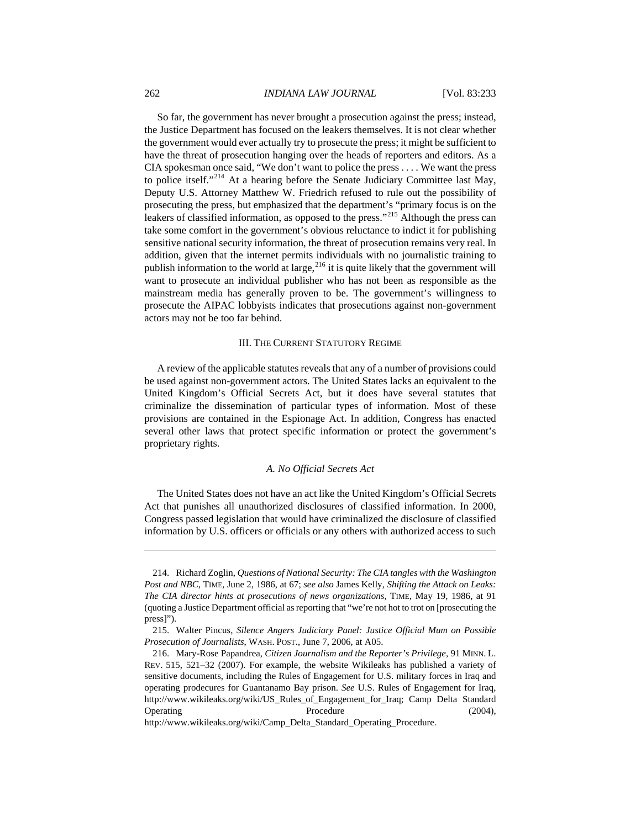So far, the government has never brought a prosecution against the press; instead, the Justice Department has focused on the leakers themselves. It is not clear whether the government would ever actually try to prosecute the press; it might be sufficient to have the threat of prosecution hanging over the heads of reporters and editors. As a CIA spokesman once said, "We don't want to police the press . . . . We want the press to police itself."[214](#page-30-1) At a hearing before the Senate Judiciary Committee last May, Deputy U.S. Attorney Matthew W. Friedrich refused to rule out the possibility of prosecuting the press, but emphasized that the department's "primary focus is on the leakers of classified information, as opposed to the press."<sup>[215](#page-30-2)</sup> Although the press can take some comfort in the government's obvious reluctance to indict it for publishing sensitive national security information, the threat of prosecution remains very real. In addition, given that the internet permits individuals with no journalistic training to publish information to the world at large,  $^{216}$  $^{216}$  $^{216}$  it is quite likely that the government will want to prosecute an individual publisher who has not been as responsible as the mainstream media has generally proven to be. The government's willingness to prosecute the AIPAC lobbyists indicates that prosecutions against non-government actors may not be too far behind.

#### III. THE CURRENT STATUTORY REGIME

A review of the applicable statutes reveals that any of a number of provisions could be used against non-government actors. The United States lacks an equivalent to the United Kingdom's Official Secrets Act, but it does have several statutes that criminalize the dissemination of particular types of information. Most of these provisions are contained in the Espionage Act. In addition, Congress has enacted several other laws that protect specific information or protect the government's proprietary rights.

#### *A. No Official Secrets Act*

The United States does not have an act like the United Kingdom's Official Secrets Act that punishes all unauthorized disclosures of classified information. In 2000, Congress passed legislation that would have criminalized the disclosure of classified information by U.S. officers or officials or any others with authorized access to such

http://www.wikileaks.org/wiki/Camp\_Delta\_Standard\_Operating\_Procedure.

<span id="page-30-0"></span>

<span id="page-30-1"></span><sup>214.</sup> Richard Zoglin, *Questions of National Security: The CIA tangles with the Washington Post and NBC*, TIME, June 2, 1986, at 67; *see also* James Kelly, *Shifting the Attack on Leaks: The CIA director hints at prosecutions of news organizations*, TIME, May 19, 1986, at 91 (quoting a Justice Department official as reporting that "we're not hot to trot on [prosecuting the press]").

<span id="page-30-2"></span><sup>215.</sup> Walter Pincus, *Silence Angers Judiciary Panel: Justice Official Mum on Possible Prosecution of Journalists*, WASH. POST., June 7, 2006, at A05.

<span id="page-30-3"></span><sup>216.</sup> Mary-Rose Papandrea, *Citizen Journalism and the Reporter's Privilege*, 91 MINN. L. REV. 515, 521–32 (2007). For example, the website Wikileaks has published a variety of sensitive documents, including the Rules of Engagement for U.S. military forces in Iraq and operating prodecures for Guantanamo Bay prison. *See* U.S. Rules of Engagement for Iraq, [http://www.wikileaks.org/wiki/US\\_Rules\\_of\\_Engagement\\_for\\_Iraq](http://www.wikileaks.org/wiki/US_Rules_of_Engagement_for_Iraq); Camp Delta Standard Operating Procedure Procedure (2004),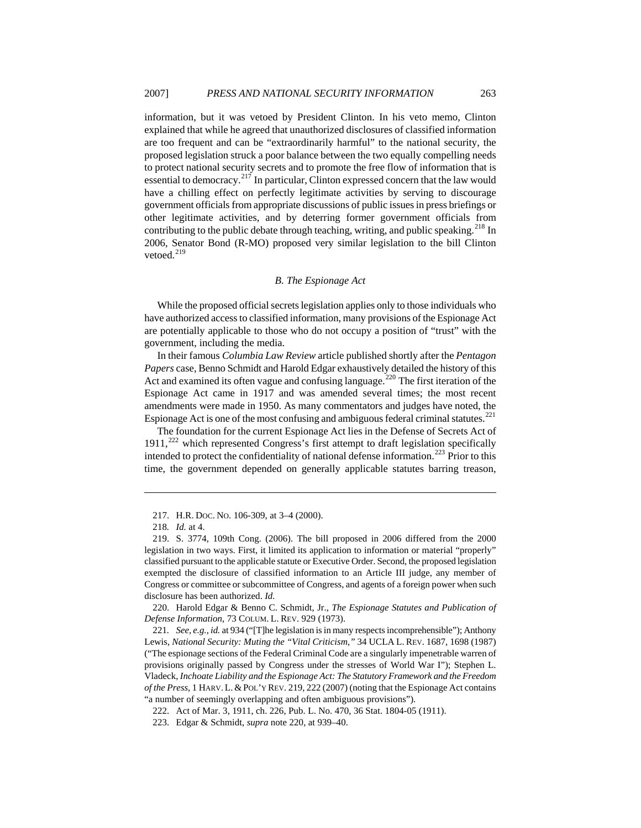<span id="page-31-0"></span>information, but it was vetoed by President Clinton. In his veto memo, Clinton explained that while he agreed that unauthorized disclosures of classified information are too frequent and can be "extraordinarily harmful" to the national security, the proposed legislation struck a poor balance between the two equally compelling needs to protect national security secrets and to promote the free flow of information that is essential to democracy.<sup>[217](#page-31-1)</sup> In particular, Clinton expressed concern that the law would have a chilling effect on perfectly legitimate activities by serving to discourage government officials from appropriate discussions of public issues in press briefings or other legitimate activities, and by deterring former government officials from contributing to the public debate through teaching, writing, and public speaking.<sup>[218](#page-31-2)</sup> In 2006, Senator Bond (R-MO) proposed very similar legislation to the bill Clinton vetoed.<sup>[219](#page-31-3)</sup>

#### *B. The Espionage Act*

While the proposed official secrets legislation applies only to those individuals who have authorized access to classified information, many provisions of the Espionage Act are potentially applicable to those who do not occupy a position of "trust" with the government, including the media.

In their famous *Columbia Law Review* article published shortly after the *Pentagon Papers* case, Benno Schmidt and Harold Edgar exhaustively detailed the history of this Act and examined its often vague and confusing language.<sup>[220](#page-31-4)</sup> The first iteration of the Espionage Act came in 1917 and was amended several times; the most recent amendments were made in 1950. As many commentators and judges have noted, the Espionage Act is one of the most confusing and ambiguous federal criminal statutes.<sup>[221](#page-31-5)</sup>

The foundation for the current Espionage Act lies in the Defense of Secrets Act of  $1911$ ,<sup>[222](#page-31-6)</sup> which represented Congress's first attempt to draft legislation specifically intended to protect the confidentiality of national defense information.<sup>[223](#page-31-7)</sup> Prior to this time, the government depended on generally applicable statutes barring treason,

 $\overline{a}$ 

<span id="page-31-4"></span>220. Harold Edgar & Benno C. Schmidt, Jr., *The Espionage Statutes and Publication of Defense Information*, 73 COLUM. L. REV. 929 (1973).

<sup>217.</sup> H.R. DOC. NO. 106-309, at 3–4 (2000).

<sup>218</sup>*. Id.* at 4.

<span id="page-31-3"></span><span id="page-31-2"></span><span id="page-31-1"></span><sup>219.</sup> S. 3774, 109th Cong. (2006). The bill proposed in 2006 differed from the 2000 legislation in two ways. First, it limited its application to information or material "properly" classified pursuant to the applicable statute or Executive Order. Second, the proposed legislation exempted the disclosure of classified information to an Article III judge, any member of Congress or committee or subcommittee of Congress, and agents of a foreign power when such disclosure has been authorized. *Id.*

<span id="page-31-5"></span><sup>221</sup>*. See, e.g.*, *id.* at 934 ("[T]he legislation is in many respects incomprehensible"); Anthony Lewis, *National Security: Muting the "Vital Criticism*,*"* 34 UCLA L. REV. 1687, 1698 (1987) ("The espionage sections of the Federal Criminal Code are a singularly impenetrable warren of provisions originally passed by Congress under the stresses of World War I"); Stephen L. Vladeck, *Inchoate Liability and the Espionage Act: The Statutory Framework and the Freedom of the Press*, 1 HARV. L. & POL'Y REV. 219, 222 (2007) (noting that the Espionage Act contains "a number of seemingly overlapping and often ambiguous provisions").

<span id="page-31-6"></span><sup>222.</sup> Act of Mar. 3, 1911, ch. 226, Pub. L. No. 470, 36 Stat. 1804-05 (1911).

<span id="page-31-7"></span><sup>223.</sup> Edgar & Schmidt, *supra* note 220, at 939–40.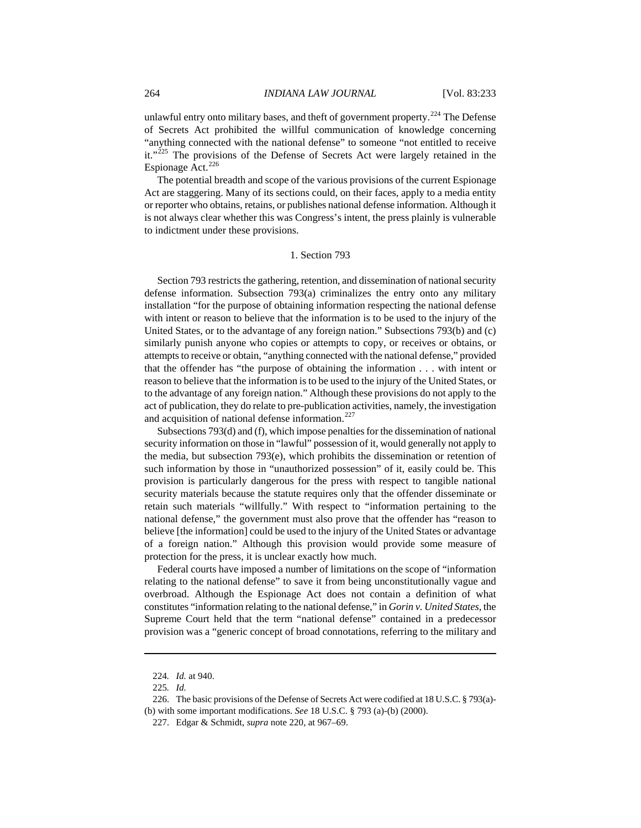unlawful entry onto military bases, and theft of government property.<sup>[224](#page-32-0)</sup> The Defense of Secrets Act prohibited the willful communication of knowledge concerning "anything connected with the national defense" to someone "not entitled to receive it."<sup>[225](#page-32-1)</sup> The provisions of the Defense of Secrets Act were largely retained in the Espionage Act. $^{226}$  $^{226}$  $^{226}$ 

The potential breadth and scope of the various provisions of the current Espionage Act are staggering. Many of its sections could, on their faces, apply to a media entity or reporter who obtains, retains, or publishes national defense information. Although it is not always clear whether this was Congress's intent, the press plainly is vulnerable to indictment under these provisions.

#### 1. Section 793

Section 793 restricts the gathering, retention, and dissemination of national security defense information. Subsection 793(a) criminalizes the entry onto any military installation "for the purpose of obtaining information respecting the national defense with intent or reason to believe that the information is to be used to the injury of the United States, or to the advantage of any foreign nation." Subsections 793(b) and (c) similarly punish anyone who copies or attempts to copy, or receives or obtains, or attempts to receive or obtain, "anything connected with the national defense," provided that the offender has "the purpose of obtaining the information . . . with intent or reason to believe that the information is to be used to the injury of the United States, or to the advantage of any foreign nation." Although these provisions do not apply to the act of publication, they do relate to pre-publication activities, namely, the investigation and acquisition of national defense information.<sup>[227](#page-32-3)</sup>

Subsections 793(d) and (f), which impose penalties for the dissemination of national security information on those in "lawful" possession of it, would generally not apply to the media, but subsection 793(e), which prohibits the dissemination or retention of such information by those in "unauthorized possession" of it, easily could be. This provision is particularly dangerous for the press with respect to tangible national security materials because the statute requires only that the offender disseminate or retain such materials "willfully." With respect to "information pertaining to the national defense," the government must also prove that the offender has "reason to believe [the information] could be used to the injury of the United States or advantage of a foreign nation." Although this provision would provide some measure of protection for the press, it is unclear exactly how much.

Federal courts have imposed a number of limitations on the scope of "information relating to the national defense" to save it from being unconstitutionally vague and overbroad. Although the Espionage Act does not contain a definition of what constitutes "information relating to the national defense," in *Gorin v. United States*, the Supreme Court held that the term "national defense" contained in a predecessor provision was a "generic concept of broad connotations, referring to the military and

<sup>224</sup>*. Id.* at 940.

<sup>225</sup>*. Id.*

<span id="page-32-3"></span><span id="page-32-2"></span><span id="page-32-1"></span><span id="page-32-0"></span><sup>226.</sup> The basic provisions of the Defense of Secrets Act were codified at 18 U.S.C. § 793(a)- (b) with some important modifications. *See* 18 U.S.C. § 793 (a)-(b) (2000).

<sup>227.</sup> Edgar & Schmidt, *supra* note 220, at 967–69.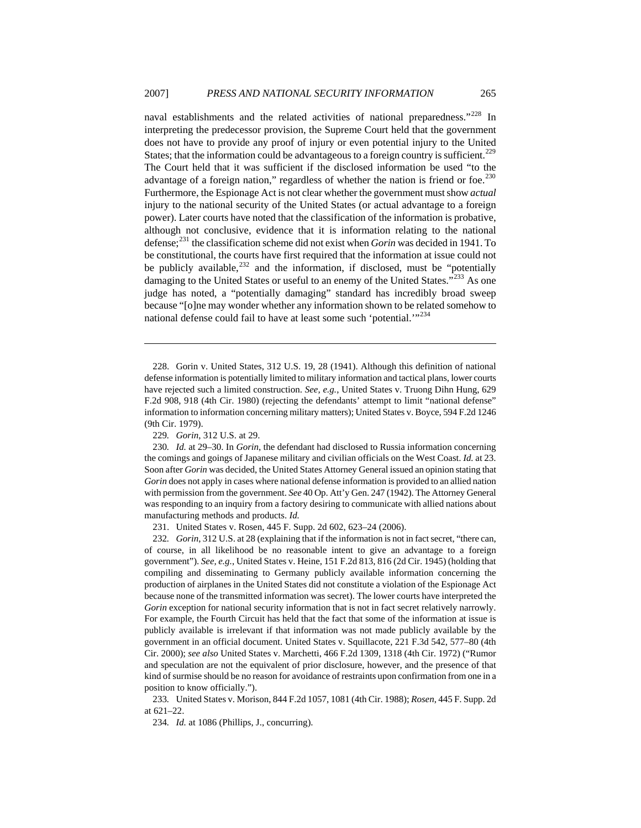naval establishments and the related activities of national preparedness."<sup>[228](#page-33-0)</sup> In interpreting the predecessor provision, the Supreme Court held that the government does not have to provide any proof of injury or even potential injury to the United States; that the information could be advantageous to a foreign country is sufficient.<sup>[229](#page-33-1)</sup> The Court held that it was sufficient if the disclosed information be used "to the advantage of a foreign nation," regardless of whether the nation is friend or foe.<sup>[230](#page-33-2)</sup> Furthermore, the Espionage Act is not clear whether the government must show *actual* injury to the national security of the United States (or actual advantage to a foreign power). Later courts have noted that the classification of the information is probative, although not conclusive, evidence that it is information relating to the national defense;[231](#page-33-3) the classification scheme did not exist when *Gorin* was decided in 1941. To be constitutional, the courts have first required that the information at issue could not be publicly available, $^{232}$  $^{232}$  $^{232}$  and the information, if disclosed, must be "potentially damaging to the United States or useful to an enemy of the United States."<sup>[233](#page-33-5)</sup> As one judge has noted, a "potentially damaging" standard has incredibly broad sweep because "[o]ne may wonder whether any information shown to be related somehow to national defense could fail to have at least some such 'potential.'"<sup>[234](#page-33-6)</sup>

<span id="page-33-0"></span>228. Gorin v. United States, 312 U.S. 19, 28 (1941). Although this definition of national defense information is potentially limited to military information and tactical plans, lower courts have rejected such a limited construction. *See, e.g.*, United States v. Truong Dihn Hung, 629 F.2d 908, 918 (4th Cir. 1980) (rejecting the defendants' attempt to limit "national defense" information to information concerning military matters); United States v. Boyce, 594 F.2d 1246 (9th Cir. 1979).

 $\overline{a}$ 

<span id="page-33-2"></span><span id="page-33-1"></span>230*. Id.* at 29–30. In *Gorin*, the defendant had disclosed to Russia information concerning the comings and goings of Japanese military and civilian officials on the West Coast. *Id.* at 23. Soon after *Gorin* was decided, the United States Attorney General issued an opinion stating that *Gorin* does not apply in cases where national defense information is provided to an allied nation with permission from the government. *See* 40 Op. Att'y Gen. 247 (1942). The Attorney General was responding to an inquiry from a factory desiring to communicate with allied nations about manufacturing methods and products. *Id.*

231. United States v. Rosen, 445 F. Supp. 2d 602, 623–24 (2006).

<span id="page-33-4"></span><span id="page-33-3"></span>232*. Gorin*, 312 U.S. at 28 (explaining that if the information is not in fact secret, "there can, of course, in all likelihood be no reasonable intent to give an advantage to a foreign government"). *See, e.g.*, United States v. Heine, 151 F.2d 813, 816 (2d Cir. 1945) (holding that compiling and disseminating to Germany publicly available information concerning the production of airplanes in the United States did not constitute a violation of the Espionage Act because none of the transmitted information was secret). The lower courts have interpreted the *Gorin* exception for national security information that is not in fact secret relatively narrowly. For example, the Fourth Circuit has held that the fact that some of the information at issue is publicly available is irrelevant if that information was not made publicly available by the government in an official document. United States v. Squillacote, 221 F.3d 542, 577–80 (4th Cir. 2000); *see also* United States v. Marchetti, 466 F.2d 1309, 1318 (4th Cir. 1972) ("Rumor and speculation are not the equivalent of prior disclosure, however, and the presence of that kind of surmise should be no reason for avoidance of restraints upon confirmation from one in a position to know officially.").

<span id="page-33-6"></span><span id="page-33-5"></span>233*.* United States v. Morison, 844 F.2d 1057, 1081 (4th Cir. 1988); *Rosen*, 445 F. Supp. 2d at 621–22.

234*. Id.* at 1086 (Phillips, J., concurring).

<sup>229</sup>*. Gorin*, 312 U.S. at 29.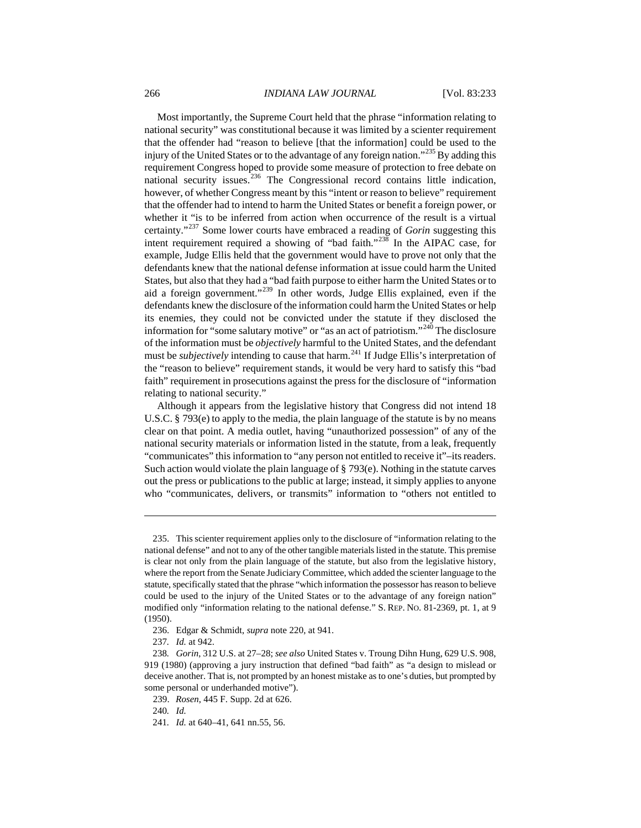Most importantly, the Supreme Court held that the phrase "information relating to national security" was constitutional because it was limited by a scienter requirement that the offender had "reason to believe [that the information] could be used to the injury of the United States or to the advantage of any foreign nation."<sup>[235](#page-34-0)</sup>By adding this requirement Congress hoped to provide some measure of protection to free debate on national security issues. $^{236}$  $^{236}$  $^{236}$  The Congressional record contains little indication, however, of whether Congress meant by this "intent or reason to believe" requirement that the offender had to intend to harm the United States or benefit a foreign power, or whether it "is to be inferred from action when occurrence of the result is a virtual certainty."[237](#page-34-2) Some lower courts have embraced a reading of *Gorin* suggesting this intent requirement required a showing of "bad faith."<sup>[238](#page-34-3)</sup> In the AIPAC case, for example, Judge Ellis held that the government would have to prove not only that the defendants knew that the national defense information at issue could harm the United States, but also that they had a "bad faith purpose to either harm the United States or to aid a foreign government."[239](#page-34-4) In other words, Judge Ellis explained, even if the defendants knew the disclosure of the information could harm the United States or help its enemies, they could not be convicted under the statute if they disclosed the information for "some salutary motive" or "as an act of patriotism."<sup>[240](#page-34-5)</sup> The disclosure of the information must be *objectively* harmful to the United States, and the defendant must be *subjectively* intending to cause that harm.<sup>[241](#page-34-6)</sup> If Judge Ellis's interpretation of the "reason to believe" requirement stands, it would be very hard to satisfy this "bad faith" requirement in prosecutions against the press for the disclosure of "information relating to national security."

Although it appears from the legislative history that Congress did not intend 18 U.S.C. § 793(e) to apply to the media, the plain language of the statute is by no means clear on that point. A media outlet, having "unauthorized possession" of any of the national security materials or information listed in the statute, from a leak, frequently "communicates" this information to "any person not entitled to receive it"–its readers. Such action would violate the plain language of § 793(e). Nothing in the statute carves out the press or publications to the public at large; instead, it simply applies to anyone who "communicates, delivers, or transmits" information to "others not entitled to

<span id="page-34-0"></span><sup>235.</sup> This scienter requirement applies only to the disclosure of "information relating to the national defense" and not to any of the other tangible materials listed in the statute. This premise is clear not only from the plain language of the statute, but also from the legislative history, where the report from the Senate Judiciary Committee, which added the scienter language to the statute, specifically stated that the phrase "which information the possessor has reason to believe could be used to the injury of the United States or to the advantage of any foreign nation" modified only "information relating to the national defense." S. REP. NO. 81-2369, pt. 1, at 9 (1950).

<sup>236.</sup> Edgar & Schmidt, *supra* note 220, at 941.

<sup>237</sup>*. Id.* at 942.

<span id="page-34-4"></span><span id="page-34-3"></span><span id="page-34-2"></span><span id="page-34-1"></span><sup>238</sup>*. Gorin*, 312 U.S. at 27–28; *see also* United States v. Troung Dihn Hung, 629 U.S. 908, 919 (1980) (approving a jury instruction that defined "bad faith" as "a design to mislead or deceive another. That is, not prompted by an honest mistake as to one's duties, but prompted by some personal or underhanded motive").

<sup>239.</sup> *Rosen*, 445 F. Supp. 2d at 626.

<span id="page-34-5"></span><sup>240</sup>*. Id.*

<span id="page-34-6"></span><sup>241</sup>*. Id.* at 640–41, 641 nn.55, 56.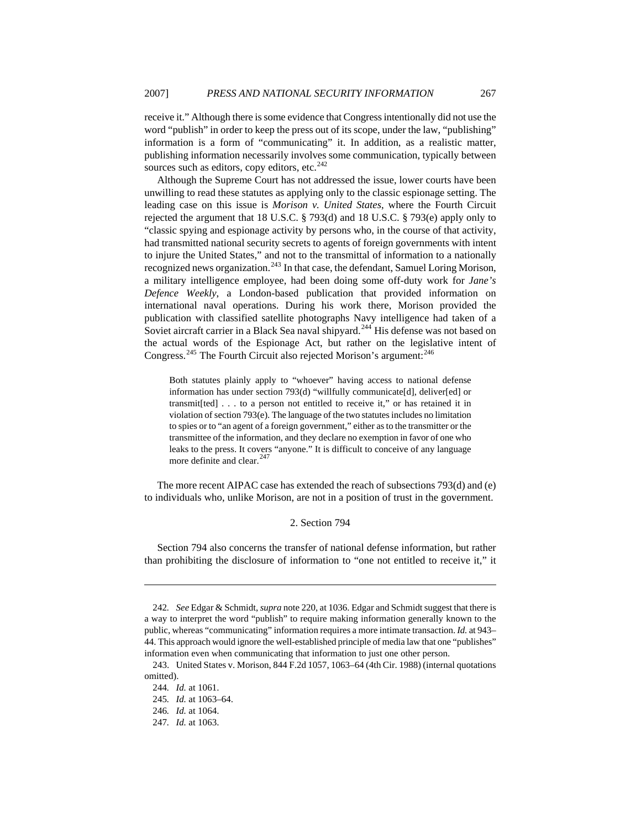receive it." Although there is some evidence that Congress intentionally did not use the word "publish" in order to keep the press out of its scope, under the law, "publishing" information is a form of "communicating" it. In addition, as a realistic matter, publishing information necessarily involves some communication, typically between sources such as editors, copy editors, etc.<sup>[242](#page-35-0)</sup>

Although the Supreme Court has not addressed the issue, lower courts have been unwilling to read these statutes as applying only to the classic espionage setting. The leading case on this issue is *Morison v. United States*, where the Fourth Circuit rejected the argument that 18 U.S.C. § 793(d) and 18 U.S.C. § 793(e) apply only to "classic spying and espionage activity by persons who, in the course of that activity, had transmitted national security secrets to agents of foreign governments with intent to injure the United States," and not to the transmittal of information to a nationally recognized news organization.<sup>[243](#page-35-1)</sup> In that case, the defendant, Samuel Loring Morison, a military intelligence employee, had been doing some off-duty work for *Jane's Defence Weekly*, a London-based publication that provided information on international naval operations. During his work there, Morison provided the publication with classified satellite photographs Navy intelligence had taken of a Soviet aircraft carrier in a Black Sea naval shipyard.<sup>[244](#page-35-2)</sup> His defense was not based on the actual words of the Espionage Act, but rather on the legislative intent of Congress.<sup>[245](#page-35-3)</sup> The Fourth Circuit also rejected Morison's argument:<sup>[246](#page-35-4)</sup>

Both statutes plainly apply to "whoever" having access to national defense information has under [section 793\(d\)](http://web2.westlaw.com/find/default.wl?rp=%2ffind%2fdefault.wl&vc=0&DB=1000546&DocName=18USCAS793&FindType=L&AP=&fn=_top&rs=WLW7.01&mt=LawSchoolPractitioner&vr=2.0&sv=Split) "willfully communicate[d], deliver[ed] or transmit[ted] . . . to a person not entitled to receive it," or has retained it in violation of [section 793\(e\).](http://web2.westlaw.com/find/default.wl?rp=%2ffind%2fdefault.wl&vc=0&DB=1000546&DocName=18USCAS793&FindType=L&AP=&fn=_top&rs=WLW7.01&mt=LawSchoolPractitioner&vr=2.0&sv=Split) The language of the two statutes includes no limitation to spies or to "an agent of a foreign government," either as to the transmitter or the transmittee of the information, and they declare no exemption in favor of one who leaks to the press. It covers "anyone." It is difficult to conceive of any language more definite and clear.<sup>[247](#page-35-5)</sup>

The more recent AIPAC case has extended the reach of subsections 793(d) and (e) to individuals who, unlike Morison, are not in a position of trust in the government.

#### 2. Section 794

Section 794 also concerns the transfer of national defense information, but rather than prohibiting the disclosure of information to "one not entitled to receive it," it

<span id="page-35-0"></span><sup>242</sup>*. See* Edgar & Schmidt, *supra* note 220, at 1036. Edgar and Schmidt suggest that there is a way to interpret the word "publish" to require making information generally known to the public, whereas "communicating" information requires a more intimate transaction. *Id.* at 943– 44. This approach would ignore the well-established principle of media law that one "publishes" information even when communicating that information to just one other person.

<span id="page-35-4"></span><span id="page-35-3"></span><span id="page-35-2"></span><span id="page-35-1"></span><sup>243.</sup> United States v. Morison, 844 F.2d 1057, 1063–64 (4th Cir. 1988) (internal quotations omitted).

<sup>244</sup>*. Id.* at 1061.

<sup>245</sup>*. Id.* at 1063–64.

<sup>246</sup>*. Id.* at 1064.

<span id="page-35-5"></span><sup>247</sup>*. Id.* at 1063.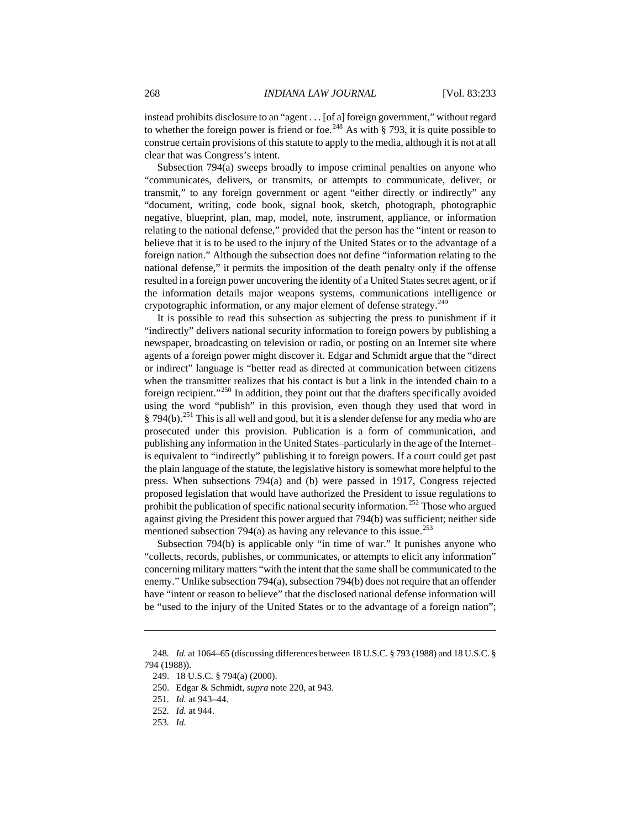instead prohibits disclosure to an "agent . . . [of a] foreign government," without regard to whether the foreign power is friend or foe.<sup>[248](#page-36-0)</sup> As with  $\S$  793, it is quite possible to construe certain provisions of this statute to apply to the media, although it is not at all clear that was Congress's intent.

Subsection 794(a) sweeps broadly to impose criminal penalties on anyone who "communicates, delivers, or transmits, or attempts to communicate, deliver, or transmit," to any foreign government or agent "either directly or indirectly" any "document, writing, code book, signal book, sketch, photograph, photographic negative, blueprint, plan, map, model, note, instrument, appliance, or information relating to the national defense," provided that the person has the "intent or reason to believe that it is to be used to the injury of the United States or to the advantage of a foreign nation." Although the subsection does not define "information relating to the national defense," it permits the imposition of the death penalty only if the offense resulted in a foreign power uncovering the identity of a United States secret agent, or if the information details major weapons systems, communications intelligence or crypotographic information, or any major element of defense strategy.<sup>[249](#page-36-1)</sup>

It is possible to read this subsection as subjecting the press to punishment if it "indirectly" delivers national security information to foreign powers by publishing a newspaper, broadcasting on television or radio, or posting on an Internet site where agents of a foreign power might discover it. Edgar and Schmidt argue that the "direct or indirect" language is "better read as directed at communication between citizens when the transmitter realizes that his contact is but a link in the intended chain to a foreign recipient."[250](#page-36-2) In addition, they point out that the drafters specifically avoided using the word "publish" in this provision, even though they used that word in  $\S 794(b)$ .<sup>[251](#page-36-3)</sup> This is all well and good, but it is a slender defense for any media who are prosecuted under this provision. Publication is a form of communication, and publishing any information in the United States–particularly in the age of the Internet– is equivalent to "indirectly" publishing it to foreign powers. If a court could get past the plain language of the statute, the legislative history is somewhat more helpful to the press. When subsections 794(a) and (b) were passed in 1917, Congress rejected proposed legislation that would have authorized the President to issue regulations to prohibit the publication of specific national security information.<sup>[252](#page-36-4)</sup> Those who argued against giving the President this power argued that 794(b) was sufficient; neither side mentioned subsection 794(a) as having any relevance to this issue.<sup>[253](#page-36-5)</sup>

Subsection 794(b) is applicable only "in time of war." It punishes anyone who "collects, records, publishes, or communicates, or attempts to elicit any information" concerning military matters "with the intent that the same shall be communicated to the enemy." Unlike subsection 794(a), subsection 794(b) does not require that an offender have "intent or reason to believe" that the disclosed national defense information will be "used to the injury of the United States or to the advantage of a foreign nation";

<span id="page-36-5"></span>253*. Id.* 

<span id="page-36-3"></span><span id="page-36-2"></span><span id="page-36-1"></span><span id="page-36-0"></span><sup>248</sup>*. Id.* at 1064–65 (discussing differences between 18 U.S.C. § 793 (1988) and 18 U.S.C. § 794 (1988)).

<sup>249. 18</sup> U.S.C. § 794(a) (2000).

<sup>250.</sup> Edgar & Schmidt, *supra* note 220, at 943.

<sup>251</sup>*. Id.* at 943–44.

<span id="page-36-4"></span><sup>252</sup>*. Id.* at 944.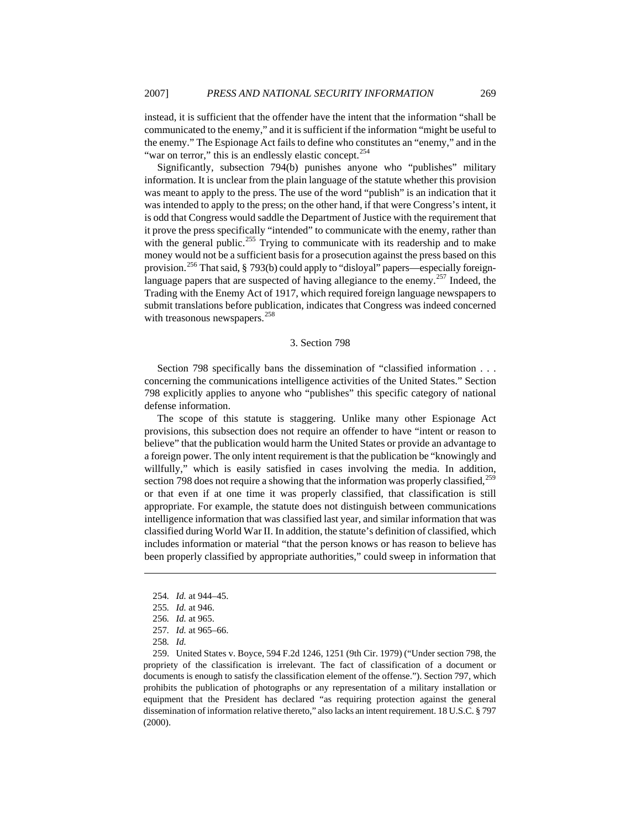instead, it is sufficient that the offender have the intent that the information "shall be communicated to the enemy," and it is sufficient if the information "might be useful to the enemy." The Espionage Act fails to define who constitutes an "enemy," and in the "war on terror," this is an endlessly elastic concept.<sup>[254](#page-37-0)</sup>

Significantly, subsection 794(b) punishes anyone who "publishes" military information. It is unclear from the plain language of the statute whether this provision was meant to apply to the press. The use of the word "publish" is an indication that it was intended to apply to the press; on the other hand, if that were Congress's intent, it is odd that Congress would saddle the Department of Justice with the requirement that it prove the press specifically "intended" to communicate with the enemy, rather than with the general public.<sup>[255](#page-37-1)</sup> Trying to communicate with its readership and to make money would not be a sufficient basis for a prosecution against the press based on this provision.<sup>[256](#page-37-2)</sup> That said, § 793(b) could apply to "disloyal" papers—especially foreign-language papers that are suspected of having allegiance to the enemy.<sup>[257](#page-37-3)</sup> Indeed, the Trading with the Enemy Act of 1917, which required foreign language newspapers to submit translations before publication, indicates that Congress was indeed concerned with treasonous newspapers.<sup>[258](#page-37-4)</sup>

## 3. Section 798

Section 798 specifically bans the dissemination of "classified information . . . concerning the communications intelligence activities of the United States." Section 798 explicitly applies to anyone who "publishes" this specific category of national defense information.

The scope of this statute is staggering. Unlike many other Espionage Act provisions, this subsection does not require an offender to have "intent or reason to believe" that the publication would harm the United States or provide an advantage to a foreign power. The only intent requirement is that the publication be "knowingly and willfully," which is easily satisfied in cases involving the media. In addition, section 798 does not require a showing that the information was properly classified, $^{259}$  $^{259}$  $^{259}$ or that even if at one time it was properly classified, that classification is still appropriate. For example, the statute does not distinguish between communications intelligence information that was classified last year, and similar information that was classified during World War II. In addition, the statute's definition of classified, which includes information or material "that the person knows or has reason to believe has been properly classified by appropriate authorities," could sweep in information that

<span id="page-37-0"></span><sup>254</sup>*. Id.* at 944–45.

<sup>255</sup>*. Id.* at 946.

<sup>256</sup>*. Id.* at 965.

<sup>257</sup>*. Id.* at 965–66.

<sup>258</sup>*. Id.*

<span id="page-37-5"></span><span id="page-37-4"></span><span id="page-37-3"></span><span id="page-37-2"></span><span id="page-37-1"></span><sup>259.</sup> United States v. Boyce, 594 F.2d 1246, 1251 (9th Cir. 1979) ("Under section 798, the propriety of the classification is irrelevant. The fact of classification of a document or documents is enough to satisfy the classification element of the offense."). Section 797, which prohibits the publication of photographs or any representation of a military installation or equipment that the President has declared "as requiring protection against the general dissemination of information relative thereto," also lacks an intent requirement. 18 U.S.C. § 797 (2000).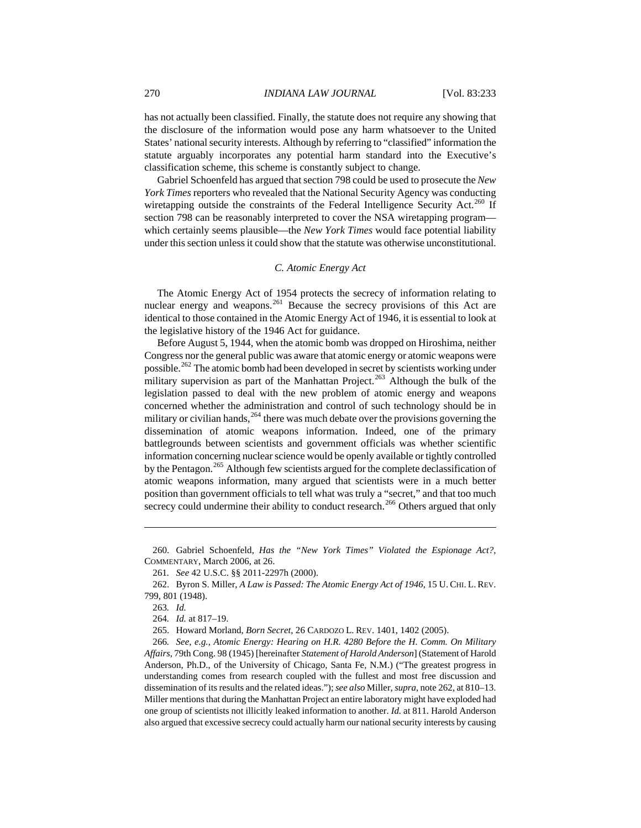has not actually been classified. Finally, the statute does not require any showing that the disclosure of the information would pose any harm whatsoever to the United States' national security interests. Although by referring to "classified" information the statute arguably incorporates any potential harm standard into the Executive's classification scheme, this scheme is constantly subject to change.

Gabriel Schoenfeld has argued that section 798 could be used to prosecute the *New York Times* reporters who revealed that the National Security Agency was conducting wiretapping outside the constraints of the Federal Intelligence Security Act.<sup>[260](#page-38-0)</sup> If section 798 can be reasonably interpreted to cover the NSA wiretapping program which certainly seems plausible—the *New York Times* would face potential liability under this section unless it could show that the statute was otherwise unconstitutional.

# *C. Atomic Energy Act*

The Atomic Energy Act of 1954 protects the secrecy of information relating to nuclear energy and weapons.<sup>[261](#page-38-1)</sup> Because the secrecy provisions of this Act are identical to those contained in the Atomic Energy Act of 1946, it is essential to look at the legislative history of the 1946 Act for guidance.

Before August 5, 1944, when the atomic bomb was dropped on Hiroshima, neither Congress nor the general public was aware that atomic energy or atomic weapons were possible.<sup>[262](#page-38-2)</sup> The atomic bomb had been developed in secret by scientists working under military supervision as part of the Manhattan Project.<sup>[263](#page-38-3)</sup> Although the bulk of the legislation passed to deal with the new problem of atomic energy and weapons concerned whether the administration and control of such technology should be in military or civilian hands,  $264$  there was much debate over the provisions governing the dissemination of atomic weapons information. Indeed, one of the primary battlegrounds between scientists and government officials was whether scientific information concerning nuclear science would be openly available or tightly controlled by the Pentagon.<sup>[265](#page-38-5)</sup> Although few scientists argued for the complete declassification of atomic weapons information, many argued that scientists were in a much better position than government officials to tell what was truly a "secret," and that too much secrecy could undermine their ability to conduct research.<sup>[266](#page-38-6)</sup> Others argued that only

<span id="page-38-0"></span><sup>260.</sup> Gabriel Schoenfeld, *Has the "New York Times" Violated the Espionage Act?*, COMMENTARY, March 2006, at 26.

<sup>261</sup>*. See* 42 U.S.C. §§ 2011-2297h (2000).

<span id="page-38-3"></span><span id="page-38-2"></span><span id="page-38-1"></span><sup>262.</sup> Byron S. Miller, *A Law is Passed: The Atomic Energy Act of 1946*, 15 U. CHI. L. REV. 799, 801 (1948).

<sup>263</sup>*. Id.*

<sup>264</sup>*. Id.* at 817–19.

<sup>265.</sup> Howard Morland, *Born Secret*, 26 CARDOZO L. REV. 1401, 1402 (2005).

<span id="page-38-6"></span><span id="page-38-5"></span><span id="page-38-4"></span><sup>266</sup>*. See, e.g.*, *Atomic Energy: Hearing on H.R. 4280 Before the H. Comm. On Military Affairs*, 79th Cong. 98 (1945) [hereinafter *Statement of Harold Anderson*] (Statement of Harold Anderson, Ph.D., of the University of Chicago, Santa Fe, N.M.) ("The greatest progress in understanding comes from research coupled with the fullest and most free discussion and dissemination of its results and the related ideas."); *see also* Miller, *supra*, note 262, at 810–13. Miller mentions that during the Manhattan Project an entire laboratory might have exploded had one group of scientists not illicitly leaked information to another. *Id.* at 811. Harold Anderson also argued that excessive secrecy could actually harm our national security interests by causing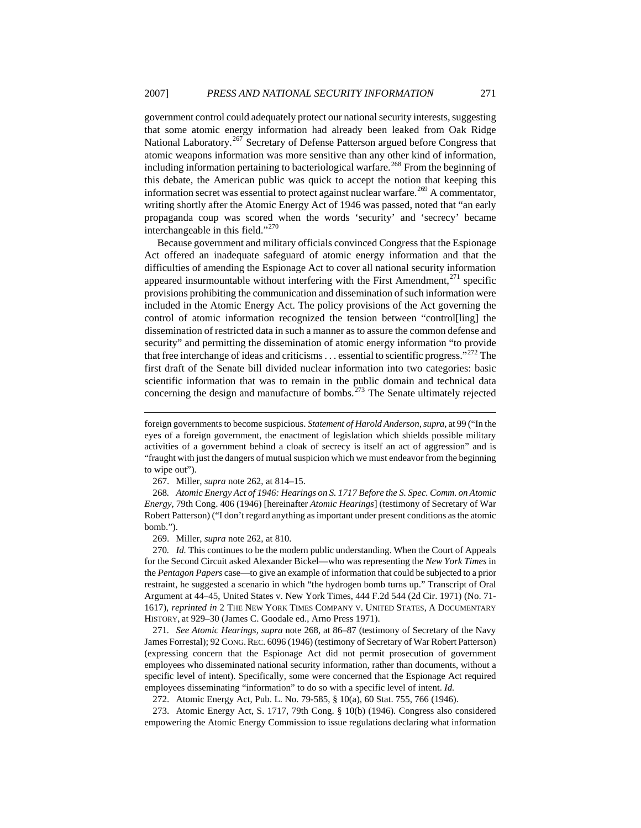government control could adequately protect our national security interests, suggesting that some atomic energy information had already been leaked from Oak Ridge National Laboratory.<sup>[267](#page-39-0)</sup> Secretary of Defense Patterson argued before Congress that atomic weapons information was more sensitive than any other kind of information, including information pertaining to bacteriological warfare.<sup>[268](#page-39-1)</sup> From the beginning of this debate, the American public was quick to accept the notion that keeping this information secret was essential to protect against nuclear warfare.<sup>[269](#page-39-2)</sup> A commentator, writing shortly after the Atomic Energy Act of 1946 was passed, noted that "an early propaganda coup was scored when the words 'security' and 'secrecy' became interchangeable in this field."<sup>[270](#page-39-3)</sup>

Because government and military officials convinced Congress that the Espionage Act offered an inadequate safeguard of atomic energy information and that the difficulties of amending the Espionage Act to cover all national security information appeared insurmountable without interfering with the First Amendment, $^{271}$  specific provisions prohibiting the communication and dissemination of such information were included in the Atomic Energy Act. The policy provisions of the Act governing the control of atomic information recognized the tension between "control[ling] the dissemination of restricted data in such a manner as to assure the common defense and security" and permitting the dissemination of atomic energy information "to provide that free interchange of ideas and criticisms  $\dots$  essential to scientific progress."<sup>[272](#page-39-5)</sup> The first draft of the Senate bill divided nuclear information into two categories: basic scientific information that was to remain in the public domain and technical data concerning the design and manufacture of bombs.<sup>[273](#page-39-6)</sup> The Senate ultimately rejected

 $\overline{a}$ 

<span id="page-39-1"></span><span id="page-39-0"></span>268*. Atomic Energy Act of 1946: Hearings on S. 1717 Before the S. Spec. Comm. on Atomic Energy*, 79th Cong. 406 (1946) [hereinafter *Atomic Hearings*] (testimony of Secretary of War Robert Patterson) ("I don't regard anything as important under present conditions as the atomic bomb.").

269. Miller, *supra* note 262, at 810.

<span id="page-39-3"></span><span id="page-39-2"></span>270*. Id.* This continues to be the modern public understanding. When the Court of Appeals for the Second Circuit asked Alexander Bickel—who was representing the *New York Times* in the *Pentagon Papers* case—to give an example of information that could be subjected to a prior restraint, he suggested a scenario in which "the hydrogen bomb turns up." Transcript of Oral Argument at 44–45, United States v. New York Times, 444 F.2d 544 (2d Cir. 1971) (No. 71- 1617), *reprinted in* 2 THE NEW YORK TIMES COMPANY V. UNITED STATES, A DOCUMENTARY HISTORY, at 929–30 (James C. Goodale ed., Arno Press 1971).

<span id="page-39-4"></span>271*. See Atomic Hearings*, *supra* note 268, at 86–87 (testimony of Secretary of the Navy James Forrestal); 92 CONG.REC. 6096 (1946) (testimony of Secretary of War Robert Patterson) (expressing concern that the Espionage Act did not permit prosecution of government employees who disseminated national security information, rather than documents, without a specific level of intent). Specifically, some were concerned that the Espionage Act required employees disseminating "information" to do so with a specific level of intent. *Id.*

272. Atomic Energy Act, Pub. L. No. 79-585, § 10(a), 60 Stat. 755, 766 (1946).

<span id="page-39-6"></span><span id="page-39-5"></span>273. Atomic Energy Act, S. 1717, 79th Cong. § 10(b) (1946). Congress also considered empowering the Atomic Energy Commission to issue regulations declaring what information

foreign governments to become suspicious. *Statement of Harold Anderson*, *supra*, at 99 ("In the eyes of a foreign government, the enactment of legislation which shields possible military activities of a government behind a cloak of secrecy is itself an act of aggression" and is "fraught with just the dangers of mutual suspicion which we must endeavor from the beginning to wipe out").

<sup>267.</sup> Miller, *supra* note 262, at 814–15.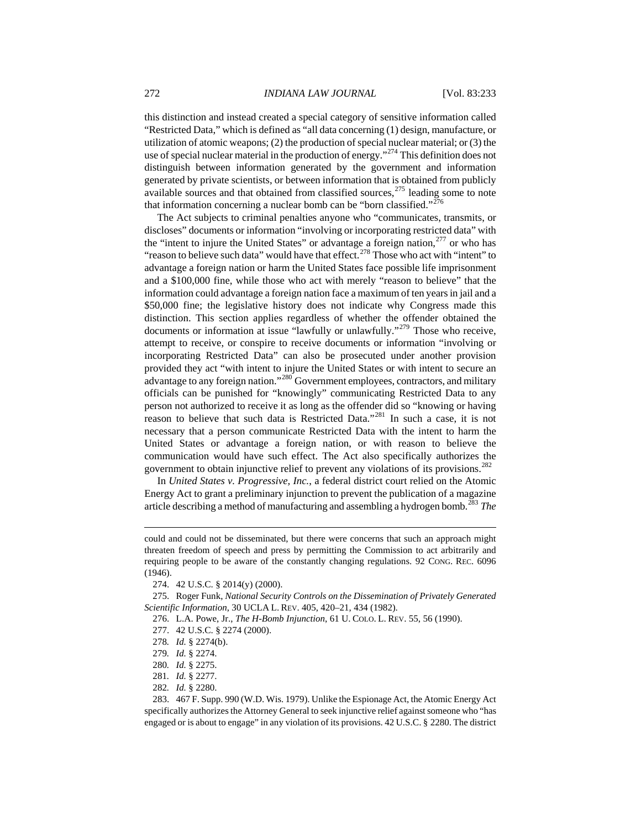this distinction and instead created a special category of sensitive information called "Restricted Data," which is defined as "all data concerning (1) design, manufacture, or utilization of atomic weapons; (2) the production of special nuclear material; or (3) the use of special nuclear material in the production of energy."<sup>[274](#page-40-0)</sup> This definition does not distinguish between information generated by the government and information generated by private scientists, or between information that is obtained from publicly available sources and that obtained from classified sources, $^{275}$  $^{275}$  $^{275}$  leading some to note that information concerning a nuclear bomb can be "born classified."<sup>[276](#page-40-2)</sup>

The Act subjects to criminal penalties anyone who "communicates, transmits, or discloses" documents or information "involving or incorporating restricted data" with the "intent to injure the United States" or advantage a foreign nation, $277$  or who has "reason to believe such data" would have that effect.<sup>[278](#page-40-4)</sup> Those who act with "intent" to advantage a foreign nation or harm the United States face possible life imprisonment and a \$100,000 fine, while those who act with merely "reason to believe" that the information could advantage a foreign nation face a maximum of ten years in jail and a \$50,000 fine; the legislative history does not indicate why Congress made this distinction. This section applies regardless of whether the offender obtained the documents or information at issue "lawfully or unlawfully."<sup>[279](#page-40-5)</sup> Those who receive, attempt to receive, or conspire to receive documents or information "involving or incorporating Restricted Data" can also be prosecuted under another provision provided they act "with intent to injure the United States or with intent to secure an advantage to any foreign nation."<sup>[280](#page-40-6)</sup> Government employees, contractors, and military officials can be punished for "knowingly" communicating Restricted Data to any person not authorized to receive it as long as the offender did so "knowing or having reason to believe that such data is Restricted Data."[281](#page-40-7) In such a case, it is not necessary that a person communicate Restricted Data with the intent to harm the United States or advantage a foreign nation, or with reason to believe the communication would have such effect. The Act also specifically authorizes the government to obtain injunctive relief to prevent any violations of its provisions.<sup>[282](#page-40-8)</sup>

In *United States v. Progressive, Inc.*, a federal district court relied on the Atomic Energy Act to grant a preliminary injunction to prevent the publication of a magazine article describing a method of manufacturing and assembling a hydrogen bomb.[283](#page-40-9) *The* 

277. 42 U.S.C. § 2274 (2000).

could and could not be disseminated, but there were concerns that such an approach might threaten freedom of speech and press by permitting the Commission to act arbitrarily and requiring people to be aware of the constantly changing regulations. 92 CONG. REC. 6096 (1946).

<sup>274. 42</sup> U.S.C. § 2014(y) (2000).

<span id="page-40-4"></span><span id="page-40-3"></span><span id="page-40-2"></span><span id="page-40-1"></span><span id="page-40-0"></span><sup>275.</sup> Roger Funk, *National Security Controls on the Dissemination of Privately Generated Scientific Information*, 30 UCLA L. REV. 405, 420–21, 434 (1982).

<sup>276.</sup> L.A. Powe, Jr., *The H-Bomb Injunction*, 61 U. COLO. L. REV. 55, 56 (1990).

<sup>278</sup>*. Id.* § 2274(b).

<span id="page-40-5"></span><sup>279</sup>*. Id.* § 2274.

<sup>280</sup>*. Id.* § 2275.

<sup>281</sup>*. Id.* § 2277.

<sup>282</sup>*. Id.* § 2280.

<span id="page-40-9"></span><span id="page-40-8"></span><span id="page-40-7"></span><span id="page-40-6"></span><sup>283. 467</sup> F. Supp. 990 (W.D. Wis. 1979). Unlike the Espionage Act, the Atomic Energy Act specifically authorizes the Attorney General to seek injunctive relief against someone who "has engaged or is about to engage" in any violation of its provisions. 42 U.S.C. § 2280. The district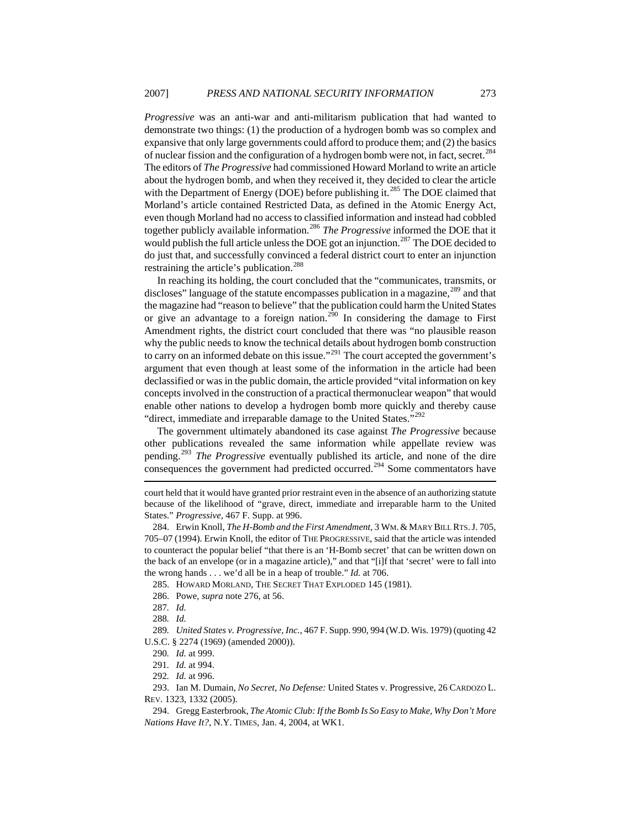*Progressive* was an anti-war and anti-militarism publication that had wanted to demonstrate two things: (1) the production of a hydrogen bomb was so complex and expansive that only large governments could afford to produce them; and (2) the basics of nuclear fission and the configuration of a hydrogen bomb were not, in fact, secret.<sup>[284](#page-41-0)</sup> The editors of *The Progressive* had commissioned Howard Morland to write an article about the hydrogen bomb, and when they received it, they decided to clear the article with the Department of Energy (DOE) before publishing it.<sup>[285](#page-41-1)</sup> The DOE claimed that Morland's article contained Restricted Data, as defined in the Atomic Energy Act, even though Morland had no access to classified information and instead had cobbled together publicly available information.[286](#page-41-2) *The Progressive* informed the DOE that it would publish the full article unless the DOE got an injunction.<sup>[287](#page-41-3)</sup> The DOE decided to do just that, and successfully convinced a federal district court to enter an injunction restraining the article's publication.<sup>[288](#page-41-4)</sup>

In reaching its holding, the court concluded that the "communicates, transmits, or discloses" language of the statute encompasses publication in a magazine,<sup>[289](#page-41-5)</sup> and that the magazine had "reason to believe" that the publication could harm the United States or give an advantage to a foreign nation.<sup>[290](#page-41-6)</sup> In considering the damage to First Amendment rights, the district court concluded that there was "no plausible reason why the public needs to know the technical details about hydrogen bomb construction to carry on an informed debate on this issue."<sup>[291](#page-41-7)</sup> The court accepted the government's argument that even though at least some of the information in the article had been declassified or was in the public domain, the article provided "vital information on key concepts involved in the construction of a practical thermonuclear weapon" that would enable other nations to develop a hydrogen bomb more quickly and thereby cause "direct, immediate and irreparable damage to the United States."<sup>[292](#page-41-8)</sup>

 $\overline{a}$ The government ultimately abandoned its case against *The Progressive* because other publications revealed the same information while appellate review was pending.[293](#page-41-9) *The Progressive* eventually published its article, and none of the dire consequences the government had predicted occurred.<sup>[294](#page-41-10)</sup> Some commentators have

court held that it would have granted prior restraint even in the absence of an authorizing statute because of the likelihood of "grave, direct, immediate and irreparable harm to the United States." *Progressive*, 467 F. Supp. at 996.

<span id="page-41-0"></span><sup>284.</sup> Erwin Knoll, *The H-Bomb and the First Amendment*, 3 WM.& MARY BILL RTS.J. 705, 705–07 (1994). Erwin Knoll, the editor of THE PROGRESSIVE, said that the article was intended to counteract the popular belief "that there is an 'H-Bomb secret' that can be written down on the back of an envelope (or in a magazine article)," and that "[i]f that 'secret' were to fall into the wrong hands . . . we'd all be in a heap of trouble." *Id.* at 706.

<sup>285.</sup> HOWARD MORLAND, THE SECRET THAT EXPLODED 145 (1981).

<sup>286.</sup> Powe, *supra* note 276, at 56.

<sup>287</sup>*. Id.*

<sup>288</sup>*. Id.*

<span id="page-41-6"></span><span id="page-41-5"></span><span id="page-41-4"></span><span id="page-41-3"></span><span id="page-41-2"></span><span id="page-41-1"></span><sup>289</sup>*. United States v. Progressive, Inc.*, 467 F. Supp. 990, 994 (W.D. Wis. 1979) (quoting 42 U.S.C. § 2274 (1969) (amended 2000)).

<sup>290</sup>*. Id.* at 999.

<sup>291</sup>*. Id.* at 994.

<sup>292</sup>*. Id.* at 996.

<span id="page-41-9"></span><span id="page-41-8"></span><span id="page-41-7"></span><sup>293.</sup> Ian M. Dumain, *No Secret, No Defense:* United States v. Progressive, 26 CARDOZO L. REV. 1323, 1332 (2005).

<span id="page-41-10"></span><sup>294.</sup> Gregg Easterbrook, *The Atomic Club: If the Bomb Is So Easy to Make, Why Don't More Nations Have It?*, N.Y. TIMES, Jan. 4, 2004, at WK1.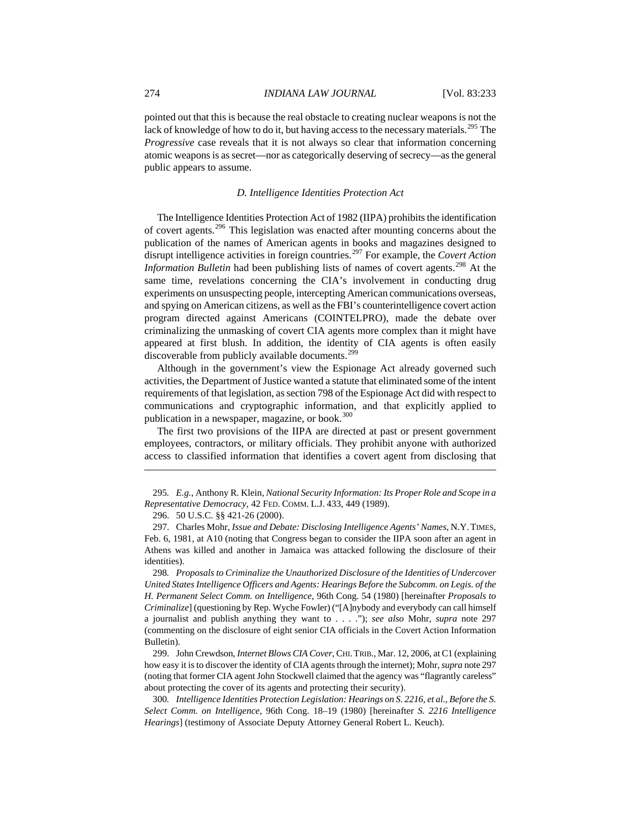pointed out that this is because the real obstacle to creating nuclear weapons is not the lack of knowledge of how to do it, but having access to the necessary materials.<sup>[295](#page-42-0)</sup> The *Progressive* case reveals that it is not always so clear that information concerning atomic weapons is as secret—nor as categorically deserving of secrecy—as the general public appears to assume.

### *D. Intelligence Identities Protection Act*

The Intelligence Identities Protection Act of 1982 (IIPA) prohibits the identification of covert agents.[296](#page-42-1) This legislation was enacted after mounting concerns about the publication of the names of American agents in books and magazines designed to disrupt intelligence activities in foreign countries.[297](#page-42-2) For example, the *Covert Action Information Bulletin* had been publishing lists of names of covert agents.<sup>[298](#page-42-3)</sup> At the same time, revelations concerning the CIA's involvement in conducting drug experiments on unsuspecting people, intercepting American communications overseas, and spying on American citizens, as well as the FBI's counterintelligence covert action program directed against Americans (COINTELPRO), made the debate over criminalizing the unmasking of covert CIA agents more complex than it might have appeared at first blush. In addition, the identity of CIA agents is often easily discoverable from publicly available documents.<sup>[299](#page-42-4)</sup>

Although in the government's view the Espionage Act already governed such activities, the Department of Justice wanted a statute that eliminated some of the intent requirements of that legislation, as section 798 of the Espionage Act did with respect to communications and cryptographic information, and that explicitly applied to publication in a newspaper, magazine, or book.<sup>[300](#page-42-5)</sup>

The first two provisions of the IIPA are directed at past or present government employees, contractors, or military officials. They prohibit anyone with authorized access to classified information that identifies a covert agent from disclosing that

 $\overline{a}$ 

<span id="page-42-3"></span>298*. Proposals to Criminalize the Unauthorized Disclosure of the Identities of Undercover United States Intelligence Officers and Agents: Hearings Before the Subcomm. on Legis. of the H. Permanent Select Comm. on Intelligence*, 96th Cong. 54 (1980) [hereinafter *Proposals to Criminalize*] (questioning by Rep. Wyche Fowler) ("[A]nybody and everybody can call himself a journalist and publish anything they want to . . . ."); *see also* Mohr, *supra* note 297 (commenting on the disclosure of eight senior CIA officials in the Covert Action Information Bulletin).

<span id="page-42-4"></span>299. John Crewdson, *Internet Blows CIA Cover*, CHI.TRIB., Mar. 12, 2006, at C1 (explaining how easy it is to discover the identity of CIA agents through the internet); Mohr, *supra* note 297 (noting that former CIA agent John Stockwell claimed that the agency was "flagrantly careless" about protecting the cover of its agents and protecting their security).

<span id="page-42-5"></span>300*. Intelligence Identities Protection Legislation: Hearings on S. 2216, et al., Before the S. Select Comm. on Intelligence*, 96th Cong. 18–19 (1980) [hereinafter *S. 2216 Intelligence Hearings*] (testimony of Associate Deputy Attorney General Robert L. Keuch).

<span id="page-42-0"></span><sup>295</sup>*. E.g.*, Anthony R. Klein, *National Security Information: Its Proper Role and Scope in a Representative Democracy*, 42 FED. COMM. L.J. 433, 449 (1989).

<sup>296. 50</sup> U.S.C. §§ 421-26 (2000).

<span id="page-42-2"></span><span id="page-42-1"></span><sup>297.</sup> Charles Mohr, *Issue and Debate: Disclosing Intelligence Agents' Names*, N.Y.TIMES, Feb. 6, 1981, at A10 (noting that Congress began to consider the IIPA soon after an agent in Athens was killed and another in Jamaica was attacked following the disclosure of their identities).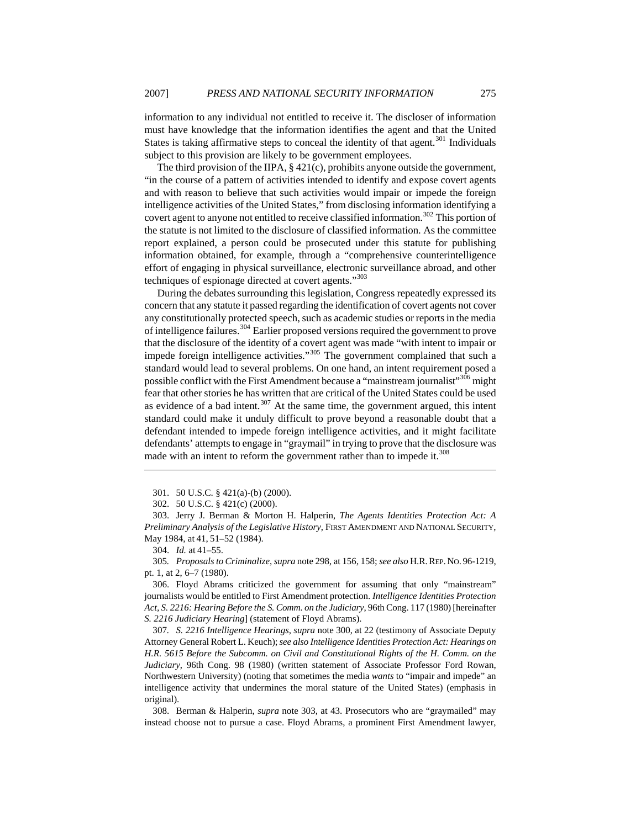information to any individual not entitled to receive it. The discloser of information must have knowledge that the information identifies the agent and that the United States is taking affirmative steps to conceal the identity of that agent. $301$  Individuals subject to this provision are likely to be government employees.

The third provision of the IIPA, § 421(c), prohibits anyone outside the government, "in the course of a pattern of activities intended to identify and expose covert agents and with reason to believe that such activities would impair or impede the foreign intelligence activities of the United States," from disclosing information identifying a covert agent to anyone not entitled to receive classified information.<sup>[302](#page-43-1)</sup> This portion of the statute is not limited to the disclosure of classified information. As the committee report explained, a person could be prosecuted under this statute for publishing information obtained, for example, through a "comprehensive counterintelligence effort of engaging in physical surveillance, electronic surveillance abroad, and other techniques of espionage directed at covert agents."<sup>[303](#page-43-2)</sup>

During the debates surrounding this legislation, Congress repeatedly expressed its concern that any statute it passed regarding the identification of covert agents not cover any constitutionally protected speech, such as academic studies or reports in the media of intelligence failures.<sup>[304](#page-43-3)</sup> Earlier proposed versions required the government to prove that the disclosure of the identity of a covert agent was made "with intent to impair or impede foreign intelligence activities."<sup>[305](#page-43-4)</sup> The government complained that such a standard would lead to several problems. On one hand, an intent requirement posed a possible conflict with the First Amendment because a "mainstream journalist"<sup>[306](#page-43-5)</sup> might fear that other stories he has written that are critical of the United States could be used as evidence of a bad intent.<sup>[307](#page-43-6)</sup> At the same time, the government argued, this intent standard could make it unduly difficult to prove beyond a reasonable doubt that a defendant intended to impede foreign intelligence activities, and it might facilitate defendants' attempts to engage in "graymail" in trying to prove that the disclosure was made with an intent to reform the government rather than to impede it.<sup>[308](#page-43-7)</sup>

 $\overline{a}$ 

<span id="page-43-4"></span><span id="page-43-3"></span>305*. Proposals to Criminalize*, *supra* note 298, at 156, 158; *see also* H.R.REP.NO. 96-1219, pt. 1, at 2, 6–7 (1980).

<span id="page-43-5"></span>306. Floyd Abrams criticized the government for assuming that only "mainstream" journalists would be entitled to First Amendment protection. *Intelligence Identities Protection Act, S. 2216: Hearing Before the S. Comm. on the Judiciary*, 96th Cong. 117 (1980) [hereinafter *S. 2216 Judiciary Hearing*] (statement of Floyd Abrams).

<span id="page-43-6"></span>307*. S. 2216 Intelligence Hearings*, *supra* note 300, at 22 (testimony of Associate Deputy Attorney General Robert L. Keuch); *see also Intelligence Identities Protection Act: Hearings on H.R. 5615 Before the Subcomm. on Civil and Constitutional Rights of the H. Comm. on the Judiciary*, 96th Cong. 98 (1980) (written statement of Associate Professor Ford Rowan, Northwestern University) (noting that sometimes the media *wants* to "impair and impede" an intelligence activity that undermines the moral stature of the United States) (emphasis in original).

<span id="page-43-7"></span>308. Berman & Halperin, *supra* note 303, at 43. Prosecutors who are "graymailed" may instead choose not to pursue a case. Floyd Abrams, a prominent First Amendment lawyer,

<sup>301. 50</sup> U.S.C. § 421(a)-(b) (2000).

<sup>302. 50</sup> U.S.C. § 421(c) (2000).

<span id="page-43-2"></span><span id="page-43-1"></span><span id="page-43-0"></span><sup>303.</sup> Jerry J. Berman & Morton H. Halperin, *The Agents Identities Protection Act: A Preliminary Analysis of the Legislative History*, FIRST AMENDMENT AND NATIONAL SECURITY, May 1984, at 41, 51–52 (1984).

<sup>304.</sup> *Id.* at 41–55.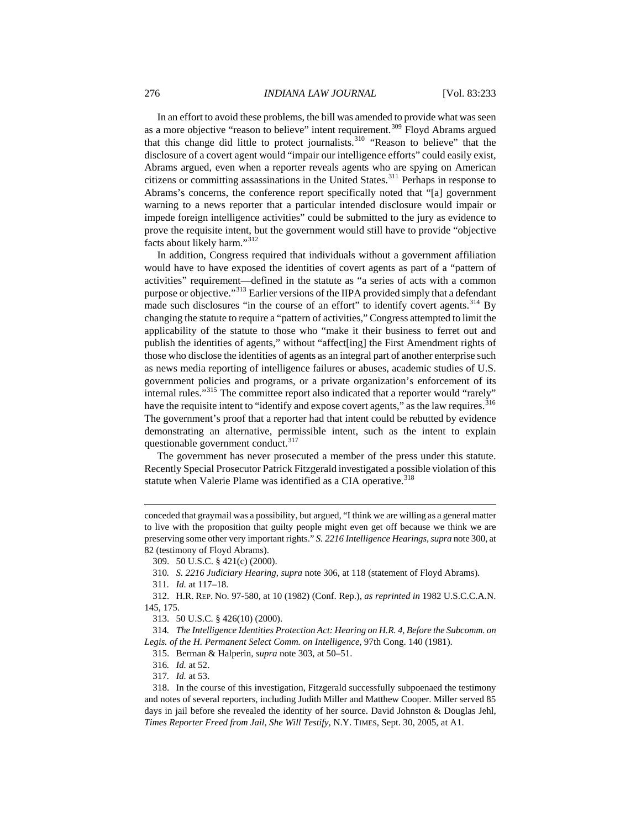In an effort to avoid these problems, the bill was amended to provide what was seen as a more objective "reason to believe" intent requirement.<sup>[309](#page-44-0)</sup> Floyd Abrams argued that this change did little to protect journalists.[310](#page-44-1) "Reason to believe" that the disclosure of a covert agent would "impair our intelligence efforts" could easily exist, Abrams argued, even when a reporter reveals agents who are spying on American citizens or committing assassinations in the United States.<sup>[311](#page-44-2)</sup> Perhaps in response to Abrams's concerns, the conference report specifically noted that "[a] government warning to a news reporter that a particular intended disclosure would impair or impede foreign intelligence activities" could be submitted to the jury as evidence to prove the requisite intent, but the government would still have to provide "objective facts about likely harm."[312](#page-44-3)

In addition, Congress required that individuals without a government affiliation would have to have exposed the identities of covert agents as part of a "pattern of activities" requirement—defined in the statute as "a series of acts with a common purpose or objective."[313](#page-44-4) Earlier versions of the IIPA provided simply that a defendant made such disclosures "in the course of an effort" to identify covert agents. $^{314}$  $^{314}$  $^{314}$  By changing the statute to require a "pattern of activities," Congress attempted to limit the applicability of the statute to those who "make it their business to ferret out and publish the identities of agents," without "affect[ing] the First Amendment rights of those who disclose the identities of agents as an integral part of another enterprise such as news media reporting of intelligence failures or abuses, academic studies of U.S. government policies and programs, or a private organization's enforcement of its internal rules."<sup>[315](#page-44-6)</sup> The committee report also indicated that a reporter would "rarely" have the requisite intent to "identify and expose covert agents," as the law requires.<sup>[316](#page-44-7)</sup> The government's proof that a reporter had that intent could be rebutted by evidence demonstrating an alternative, permissible intent, such as the intent to explain questionable government conduct.<sup>[317](#page-44-8)</sup>

The government has never prosecuted a member of the press under this statute. Recently Special Prosecutor Patrick Fitzgerald investigated a possible violation of this statute when Valerie Plame was identified as a CIA operative.<sup>[318](#page-44-9)</sup>

conceded that graymail was a possibility, but argued, "I think we are willing as a general matter to live with the proposition that guilty people might even get off because we think we are preserving some other very important rights." *S. 2216 Intelligence Hearings*, *supra* note 300, at 82 (testimony of Floyd Abrams).

<sup>309. 50</sup> U.S.C. § 421(c) (2000).

<sup>310</sup>*. S. 2216 Judiciary Hearing*, *supra* note 306, at 118 (statement of Floyd Abrams).

<sup>311</sup>*. Id.* at 117–18.

<span id="page-44-3"></span><span id="page-44-2"></span><span id="page-44-1"></span><span id="page-44-0"></span><sup>312.</sup> H.R. REP. NO. 97-580, at 10 (1982) (Conf. Rep.), *as reprinted in* 1982 U.S.C.C.A.N. 145, 175.

<sup>313. 50</sup> U.S.C. § 426(10) (2000).

<span id="page-44-6"></span><span id="page-44-5"></span><span id="page-44-4"></span><sup>314</sup>*. The Intelligence Identities Protection Act: Hearing on H.R. 4, Before the Subcomm. on Legis. of the H. Permanent Select Comm. on Intelligence*, 97th Cong. 140 (1981).

<sup>315.</sup> Berman & Halperin, *supra* note 303, at 50–51.

<sup>316</sup>*. Id.* at 52.

<sup>317</sup>*. Id.* at 53.

<span id="page-44-9"></span><span id="page-44-8"></span><span id="page-44-7"></span><sup>318.</sup> In the course of this investigation, Fitzgerald successfully subpoenaed the testimony and notes of several reporters, including Judith Miller and Matthew Cooper. Miller served 85 days in jail before she revealed the identity of her source. David Johnston & Douglas Jehl, *Times Reporter Freed from Jail, She Will Testify*, N.Y. TIMES, Sept. 30, 2005, at A1.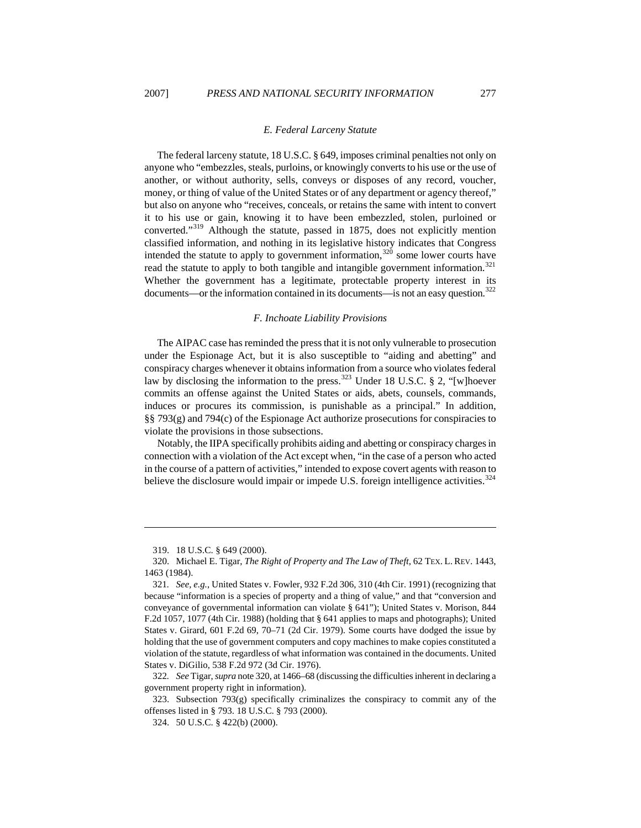#### *E. Federal Larceny Statute*

The federal larceny statute, [18 U.S.C. § 649,](http://web2.westlaw.com/find/default.wl?rp=%2ffind%2fdefault.wl&vc=0&DB=1000546&DocName=18USCAS641&FindType=L&AP=&fn=_top&rs=WLW7.01&mt=LawSchoolPractitioner&vr=2.0&sv=Split) imposes criminal penalties not only on anyone who "embezzles, steals, purloins, or knowingly converts to his use or the use of another, or without authority, sells, conveys or disposes of any record, voucher, money, or thing of value of the United States or of any department or agency thereof," but also on anyone who "receives, conceals, or retains the same with intent to convert it to his use or gain, knowing it to have been embezzled, stolen, purloined or converted."[319](#page-45-0) Although the statute, passed in 1875, does not explicitly mention classified information, and nothing in its legislative history indicates that Congress intended the statute to apply to government information,  $320$  some lower courts have read the statute to apply to both tangible and intangible government information.<sup>[321](#page-45-2)</sup> Whether the government has a legitimate, protectable property interest in its documents—or the information contained in its documents—is not an easy question.<sup>[322](#page-45-3)</sup>

#### *F. Inchoate Liability Provisions*

The AIPAC case has reminded the press that it is not only vulnerable to prosecution under the Espionage Act, but it is also susceptible to "aiding and abetting" and conspiracy charges whenever it obtains information from a source who violates federal law by disclosing the information to the press.<sup>[323](#page-45-4)</sup> Under [18 U.S.C. § 2](https://web2.westlaw.com/find/default.wl?rp=%2ffind%2fdefault.wl&vc=0&DB=1000546&DocName=18USCAS2&FindType=L&AP=&fn=_top&rs=WLW7.02&mt=Westlaw&vr=2.0&sv=Split), "[w]hoever commits an offense against the United States or aids, abets, counsels, commands, induces or procures its commission, is punishable as a principal." In addition, §§ 793(g) and 794(c) of the Espionage Act authorize prosecutions for conspiracies to violate the provisions in those subsections.

Notably, the IIPA specifically prohibits aiding and abetting or conspiracy charges in connection with a violation of the Act except when, "in the case of a person who acted in the course of a pattern of activities," intended to expose covert agents with reason to believe the disclosure would impair or impede U.S. foreign intelligence activities.<sup>[324](#page-45-5)</sup>

 $\overline{a}$ 

<span id="page-45-3"></span>322*. See* Tigar, *supra* note 320, at 1466–68 (discussing the difficulties inherent in declaring a government property right in information).

<sup>319. 18</sup> U.S.C. § 649 (2000).

<span id="page-45-0"></span><sup>320.</sup> Michael E. Tigar, *The Right of Property and The Law of Theft*, 62 TEX. L. REV. 1443, 1463 (1984).

<span id="page-45-2"></span><span id="page-45-1"></span><sup>321</sup>*. See, e.g.*, United States v. Fowler, 932 F.2d 306, 310 (4th Cir. 1991) (recognizing that because "information is a species of property and a thing of value," and that "conversion and conveyance of governmental information can violate § 641"); United States v. Morison, 844 F.2d 1057, 1077 (4th Cir. 1988) (holding that § 641 applies to maps and photographs); United States v. Girard, 601 F.2d 69, 70–71 (2d Cir. 1979). Some courts have dodged the issue by holding that the use of government computers and copy machines to make copies constituted a violation of the statute, regardless of what information was contained in the documents. United States v. DiGilio, 538 F.2d 972 (3d Cir. 1976).

<span id="page-45-5"></span><span id="page-45-4"></span><sup>323.</sup> Subsection  $793(g)$  specifically criminalizes the conspiracy to commit any of the offenses listed in § 793. 18 U.S.C. § 793 (2000).

<sup>324. 50</sup> U.S.C. § 422(b) (2000).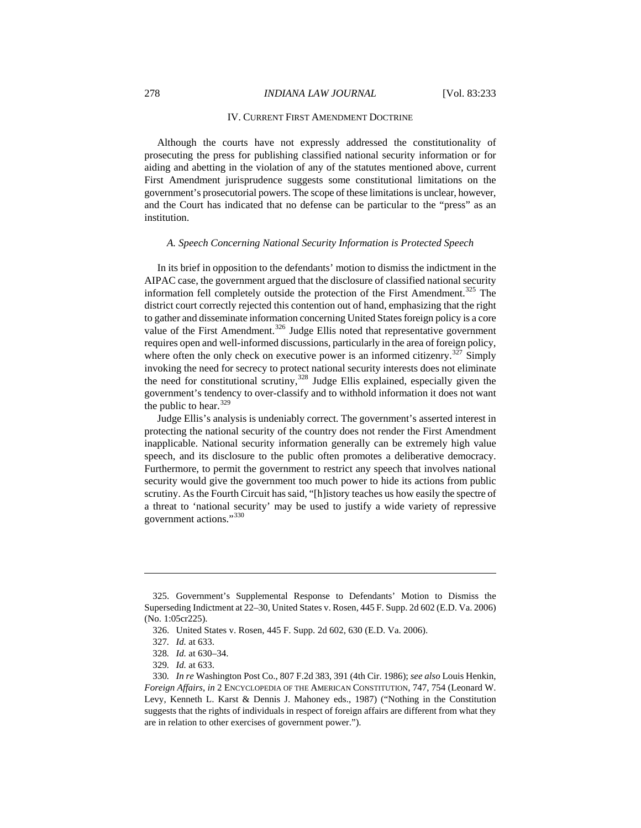### 278 *INDIANA LAW JOURNAL* [Vol. 83:233

### IV. CURRENT FIRST AMENDMENT DOCTRINE

Although the courts have not expressly addressed the constitutionality of prosecuting the press for publishing classified national security information or for aiding and abetting in the violation of any of the statutes mentioned above, current First Amendment jurisprudence suggests some constitutional limitations on the government's prosecutorial powers. The scope of these limitations is unclear, however, and the Court has indicated that no defense can be particular to the "press" as an institution.

## *A. Speech Concerning National Security Information is Protected Speech*

In its brief in opposition to the defendants' motion to dismiss the indictment in the AIPAC case, the government argued that the disclosure of classified national security information fell completely outside the protection of the First Amendment.<sup>[325](#page-46-0)</sup> The district court correctly rejected this contention out of hand, emphasizing that the right to gather and disseminate information concerning United States foreign policy is a core value of the First Amendment.<sup>[326](#page-46-1)</sup> Judge Ellis noted that representative government requires open and well-informed discussions, particularly in the area of foreign policy, where often the only check on executive power is an informed citizenry.<sup>[327](#page-46-2)</sup> Simply invoking the need for secrecy to protect national security interests does not eliminate the need for constitutional scrutiny,  $328$  Judge Ellis explained, especially given the government's tendency to over-classify and to withhold information it does not want the public to hear.  $329$ 

Judge Ellis's analysis is undeniably correct. The government's asserted interest in protecting the national security of the country does not render the First Amendment inapplicable. National security information generally can be extremely high value speech, and its disclosure to the public often promotes a deliberative democracy. Furthermore, to permit the government to restrict any speech that involves national security would give the government too much power to hide its actions from public scrutiny. As the Fourth Circuit has said, "[h]istory teaches us how easily the spectre of a threat to 'national security' may be used to justify a wide variety of repressive government actions."[330](#page-46-5)

<span id="page-46-1"></span><span id="page-46-0"></span><sup>325.</sup> Government's Supplemental Response to Defendants' Motion to Dismiss the Superseding Indictment at 22–30, United States v. Rosen, 445 F. Supp. 2d 602 (E.D. Va. 2006) (No. 1:05cr225).

<sup>326.</sup> United States v. Rosen, 445 F. Supp. 2d 602, 630 (E.D. Va. 2006).

<sup>327</sup>*. Id.* at 633.

<sup>328</sup>*. Id.* at 630–34.

<sup>329</sup>*. Id.* at 633.

<span id="page-46-5"></span><span id="page-46-4"></span><span id="page-46-3"></span><span id="page-46-2"></span><sup>330</sup>*. In re* Washington Post Co., 807 F.2d 383, 391 (4th Cir. 1986); *see also* Louis Henkin, *Foreign Affairs*, *in* 2 ENCYCLOPEDIA OF THE AMERICAN CONSTITUTION, 747, 754 (Leonard W. Levy, Kenneth L. Karst & Dennis J. Mahoney eds., 1987) ("Nothing in the Constitution suggests that the rights of individuals in respect of foreign affairs are different from what they are in relation to other exercises of government power.").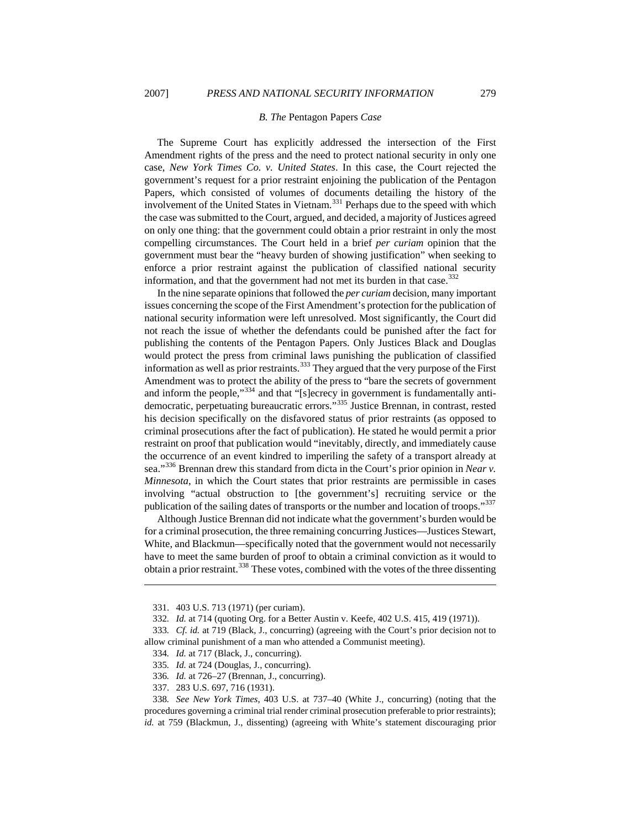#### *B. The* Pentagon Papers *Case*

The Supreme Court has explicitly addressed the intersection of the First Amendment rights of the press and the need to protect national security in only one case, *New York Times Co. v. United States*. In this case, the Court rejected the government's request for a prior restraint enjoining the publication of the Pentagon Papers, which consisted of volumes of documents detailing the history of the involvement of the United States in Vietnam.[331](#page-47-0) Perhaps due to the speed with which the case was submitted to the Court, argued, and decided, a majority of Justices agreed on only one thing: that the government could obtain a prior restraint in only the most compelling circumstances. The Court held in a brief *per curiam* opinion that the government must bear the "heavy burden of showing justification" when seeking to enforce a prior restraint against the publication of classified national security information, and that the government had not met its burden in that case.<sup>[332](#page-47-1)</sup>

In the nine separate opinions that followed the *per curiam* decision, many important issues concerning the scope of the First Amendment's protection for the publication of national security information were left unresolved. Most significantly, the Court did not reach the issue of whether the defendants could be punished after the fact for publishing the contents of the Pentagon Papers. Only Justices Black and Douglas would protect the press from criminal laws punishing the publication of classified information as well as prior restraints.<sup>[333](#page-47-2)</sup> They argued that the very purpose of the First Amendment was to protect the ability of the press to "bare the secrets of government and inform the people,"[334](#page-47-3) and that "[s]ecrecy in government is fundamentally antidemocratic, perpetuating bureaucratic errors."[335](#page-47-4) Justice Brennan, in contrast, rested his decision specifically on the disfavored status of prior restraints (as opposed to criminal prosecutions after the fact of publication). He stated he would permit a prior restraint on proof that publication would "inevitably, directly, and immediately cause the occurrence of an event kindred to imperiling the safety of a transport already at sea."[336](#page-47-5) Brennan drew this standard from dicta in the Court's prior opinion in *Near v. Minnesota*, in which the Court states that prior restraints are permissible in cases involving "actual obstruction to [the government's] recruiting service or the publication of the sailing dates of transports or the number and location of troops."<sup>[337](#page-47-6)</sup>

Although Justice Brennan did not indicate what the government's burden would be for a criminal prosecution, the three remaining concurring Justices—Justices Stewart, White, and Blackmun—specifically noted that the government would not necessarily have to meet the same burden of proof to obtain a criminal conviction as it would to obtain a prior restraint.<sup>[338](#page-47-7)</sup> These votes, combined with the votes of the three dissenting

- 335*. Id.* at 724 (Douglas, J., concurring).
- 336*. Id.* at 726–27 (Brennan, J., concurring).
- 337. 283 U.S. 697, 716 (1931).

<sup>331. 403</sup> U.S. 713 (1971) (per curiam).

<sup>332</sup>*. Id.* at 714 (quoting Org. for a Better Austin v. Keefe, 402 U.S. 415, 419 (1971)).

<span id="page-47-3"></span><span id="page-47-2"></span><span id="page-47-1"></span><span id="page-47-0"></span><sup>333</sup>*. Cf. id.* at 719 (Black, J., concurring) (agreeing with the Court's prior decision not to allow criminal punishment of a man who attended a Communist meeting).

<sup>334</sup>*. Id.* at 717 (Black, J., concurring).

<span id="page-47-7"></span><span id="page-47-6"></span><span id="page-47-5"></span><span id="page-47-4"></span><sup>338</sup>*. See New York Times*, 403 U.S. at 737–40 (White J., concurring) (noting that the procedures governing a criminal trial render criminal prosecution preferable to prior restraints); *id.* at 759 (Blackmun, J., dissenting) (agreeing with White's statement discouraging prior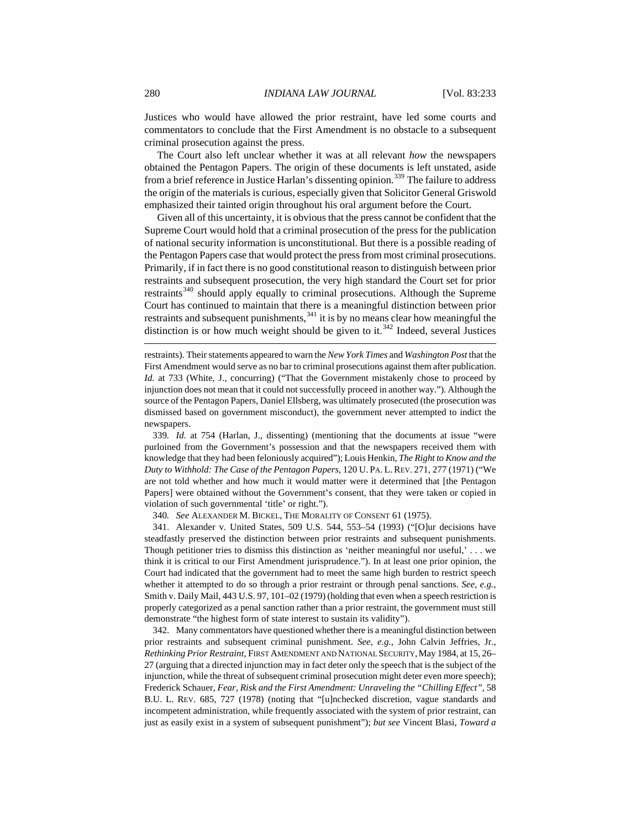Justices who would have allowed the prior restraint, have led some courts and commentators to conclude that the First Amendment is no obstacle to a subsequent criminal prosecution against the press.

The Court also left unclear whether it was at all relevant *how* the newspapers obtained the Pentagon Papers. The origin of these documents is left unstated, aside from a brief reference in Justice Harlan's dissenting opinion.<sup>[339](#page-48-0)</sup> The failure to address the origin of the materials is curious, especially given that Solicitor General Griswold emphasized their tainted origin throughout his oral argument before the Court.

 $\overline{a}$ Given all of this uncertainty, it is obvious that the press cannot be confident that the Supreme Court would hold that a criminal prosecution of the press for the publication of national security information is unconstitutional. But there is a possible reading of the Pentagon Papers case that would protect the press from most criminal prosecutions. Primarily, if in fact there is no good constitutional reason to distinguish between prior restraints and subsequent prosecution, the very high standard the Court set for prior restraints<sup>[340](#page-48-1)</sup> should apply equally to criminal prosecutions. Although the Supreme Court has continued to maintain that there is a meaningful distinction between prior restraints and subsequent punishments,<sup>[341](#page-48-2)</sup> it is by no means clear how meaningful the distinction is or how much weight should be given to it.<sup>[342](#page-48-3)</sup> Indeed, several Justices

restraints). Their statements appeared to warn the *New York Times* and *Washington Post* that the First Amendment would serve as no bar to criminal prosecutions against them after publication. *Id.* at 733 (White, J., concurring) ("That the Government mistakenly chose to proceed by injunction does not mean that it could not successfully proceed in another way."). Although the source of the Pentagon Papers, Daniel Ellsberg, was ultimately prosecuted (the prosecution was dismissed based on government misconduct), the government never attempted to indict the newspapers.

<span id="page-48-0"></span>339*. Id.* at 754 (Harlan, J., dissenting) (mentioning that the documents at issue "were purloined from the Government's possession and that the newspapers received them with knowledge that they had been feloniously acquired"); Louis Henkin, *The Right to Know and the Duty to Withhold: The Case of the Pentagon Papers*, 120 U. PA. L. REV. 271, 277 (1971) ("We are not told whether and how much it would matter were it determined that [the Pentagon Papers] were obtained without the Government's consent, that they were taken or copied in violation of such governmental 'title' or right.").

340*. See* ALEXANDER M. BICKEL, THE MORALITY OF CONSENT 61 (1975).

<span id="page-48-2"></span><span id="page-48-1"></span>341. Alexander v. United States, 509 U.S. 544, 553–54 (1993) ("[O]ur decisions have steadfastly preserved the distinction between prior restraints and subsequent punishments. Though petitioner tries to dismiss this distinction as 'neither meaningful nor useful,' . . . we think it is critical to our First Amendment jurisprudence."). In at least one prior opinion, the Court had indicated that the government had to meet the same high burden to restrict speech whether it attempted to do so through a prior restraint or through penal sanctions. *See, e.g.*, Smith v. Daily Mail, 443 U.S. 97, 101–02 (1979) (holding that even when a speech restriction is properly categorized as a penal sanction rather than a prior restraint, the government must still demonstrate "the highest form of state interest to sustain its validity").

<span id="page-48-3"></span>342. Many commentators have questioned whether there is a meaningful distinction between prior restraints and subsequent criminal punishment. *See, e.g.*, John Calvin Jeffries, Jr., *Rethinking Prior Restraint*, FIRST AMENDMENT AND NATIONAL SECURITY,May 1984, at 15, 26– 27 (arguing that a directed injunction may in fact deter only the speech that is the subject of the injunction, while the threat of subsequent criminal prosecution might deter even more speech); Frederick Schauer, *Fear, Risk and the First Amendment: Unraveling the "Chilling Effect"*, 58 B.U. L. REV. 685, 727 (1978) (noting that "[u]nchecked discretion, vague standards and incompetent administration, while frequently associated with the system of prior restraint, can just as easily exist in a system of subsequent punishment"); *but see* Vincent Blasi, *Toward a*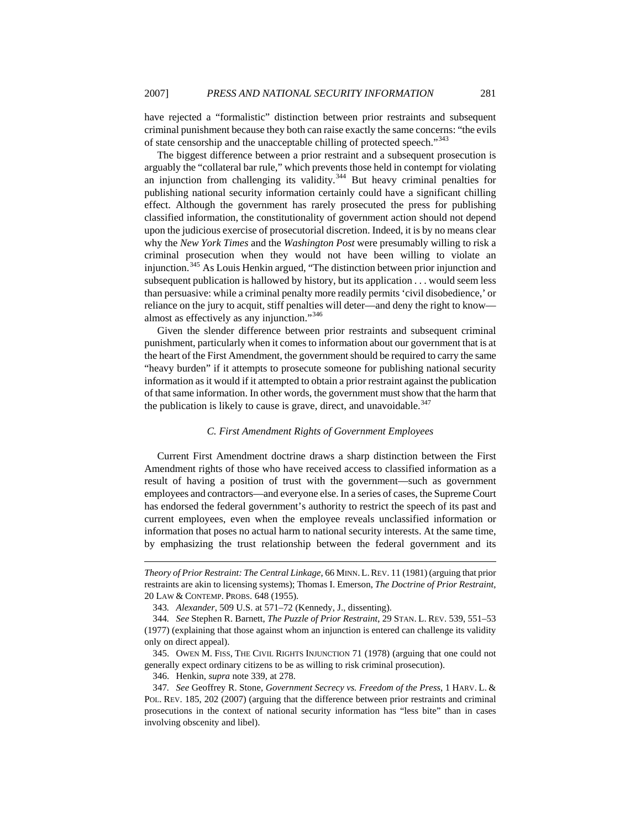have rejected a "formalistic" distinction between prior restraints and subsequent criminal punishment because they both can raise exactly the same concerns: "the evils of state censorship and the unacceptable chilling of protected speech."<sup>[343](#page-49-0)</sup>

The biggest difference between a prior restraint and a subsequent prosecution is arguably the "collateral bar rule," which prevents those held in contempt for violating an injunction from challenging its validity.<sup>[344](#page-49-1)</sup> But heavy criminal penalties for publishing national security information certainly could have a significant chilling effect. Although the government has rarely prosecuted the press for publishing classified information, the constitutionality of government action should not depend upon the judicious exercise of prosecutorial discretion. Indeed, it is by no means clear why the *New York Times* and the *Washington Post* were presumably willing to risk a criminal prosecution when they would not have been willing to violate an injunction.[345](#page-49-2) As Louis Henkin argued, "The distinction between prior injunction and subsequent publication is hallowed by history, but its application . . . would seem less than persuasive: while a criminal penalty more readily permits 'civil disobedience,' or reliance on the jury to acquit, stiff penalties will deter—and deny the right to know almost as effectively as any injunction."[346](#page-49-3)

Given the slender difference between prior restraints and subsequent criminal punishment, particularly when it comes to information about our government that is at the heart of the First Amendment, the government should be required to carry the same "heavy burden" if it attempts to prosecute someone for publishing national security information as it would if it attempted to obtain a prior restraint against the publication of that same information. In other words, the government must show that the harm that the publication is likely to cause is grave, direct, and unavoidable.  $347$ 

## *C. First Amendment Rights of Government Employees*

Current First Amendment doctrine draws a sharp distinction between the First Amendment rights of those who have received access to classified information as a result of having a position of trust with the government—such as government employees and contractors—and everyone else. In a series of cases, the Supreme Court has endorsed the federal government's authority to restrict the speech of its past and current employees, even when the employee reveals unclassified information or information that poses no actual harm to national security interests. At the same time, by emphasizing the trust relationship between the federal government and its

346. Henkin, *supra* note 339, at 278.

*Theory of Prior Restraint: The Central Linkage*, 66 MINN.L.REV. 11 (1981) (arguing that prior restraints are akin to licensing systems); Thomas I. Emerson, *The Doctrine of Prior Restraint*, 20 LAW & CONTEMP. PROBS. 648 (1955).

<sup>343</sup>*. Alexander*, 509 U.S. at 571–72 (Kennedy, J., dissenting).

<span id="page-49-1"></span><span id="page-49-0"></span><sup>344</sup>*. See* Stephen R. Barnett, *The Puzzle of Prior Restraint*, 29 STAN. L. REV. 539, 551–53 (1977) (explaining that those against whom an injunction is entered can challenge its validity only on direct appeal).

<span id="page-49-2"></span><sup>345.</sup> OWEN M. FISS, THE CIVIL RIGHTS INJUNCTION 71 (1978) (arguing that one could not generally expect ordinary citizens to be as willing to risk criminal prosecution).

<span id="page-49-4"></span><span id="page-49-3"></span><sup>347</sup>*. See* Geoffrey R. Stone, *Government Secrecy vs. Freedom of the Press*, 1 HARV. L. & POL. REV. 185, 202 (2007) (arguing that the difference between prior restraints and criminal prosecutions in the context of national security information has "less bite" than in cases involving obscenity and libel).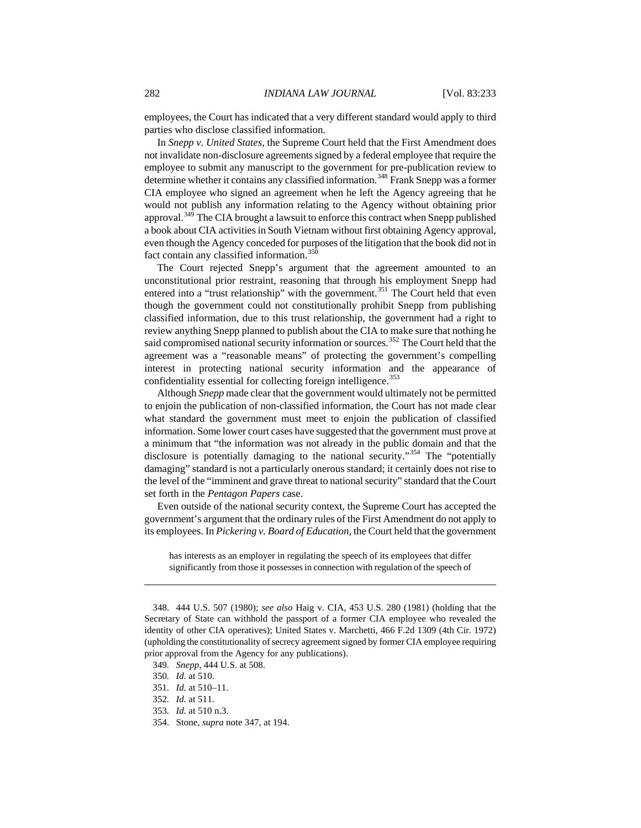employees, the Court has indicated that a very different standard would apply to third parties who disclose classified information.

In *Snepp v. United States*, the Supreme Court held that the First Amendment does not invalidate non-disclosure agreements signed by a federal employee that require the employee to submit any manuscript to the government for pre-publication review to determine whether it contains any classified information.<sup>[348](#page-50-0)</sup> Frank Snepp was a former CIA employee who signed an agreement when he left the Agency agreeing that he would not publish any information relating to the Agency without obtaining prior approval.<sup>[349](#page-50-1)</sup> The CIA brought a lawsuit to enforce this contract when Snepp published a book about CIA activities in South Vietnam without first obtaining Agency approval, even though the Agency conceded for purposes of the litigation that the book did not in fact contain any classified information.<sup>[350](#page-50-2)</sup>

The Court rejected Snepp's argument that the agreement amounted to an unconstitutional prior restraint, reasoning that through his employment Snepp had entered into a "trust relationship" with the government.<sup>[351](#page-50-3)</sup> The Court held that even though the government could not constitutionally prohibit Snepp from publishing classified information, due to this trust relationship, the government had a right to review anything Snepp planned to publish about the CIA to make sure that nothing he said compromised national security information or sources.<sup>[352](#page-50-4)</sup> The Court held that the agreement was a "reasonable means" of protecting the government's compelling interest in protecting national security information and the appearance of confidentiality essential for collecting foreign intelligence.<sup>[353](#page-50-5)</sup>

Although *Snepp* made clear that the government would ultimately not be permitted to enjoin the publication of non-classified information, the Court has not made clear what standard the government must meet to enjoin the publication of classified information. Some lower court cases have suggested that the government must prove at a minimum that "the information was not already in the public domain and that the disclosure is potentially damaging to the national security."<sup>[354](#page-50-6)</sup> The "potentially damaging" standard is not a particularly onerous standard; it certainly does not rise to the level of the "imminent and grave threat to national security" standard that the Court set forth in the *Pentagon Papers* case.

Even outside of the national security context, the Supreme Court has accepted the government's argument that the ordinary rules of the First Amendment do not apply to its employees. In *Pickering v. Board of Education*, the Court held that the government

has interests as an employer in regulating the speech of its employees that differ significantly from those it possesses in connection with regulation of the speech of

<span id="page-50-2"></span><span id="page-50-1"></span>349*. Snepp*, 444 U.S. at 508.

<span id="page-50-0"></span><sup>348. 444</sup> U.S. 507 (1980); *see also* Haig v. CIA, 453 U.S. 280 (1981) (holding that the Secretary of State can withhold the passport of a former CIA employee who revealed the identity of other CIA operatives); United States v. Marchetti, 466 F.2d 1309 (4th Cir. 1972) (upholding the constitutionality of secrecy agreement signed by former CIA employee requiring prior approval from the Agency for any publications).

<sup>350</sup>*. Id.* at 510.

<span id="page-50-3"></span><sup>351</sup>*. Id.* at 510–11.

<span id="page-50-4"></span><sup>352</sup>*. Id.* at 511.

<span id="page-50-6"></span><span id="page-50-5"></span><sup>353</sup>*. Id.* at 510 n.3.

<sup>354.</sup> Stone, *supra* note 347, at 194.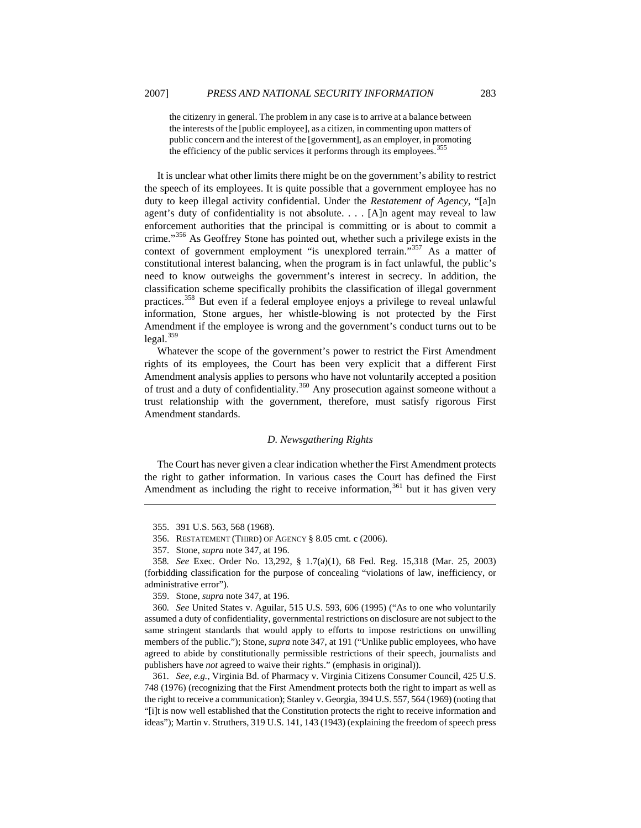the citizenry in general. The problem in any case is to arrive at a balance between the interests of the [public employee], as a citizen, in commenting upon matters of public concern and the interest of the [government], as an employer, in promoting the efficiency of the public services it performs through its employees.<sup>[355](#page-51-0)</sup>

It is unclear what other limits there might be on the government's ability to restrict the speech of its employees. It is quite possible that a government employee has no duty to keep illegal activity confidential. Under the *Restatement of Agency*, "[a]n agent's duty of confidentiality is not absolute. . . . [A]n agent may reveal to law enforcement authorities that the principal is committing or is about to commit a crime."[356](#page-51-1) As Geoffrey Stone has pointed out, whether such a privilege exists in the context of government employment "is unexplored terrain."<sup>[357](#page-51-2)</sup> As a matter of constitutional interest balancing, when the program is in fact unlawful, the public's need to know outweighs the government's interest in secrecy. In addition, the classification scheme specifically prohibits the classification of illegal government practices.<sup>[358](#page-51-3)</sup> But even if a federal employee enjoys a privilege to reveal unlawful information, Stone argues, her whistle-blowing is not protected by the First Amendment if the employee is wrong and the government's conduct turns out to be  $legal.<sup>359</sup>$  $legal.<sup>359</sup>$  $legal.<sup>359</sup>$ 

Whatever the scope of the government's power to restrict the First Amendment rights of its employees, the Court has been very explicit that a different First Amendment analysis applies to persons who have not voluntarily accepted a position of trust and a duty of confidentiality.<sup>[360](#page-51-5)</sup> Any prosecution against someone without a trust relationship with the government, therefore, must satisfy rigorous First Amendment standards.

### *D. Newsgathering Rights*

The Court has never given a clear indication whether the First Amendment protects the right to gather information. In various cases the Court has defined the First Amendment as including the right to receive information,  $361$  but it has given very

<span id="page-51-0"></span> $\overline{a}$ 

359. Stone, *supra* note 347, at 196.

<span id="page-51-5"></span><span id="page-51-4"></span>360*. See* United States v. Aguilar, 515 U.S. 593, 606 (1995) ("As to one who voluntarily assumed a duty of confidentiality, governmental restrictions on disclosure are not subject to the same stringent standards that would apply to efforts to impose restrictions on unwilling members of the public."); Stone, *supra* note 347, at 191 ("Unlike public employees, who have agreed to abide by constitutionally permissible restrictions of their speech, journalists and publishers have *not* agreed to waive their rights." (emphasis in original)).

<span id="page-51-6"></span>361*. See, e.g.*, Virginia Bd. of Pharmacy v. Virginia Citizens Consumer Council, 425 U.S. 748 (1976) (recognizing that the First Amendment protects both the right to impart as well as the right to receive a communication); Stanley v. Georgia, 394 U.S. 557, 564 (1969) (noting that "[i]t is now well established that the Constitution protects the right to receive information and ideas"); Martin v. Struthers, 319 U.S. 141, 143 (1943) (explaining the freedom of speech press

<sup>355. 391</sup> U.S. 563, 568 (1968).

<sup>356.</sup> RESTATEMENT (THIRD) OF AGENCY § 8.05 cmt. c (2006).

<sup>357.</sup> Stone, *supra* note 347, at 196.

<span id="page-51-3"></span><span id="page-51-2"></span><span id="page-51-1"></span><sup>358</sup>*. See* Exec. Order No. 13,292, § 1.7(a)(1), 68 Fed. Reg. 15,318 (Mar. 25, 2003) (forbidding classification for the purpose of concealing "violations of law, inefficiency, or administrative error").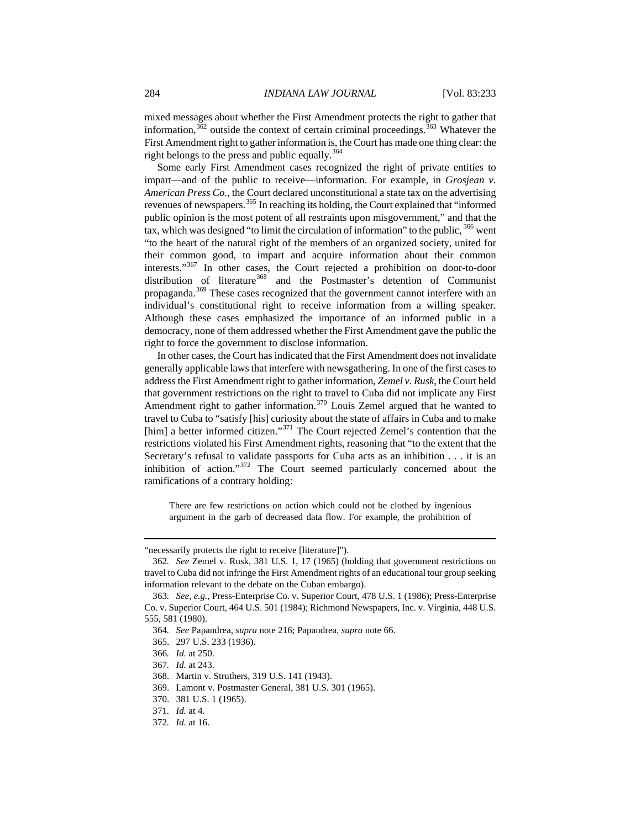mixed messages about whether the First Amendment protects the right to gather that information, $362$  outside the context of certain criminal proceedings.  $363$  Whatever the First Amendment right to gather information is, the Court has made one thing clear: the right belongs to the press and public equally.<sup>[364](#page-52-2)</sup>

Some early First Amendment cases recognized the right of private entities to impart—and of the public to receive—information. For example, in *Grosjean v. American Press Co.*, the Court declared unconstitutional a state tax on the advertising revenues of newspapers.[365](#page-52-3) In reaching its holding, the Court explained that "informed public opinion is the most potent of all restraints upon misgovernment," and that the tax, which was designed "to limit the circulation of information" to the public,  $366$  went "to the heart of the natural right of the members of an organized society, united for their common good, to impart and acquire information about their common interests."[367](#page-52-5) In other cases, the Court rejected a prohibition on door-to-door distribution of literature<sup>[368](#page-52-6)</sup> and the Postmaster's detention of Communist propaganda.<sup>[369](#page-52-7)</sup> These cases recognized that the government cannot interfere with an individual's constitutional right to receive information from a willing speaker. Although these cases emphasized the importance of an informed public in a democracy, none of them addressed whether the First Amendment gave the public the right to force the government to disclose information.

In other cases, the Court has indicated that the First Amendment does not invalidate generally applicable laws that interfere with newsgathering. In one of the first cases to address the First Amendment right to gather information, *Zemel v. Rusk*, the Court held that government restrictions on the right to travel to Cuba did not implicate any First Amendment right to gather information.<sup>[370](#page-52-8)</sup> Louis Zemel argued that he wanted to travel to Cuba to "satisfy [his] curiosity about the state of affairs in Cuba and to make [him] a better informed citizen."<sup>[371](#page-52-9)</sup> The Court rejected Zemel's contention that the restrictions violated his First Amendment rights, reasoning that "to the extent that the Secretary's refusal to validate passports for Cuba acts as an inhibition . . . it is an inhibition of action."[372](#page-52-10) The Court seemed particularly concerned about the ramifications of a contrary holding:

There are few restrictions on action which could not be clothed by ingenious argument in the garb of decreased data flow. For example, the prohibition of

<sup>&</sup>quot;necessarily protects the right to receive [literature]").

<span id="page-52-0"></span><sup>362</sup>*. See* Zemel v. Rusk, 381 U.S. 1, 17 (1965) (holding that government restrictions on travel to Cuba did not infringe the First Amendment rights of an educational tour group seeking information relevant to the debate on the Cuban embargo).

<span id="page-52-3"></span><span id="page-52-2"></span><span id="page-52-1"></span><sup>363</sup>*. See, e.g.*, Press-Enterprise Co. v. Superior Court, 478 U.S. 1 (1986); Press-Enterprise Co. v. Superior Court, 464 U.S. 501 (1984); Richmond Newspapers, Inc. v. Virginia, 448 U.S. 555, 581 (1980).

<sup>364</sup>*. See* Papandrea, *supra* note 216; Papandrea, *supra* note 66.

<sup>365. 297</sup> U.S. 233 (1936).

<span id="page-52-4"></span><sup>366</sup>*. Id.* at 250.

<span id="page-52-5"></span><sup>367</sup>*. Id.* at 243.

<span id="page-52-6"></span><sup>368.</sup> Martin v. Struthers, 319 U.S. 141 (1943).

<span id="page-52-7"></span><sup>369.</sup> Lamont v. Postmaster General, 381 U.S. 301 (1965).

<sup>370. 381</sup> U.S. 1 (1965).

<span id="page-52-9"></span><span id="page-52-8"></span><sup>371</sup>*. Id.* at 4.

<span id="page-52-10"></span><sup>372</sup>*. Id.* at 16.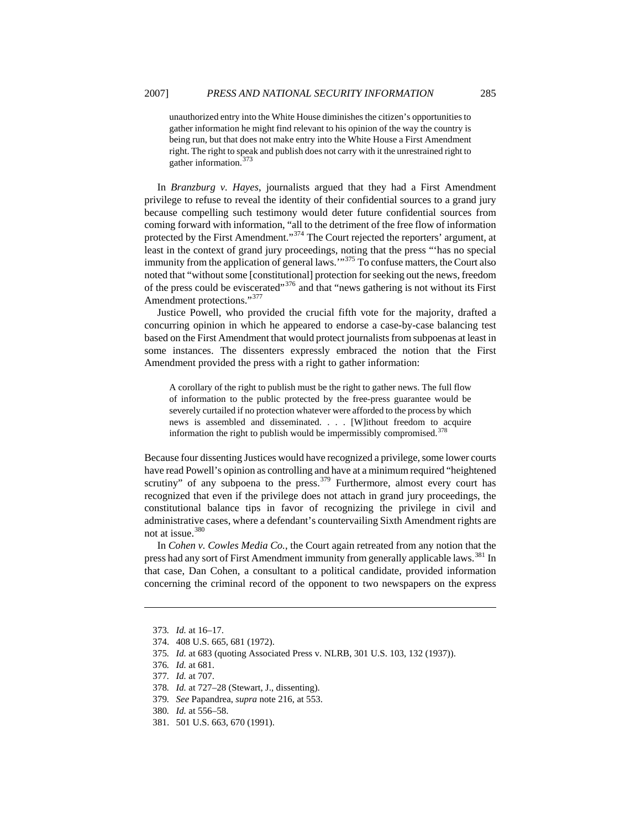In *Branzburg v. Hayes*, journalists argued that they had a First Amendment privilege to refuse to reveal the identity of their confidential sources to a grand jury because compelling such testimony would deter future confidential sources from coming forward with information, "all to the detriment of the free flow of information protected by the First Amendment."<sup>[374](#page-53-1)</sup> The Court rejected the reporters' argument, at least in the context of grand jury proceedings, noting that the press "'has no special immunity from the application of general laws.'"[375](#page-53-2) To confuse matters, the Court also noted that "without some [constitutional] protection for seeking out the news, freedom of the press could be eviscerated"<sup>[376](#page-53-3)</sup> and that "news gathering is not without its First Amendment protections."<sup>[377](#page-53-4)</sup>

right. The right to speak and publish does not carry with it the unrestrained right to

Justice Powell, who provided the crucial fifth vote for the majority, drafted a concurring opinion in which he appeared to endorse a case-by-case balancing test based on the First Amendment that would protect journalists from subpoenas at least in some instances. The dissenters expressly embraced the notion that the First Amendment provided the press with a right to gather information:

A corollary of the right to publish must be the right to gather news. The full flow of information to the public protected by the free-press guarantee would be severely curtailed if no protection whatever were afforded to the process by which news is assembled and disseminated. . . . [W]ithout freedom to acquire information the right to publish would be impermissibly compromised.<sup>[378](#page-53-5)</sup>

Because four dissenting Justices would have recognized a privilege, some lower courts have read Powell's opinion as controlling and have at a minimum required "heightened scrutiny" of any subpoena to the press.<sup>[379](#page-53-6)</sup> Furthermore, almost every court has recognized that even if the privilege does not attach in grand jury proceedings, the constitutional balance tips in favor of recognizing the privilege in civil and administrative cases, where a defendant's countervailing Sixth Amendment rights are not at issue.[380](#page-53-7)

In *Cohen v. Cowles Media Co.*, the Court again retreated from any notion that the press had any sort of First Amendment immunity from generally applicable laws.<sup>381</sup> In that case, Dan Cohen, a consultant to a political candidate, provided information concerning the criminal record of the opponent to two newspapers on the express

<span id="page-53-1"></span><span id="page-53-0"></span> $\overline{a}$ 

<span id="page-53-3"></span><span id="page-53-2"></span>375*. Id.* at 683 (quoting Associated Press v. NLRB, 301 U.S. 103, 132 (1937)).

- 379*. See* Papandrea, *supra* note 216, at 553.
- <span id="page-53-7"></span>380*. Id.* at 556–58.
- <span id="page-53-8"></span>381. 501 U.S. 663, 670 (1991).

gather information.<sup> $3/3$ </sup>

<sup>373</sup>*. Id.* at 16–17.

<sup>374. 408</sup> U.S. 665, 681 (1972).

<sup>376</sup>*. Id.* at 681.

<span id="page-53-4"></span><sup>377</sup>*. Id.* at 707.

<span id="page-53-6"></span><span id="page-53-5"></span><sup>378</sup>*. Id.* at 727–28 (Stewart, J., dissenting).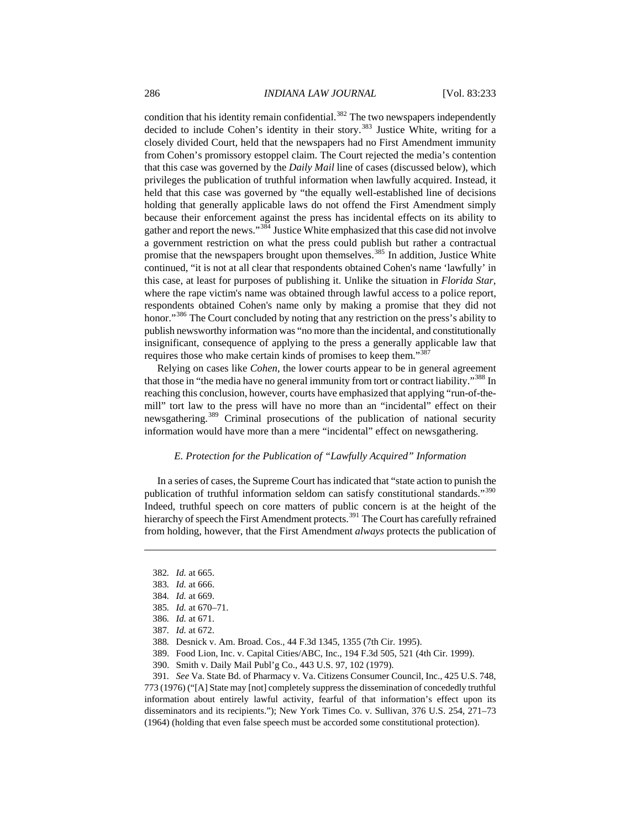condition that his identity remain confidential. $382$  The two newspapers independently decided to include Cohen's identity in their story.<sup>[383](#page-54-1)</sup> Justice White, writing for a closely divided Court, held that the newspapers had no First Amendment immunity from Cohen's promissory estoppel claim. The Court rejected the media's contention that this case was governed by the *Daily Mail* line of cases (discussed below), which privileges the publication of truthful information when lawfully acquired. Instead, it held that this case was governed by "the equally well-established line of decisions holding that generally applicable laws do not offend the First Amendment simply because their enforcement against the press has incidental effects on its ability to gather and report the news."[384](#page-54-2) Justice White emphasized that this case did not involve a government restriction on what the press could publish but rather a contractual promise that the newspapers brought upon themselves.<sup>[385](#page-54-3)</sup> In addition, Justice White continued, "it is not at all clear that respondents obtained Cohen's name 'lawfully' in this case, at least for purposes of publishing it. Unlike the situation in *Florida Star*, where the rape victim's name was obtained through lawful access to a police report, respondents obtained Cohen's name only by making a promise that they did not honor."<sup>[386](#page-54-4)</sup> The Court concluded by noting that any restriction on the press's ability to publish newsworthy information was "no more than the incidental, and constitutionally insignificant, consequence of applying to the press a generally applicable law that requires those who make certain kinds of promises to keep them."<sup>[387](#page-54-5)</sup>

Relying on cases like *Cohen*, the lower courts appear to be in general agreement that those in "the media have no general immunity from tort or contract liability."<sup>388</sup> In reaching this conclusion, however, courts have emphasized that applying "run-of-themill" tort law to the press will have no more than an "incidental" effect on their newsgathering.<sup>[389](#page-54-7)</sup> Criminal prosecutions of the publication of national security information would have more than a mere "incidental" effect on newsgathering.

### *E. Protection for the Publication of "Lawfully Acquired" Information*

In a series of cases, the Supreme Court has indicated that "state action to punish the publication of truthful information seldom can satisfy constitutional standards."[390](#page-54-8) Indeed, truthful speech on core matters of public concern is at the height of the hierarchy of speech the First Amendment protects.<sup>[391](#page-54-9)</sup> The Court has carefully refrained from holding, however, that the First Amendment *always* protects the publication of

<span id="page-54-1"></span><span id="page-54-0"></span> $\overline{a}$ 

389. Food Lion, Inc. v. Capital Cities/ABC, Inc., 194 F.3d 505, 521 (4th Cir. 1999).

390. Smith v. Daily Mail Publ'g Co., 443 U.S. 97, 102 (1979).

<span id="page-54-9"></span><span id="page-54-8"></span><span id="page-54-7"></span><span id="page-54-6"></span><span id="page-54-5"></span>391*. See* Va. State Bd. of Pharmacy v. Va. Citizens Consumer Council, Inc., 425 U.S. 748, 773 (1976) ("[A] State may [not] completely suppress the dissemination of concededly truthful information about entirely lawful activity, fearful of that information's effect upon its disseminators and its recipients."); New York Times Co. v. Sullivan, 376 U.S. 254, 271–73 (1964) (holding that even false speech must be accorded some constitutional protection).

<sup>382</sup>*. Id.* at 665.

<span id="page-54-2"></span><sup>383</sup>*. Id.* at 666.

<sup>384</sup>*. Id.* at 669.

<sup>385</sup>*. Id.* at 670–71.

<span id="page-54-4"></span><span id="page-54-3"></span><sup>386</sup>*. Id.* at 671.

<sup>387</sup>*. Id.* at 672.

<sup>388</sup>*.* Desnick v. Am. Broad. Cos.*,* [44 F.3d 1345, 1355 \(7th Cir. 1995\)](http://web2.westlaw.com/Find/Default.wl?DB=506&SerialNum=1995027011&FindType=Y&ReferencePositionType=S&ReferencePosition=1351&AP=&RS=WLW2.87&VR=2.0&SV=Split&MT=LawSchool&FN=_top).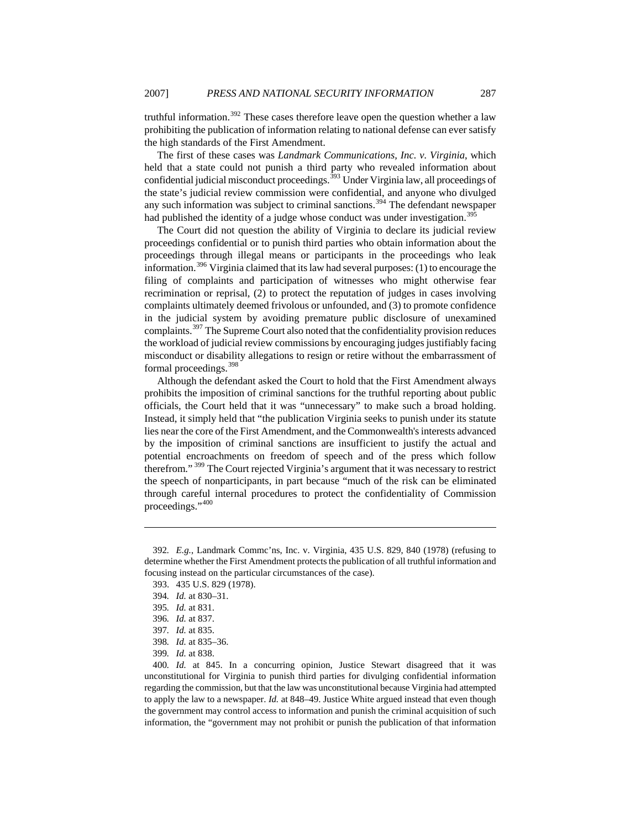truthful information.<sup>[392](#page-55-0)</sup> These cases therefore leave open the question whether a law prohibiting the publication of information relating to national defense can ever satisfy the high standards of the First Amendment.

The first of these cases was *Landmark Communications, Inc. v. Virginia*, which held that a state could not punish a third party who revealed information about confidential judicial misconduct proceedings.<sup>[393](#page-55-1)</sup> Under Virginia law, all proceedings of the state's judicial review commission were confidential, and anyone who divulged any such information was subject to criminal sanctions.<sup>[394](#page-55-2)</sup> The defendant newspaper had published the identity of a judge whose conduct was under investigation.<sup>39</sup>

The Court did not question the ability of Virginia to declare its judicial review proceedings confidential or to punish third parties who obtain information about the proceedings through illegal means or participants in the proceedings who leak information.<sup>[396](#page-55-4)</sup> Virginia claimed that its law had several purposes: (1) to encourage the filing of complaints and participation of witnesses who might otherwise fear recrimination or reprisal, (2) to protect the reputation of judges in cases involving complaints ultimately deemed frivolous or unfounded, and (3) to promote confidence in the judicial system by avoiding premature public disclosure of unexamined complaints.[397](#page-55-5) The Supreme Court also noted that the confidentiality provision reduces the workload of judicial review commissions by encouraging judges justifiably facing misconduct or disability allegations to resign or retire without the embarrassment of formal proceedings.<sup>[398](#page-55-6)</sup>

Although the defendant asked the Court to hold that the First Amendment always prohibits the imposition of criminal sanctions for the truthful reporting about public officials, the Court held that it was "unnecessary" to make such a broad holding. Instead, it simply held that "the publication Virginia seeks to punish under its statute lies near the core of the First Amendment, and the Commonwealth's interests advanced by the imposition of criminal sanctions are insufficient to justify the actual and potential encroachments on freedom of speech and of the press which follow therefrom." [399](#page-55-7) The Court rejected Virginia's argument that it was necessary to restrict the speech of nonparticipants, in part because "much of the risk can be eliminated through careful internal procedures to protect the confidentiality of Commission proceedings.",[400](#page-55-8)

<span id="page-55-2"></span><span id="page-55-1"></span><span id="page-55-0"></span><sup>392</sup>*. E.g.*, Landmark Commc'ns, Inc. v. Virginia, 435 U.S. 829, 840 (1978) (refusing to determine whether the First Amendment protects the publication of all truthful information and focusing instead on the particular circumstances of the case).

<sup>393. 435</sup> U.S. 829 (1978).

<sup>394</sup>*. Id.* at 830–31.

<span id="page-55-3"></span><sup>395</sup>*. Id.* at 831.

<span id="page-55-4"></span><sup>396</sup>*. Id.* at 837.

<sup>397</sup>*. Id.* at 835.

<sup>398</sup>*. Id.* at 835–36.

<sup>399</sup>*. Id.* at 838.

<span id="page-55-8"></span><span id="page-55-7"></span><span id="page-55-6"></span><span id="page-55-5"></span><sup>400</sup>*. Id.* at 845. In a concurring opinion, Justice Stewart disagreed that it was unconstitutional for Virginia to punish third parties for divulging confidential information regarding the commission, but that the law was unconstitutional because Virginia had attempted to apply the law to a newspaper. *Id.* at 848–49. Justice White argued instead that even though the government may control access to information and punish the criminal acquisition of such information, the "government may not prohibit or punish the publication of that information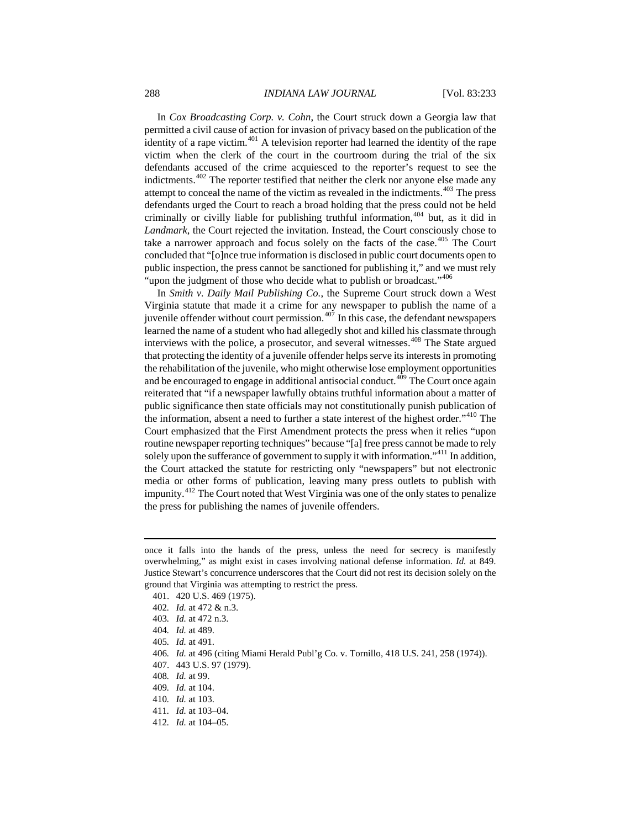In *Cox Broadcasting Corp. v. Cohn*, the Court struck down a Georgia law that permitted a civil cause of action for invasion of privacy based on the publication of the identity of a rape victim. $401$  A television reporter had learned the identity of the rape victim when the clerk of the court in the courtroom during the trial of the six defendants accused of the crime acquiesced to the reporter's request to see the indictments.<sup>[402](#page-56-1)</sup> The reporter testified that neither the clerk nor anyone else made any attempt to conceal the name of the victim as revealed in the indictments.<sup>[403](#page-56-2)</sup> The press defendants urged the Court to reach a broad holding that the press could not be held criminally or civilly liable for publishing truthful information,  $404$  but, as it did in *Landmark*, the Court rejected the invitation. Instead, the Court consciously chose to take a narrower approach and focus solely on the facts of the case. $405$  The Court concluded that "[o]nce true information is disclosed in public court documents open to public inspection, the press cannot be sanctioned for publishing it," and we must rely "upon the judgment of those who decide what to publish or broadcast."<sup>[406](#page-56-5)</sup>

In *Smith v. Daily Mail Publishing Co.*, the Supreme Court struck down a West Virginia statute that made it a crime for any newspaper to publish the name of a juvenile offender without court permission. $407$  In this case, the defendant newspapers learned the name of a student who had allegedly shot and killed his classmate through interviews with the police, a prosecutor, and several witnesses.<sup>[408](#page-56-7)</sup> The State argued that protecting the identity of a juvenile offender helps serve its interests in promoting the rehabilitation of the juvenile, who might otherwise lose employment opportunities and be encouraged to engage in additional antisocial conduct.<sup> $4\hat{0}9$ </sup> The Court once again reiterated that "if a newspaper lawfully obtains truthful information about a matter of public significance then state officials may not constitutionally punish publication of the information, absent a need to further a state interest of the highest order."<sup>[410](#page-56-9)</sup> The Court emphasized that the First Amendment protects the press when it relies "upon routine newspaper reporting techniques" because "[a] free press cannot be made to rely solely upon the sufferance of government to supply it with information.<sup> $11$ </sup> In addition, the Court attacked the statute for restricting only "newspapers" but not electronic media or other forms of publication, leaving many press outlets to publish with impunity.<sup>[412](#page-56-11)</sup> The Court noted that West Virginia was one of the only states to penalize the press for publishing the names of juvenile offenders.

<span id="page-56-2"></span>403*. Id.* at 472 n.3.

<span id="page-56-0"></span>once it falls into the hands of the press, unless the need for secrecy is manifestly overwhelming," as might exist in cases involving national defense information. *Id.* at 849. Justice Stewart's concurrence underscores that the Court did not rest its decision solely on the ground that Virginia was attempting to restrict the press.

<sup>401. 420</sup> U.S. 469 (1975).

<span id="page-56-1"></span><sup>402</sup>*. Id.* at 472 & n.3.

<span id="page-56-3"></span><sup>404</sup>*. Id.* at 489.

<span id="page-56-4"></span><sup>405</sup>*. Id.* at 491.

<span id="page-56-5"></span><sup>406</sup>*. Id.* at 496 (citing Miami Herald Publ'g Co. v. Tornillo, 418 U.S. 241, 258 (1974)).

<span id="page-56-6"></span><sup>407. 443</sup> U.S. 97 (1979).

<span id="page-56-7"></span><sup>408</sup>*. Id.* at 99.

<span id="page-56-8"></span><sup>409</sup>*. Id.* at 104.

<span id="page-56-9"></span><sup>410</sup>*. Id.* at 103.

<span id="page-56-10"></span><sup>411</sup>*. Id.* at 103–04.

<span id="page-56-11"></span><sup>412</sup>*. Id.* at 104–05.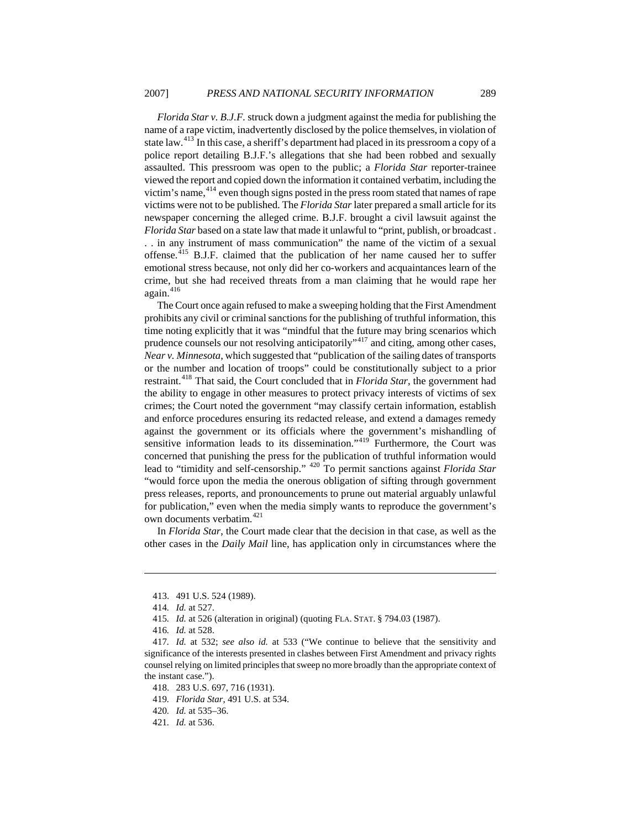*Florida Star v. B.J.F.* struck down a judgment against the media for publishing the name of a rape victim, inadvertently disclosed by the police themselves, in violation of state law.<sup>[413](#page-57-0)</sup> In this case, a sheriff's department had placed in its pressroom a copy of a police report detailing B.J.F.'s allegations that she had been robbed and sexually assaulted. This pressroom was open to the public; a *Florida Star* reporter-trainee viewed the report and copied down the information it contained verbatim, including the victim's name,  $4^{14}$  even though signs posted in the press room stated that names of rape victims were not to be published. The *Florida Star* later prepared a small article for its newspaper concerning the alleged crime. B.J.F. brought a civil lawsuit against the *Florida Star* based on a state law that made it unlawful to "print, publish, or broadcast . . . in any instrument of mass communication" the name of the victim of a sexual offense.[415](#page-57-2) B.J.F. claimed that the publication of her name caused her to suffer emotional stress because, not only did her co-workers and acquaintances learn of the crime, but she had received threats from a man claiming that he would rape her again. $416$ 

The Court once again refused to make a sweeping holding that the First Amendment prohibits any civil or criminal sanctions for the publishing of truthful information, this time noting explicitly that it was "mindful that the future may bring scenarios which prudence counsels our not resolving anticipatorily"<sup>[417](#page-57-4)</sup> and citing, among other cases, *Near v. Minnesota*, which suggested that "publication of the sailing dates of transports or the number and location of troops" could be constitutionally subject to a prior restraint.[418](#page-57-5) That said, the Court concluded that in *Florida Star*, the government had the ability to engage in other measures to protect privacy interests of victims of sex crimes; the Court noted the government "may classify certain information, establish and enforce procedures ensuring its redacted release, and extend a damages remedy against the government or its officials where the government's mishandling of sensitive information leads to its dissemination."<sup>[419](#page-57-6)</sup> Furthermore, the Court was concerned that punishing the press for the publication of truthful information would lead to "timidity and self-censorship." [420](#page-57-7) To permit sanctions against *Florida Star* "would force upon the media the onerous obligation of sifting through government press releases, reports, and pronouncements to prune out material arguably unlawful for publication," even when the media simply wants to reproduce the government's own documents verbatim.<sup>[421](#page-57-8)</sup>

In *Florida Star*, the Court made clear that the decision in that case, as well as the other cases in the *Daily Mail* line, has application only in circumstances where the

<span id="page-57-0"></span><sup>413. 491</sup> U.S. 524 (1989).

<sup>414</sup>*. Id.* at 527.

<sup>415</sup>*. Id.* at 526 (alteration in original) (quoting FLA. STAT. § 794.03 (1987).

<sup>416</sup>*. Id.* at 528.

<span id="page-57-5"></span><span id="page-57-4"></span><span id="page-57-3"></span><span id="page-57-2"></span><span id="page-57-1"></span><sup>417</sup>*. Id.* at 532; *see also id.* at 533 ("We continue to believe that the sensitivity and significance of the interests presented in clashes between First Amendment and privacy rights counsel relying on limited principles that sweep no more broadly than the appropriate context of the instant case.").

<sup>418. 283</sup> U.S. 697, 716 (1931).

<span id="page-57-6"></span><sup>419</sup>*. Florida Star*, 491 U.S. at 534.

<span id="page-57-7"></span><sup>420</sup>*. Id.* at 535–36.

<span id="page-57-8"></span><sup>421</sup>*. Id.* at 536.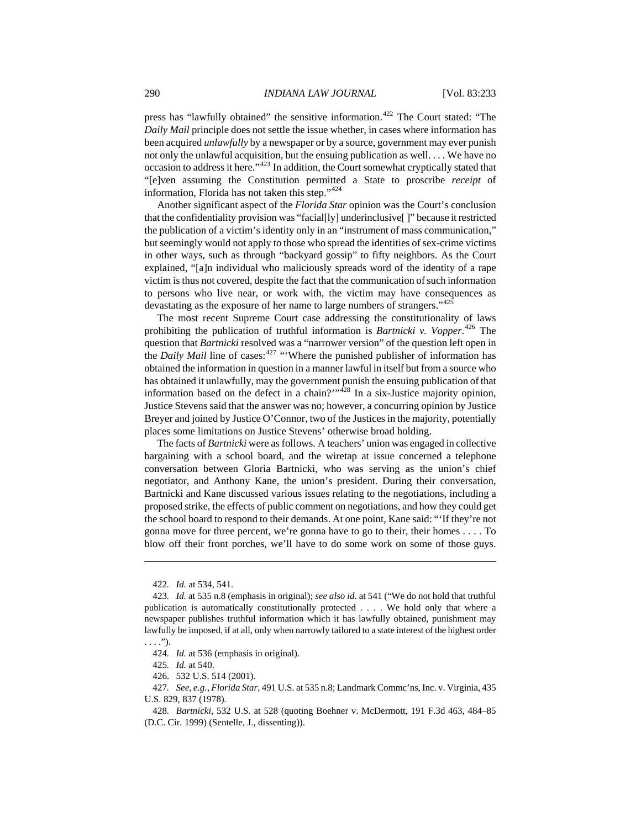press has "lawfully obtained" the sensitive information.<sup>[422](#page-58-0)</sup> The Court stated: "The *Daily Mail* principle does not settle the issue whether, in cases where information has been acquired *unlawfully* by a newspaper or by a source, government may ever punish not only the unlawful acquisition, but the ensuing publication as well. . . . We have no occasion to address it here."[423](#page-58-1) In addition, the Court somewhat cryptically stated that "[e]ven assuming the Constitution permitted a State to proscribe *receipt* of information, Florida has not taken this step."[424](#page-58-2)

Another significant aspect of the *Florida Star* opinion was the Court's conclusion that the confidentiality provision was "facial[ly] underinclusive[ ]" because it restricted the publication of a victim's identity only in an "instrument of mass communication," but seemingly would not apply to those who spread the identities of sex-crime victims in other ways, such as through "backyard gossip" to fifty neighbors. As the Court explained, "[a]n individual who maliciously spreads word of the identity of a rape victim is thus not covered, despite the fact that the communication of such information to persons who live near, or work with, the victim may have consequences as devastating as the exposure of her name to large numbers of strangers." [425](#page-58-3)

The most recent Supreme Court case addressing the constitutionality of laws prohibiting the publication of truthful information is *Bartnicki v. Vopper*. [426](#page-58-4) The question that *Bartnicki* resolved was a "narrower version" of the question left open in the *Daily Mail* line of cases:<sup>[427](#page-58-5)</sup> "Where the punished publisher of information has obtained the information in question in a manner lawful in itself but from a source who has obtained it unlawfully, may the government punish the ensuing publication of that information based on the defect in a chain?" $428$  In a six-Justice majority opinion, Justice Stevens said that the answer was no; however, a concurring opinion by Justice Breyer and joined by Justice O'Connor, two of the Justices in the majority, potentially places some limitations on Justice Stevens' otherwise broad holding.

The facts of *Bartnicki* were as follows. A teachers' union was engaged in collective bargaining with a school board, and the wiretap at issue concerned a telephone conversation between Gloria Bartnicki, who was serving as the union's chief negotiator, and Anthony Kane, the union's president. During their conversation, Bartnicki and Kane discussed various issues relating to the negotiations, including a proposed strike, the effects of public comment on negotiations, and how they could get the school board to respond to their demands. At one point, Kane said: "'If they're not gonna move for three percent, we're gonna have to go to their, their homes . . . . To blow off their front porches, we'll have to do some work on some of those guys.

<sup>422</sup>*. Id.* at 534, 541.

<span id="page-58-1"></span><span id="page-58-0"></span><sup>423</sup>*. Id.* at 535 n.8 (emphasis in original); *see also id.* at 541 ("We do not hold that truthful publication is automatically constitutionally protected . . . . We hold only that where a newspaper publishes truthful information which it has lawfully obtained, punishment may lawfully be imposed, if at all, only when narrowly tailored to a state interest of the highest order  $\ldots$ .").

<sup>424</sup>*. Id.* at 536 (emphasis in original).

<sup>425</sup>*. Id.* at 540.

<sup>426. 532</sup> U.S. 514 (2001).

<span id="page-58-5"></span><span id="page-58-4"></span><span id="page-58-3"></span><span id="page-58-2"></span><sup>427</sup>*. See, e.g.*, *Florida Star*, 491 U.S. at 535 n.8; Landmark Commc'ns, Inc. v. Virginia, 435 U.S. 829, 837 (1978).

<span id="page-58-6"></span><sup>428</sup>*. Bartnicki*, 532 U.S. at 528 (quoting Boehner v. McDermott, 191 F.3d 463, 484–85 (D.C. Cir. 1999) (Sentelle, J., dissenting)).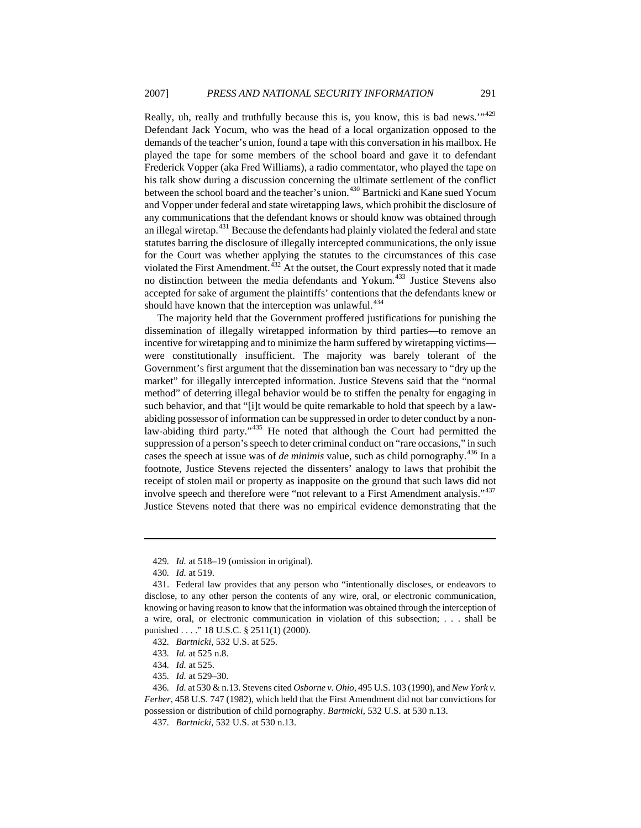Really, uh, really and truthfully because this is, you know, this is bad news."<sup>[429](#page-59-0)</sup> Defendant Jack Yocum, who was the head of a local organization opposed to the demands of the teacher's union, found a tape with this conversation in his mailbox. He played the tape for some members of the school board and gave it to defendant Frederick Vopper (aka Fred Williams), a radio commentator, who played the tape on his talk show during a discussion concerning the ultimate settlement of the conflict between the school board and the teacher's union.<sup>[430](#page-59-1)</sup> Bartnicki and Kane sued Yocum and Vopper under federal and state wiretapping laws, which prohibit the disclosure of any communications that the defendant knows or should know was obtained through an illegal wiretap.<sup>[431](#page-59-2)</sup> Because the defendants had plainly violated the federal and state statutes barring the disclosure of illegally intercepted communications, the only issue for the Court was whether applying the statutes to the circumstances of this case violated the First Amendment.<sup>[432](#page-59-3)</sup> At the outset, the Court expressly noted that it made no distinction between the media defendants and Yokum.<sup>[433](#page-59-4)</sup> Justice Stevens also accepted for sake of argument the plaintiffs' contentions that the defendants knew or should have known that the interception was unlawful.<sup>[434](#page-59-5)</sup>

The majority held that the Government proffered justifications for punishing the dissemination of illegally wiretapped information by third parties—to remove an incentive for wiretapping and to minimize the harm suffered by wiretapping victims were constitutionally insufficient. The majority was barely tolerant of the Government's first argument that the dissemination ban was necessary to "dry up the market" for illegally intercepted information. Justice Stevens said that the "normal method" of deterring illegal behavior would be to stiffen the penalty for engaging in such behavior, and that "[i]t would be quite remarkable to hold that speech by a lawabiding possessor of information can be suppressed in order to deter conduct by a non-law-abiding third party."<sup>[435](#page-59-6)</sup> He noted that although the Court had permitted the suppression of a person's speech to deter criminal conduct on "rare occasions," in such cases the speech at issue was of *de minimis* value, such as child pornography.<sup>[436](#page-59-7)</sup> In a footnote, Justice Stevens rejected the dissenters' analogy to laws that prohibit the receipt of stolen mail or property as inapposite on the ground that such laws did not involve speech and therefore were "not relevant to a First Amendment analysis."<sup>[437](#page-59-8)</sup> Justice Stevens noted that there was no empirical evidence demonstrating that the

<sup>429</sup>*. Id.* at 518–19 (omission in original).

<sup>430</sup>*. Id.* at 519.

<span id="page-59-2"></span><span id="page-59-1"></span><span id="page-59-0"></span><sup>431.</sup> Federal law provides that any person who "intentionally discloses, or endeavors to disclose, to any other person the contents of any wire, oral, or electronic communication, knowing or having reason to know that the information was obtained through the interception of a wire, oral, or electronic communication in violation of this subsection; . . . shall be punished . . . ." 18 U.S.C. § 2511(1) (2000).

<span id="page-59-3"></span><sup>432</sup>*. Bartnicki*, 532 U.S. at 525.

<sup>433</sup>*. Id.* at 525 n.8.

<sup>434</sup>*. Id.* at 525.

<sup>435</sup>*. Id.* at 529–30.

<span id="page-59-8"></span><span id="page-59-7"></span><span id="page-59-6"></span><span id="page-59-5"></span><span id="page-59-4"></span><sup>436</sup>*. Id.* at 530 & n.13. Stevens cited *Osborne v. Ohio*, 495 U.S. 103 (1990), and *New York v. Ferber*, 458 U.S. 747 (1982), which held that the First Amendment did not bar convictions for possession or distribution of child pornography. *Bartnicki*, 532 U.S. at 530 n.13.

<sup>437</sup>*. Bartnicki*, 532 U.S. at 530 n.13.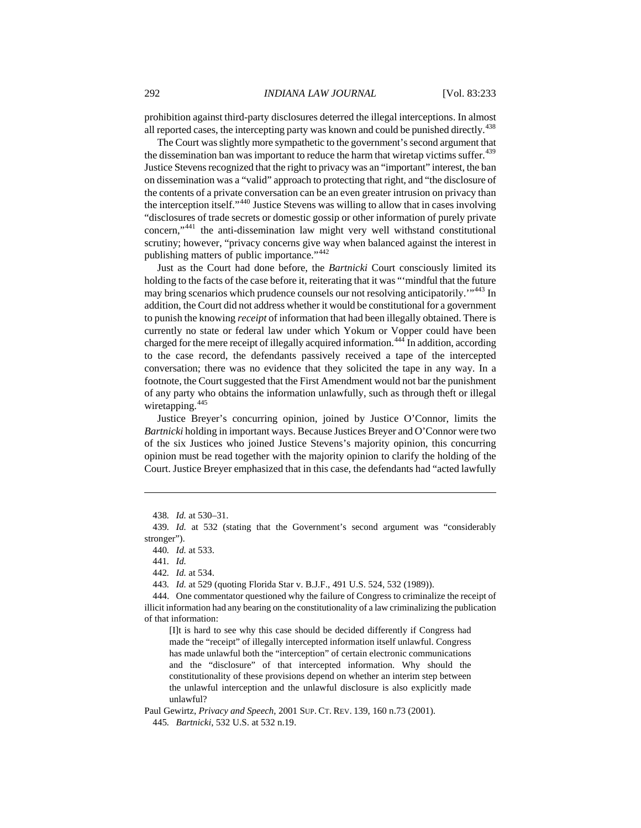prohibition against third-party disclosures deterred the illegal interceptions. In almost all reported cases, the intercepting party was known and could be punished directly.<sup>[438](#page-60-0)</sup>

The Court was slightly more sympathetic to the government's second argument that the dissemination ban was important to reduce the harm that wiretap victims suffer.<sup>[439](#page-60-1)</sup> Justice Stevens recognized that the right to privacy was an "important" interest, the ban on dissemination was a "valid" approach to protecting that right, and "the disclosure of the contents of a private conversation can be an even greater intrusion on privacy than the interception itself."[440](#page-60-2) Justice Stevens was willing to allow that in cases involving "disclosures of trade secrets or domestic gossip or other information of purely private concern,"[441](#page-60-3) the anti-dissemination law might very well withstand constitutional scrutiny; however, "privacy concerns give way when balanced against the interest in publishing matters of public importance."<sup>[442](#page-60-4)</sup>

Just as the Court had done before, the *Bartnicki* Court consciously limited its holding to the facts of the case before it, reiterating that it was "'mindful that the future may bring scenarios which prudence counsels our not resolving anticipatorily."<sup>[443](#page-60-5)</sup> In addition, the Court did not address whether it would be constitutional for a government to punish the knowing *receipt* of information that had been illegally obtained. There is currently no state or federal law under which Yokum or Vopper could have been charged for the mere receipt of illegally acquired information.<sup>[444](#page-60-6)</sup> In addition, according to the case record, the defendants passively received a tape of the intercepted conversation; there was no evidence that they solicited the tape in any way. In a footnote, the Court suggested that the First Amendment would not bar the punishment of any party who obtains the information unlawfully, such as through theft or illegal wiretapping.<sup>[445](#page-60-7)</sup>

Justice Breyer's concurring opinion, joined by Justice O'Connor, limits the *Bartnicki* holding in important ways. Because Justices Breyer and O'Connor were two of the six Justices who joined Justice Stevens's majority opinion, this concurring opinion must be read together with the majority opinion to clarify the holding of the Court. Justice Breyer emphasized that in this case, the defendants had "acted lawfully

 $\overline{a}$ 

[I]t is hard to see why this case should be decided differently if Congress had made the "receipt" of illegally intercepted information itself unlawful. Congress has made unlawful both the "interception" of certain electronic communications and the "disclosure" of that intercepted information. Why should the constitutionality of these provisions depend on whether an interim step between the unlawful interception and the unlawful disclosure is also explicitly made unlawful?

<span id="page-60-7"></span>Paul Gewirtz, *Privacy and Speech*, 2001 SUP. CT. REV. 139, 160 n.73 (2001).

<sup>438</sup>*. Id.* at 530–31.

<span id="page-60-3"></span><span id="page-60-2"></span><span id="page-60-1"></span><span id="page-60-0"></span><sup>439</sup>*. Id.* at 532 (stating that the Government's second argument was "considerably stronger").

<sup>440</sup>*. Id.* at 533.

<sup>441</sup>*. Id.*

<sup>442</sup>*. Id.* at 534.

<sup>443</sup>*. Id.* at 529 (quoting Florida Star v. B.J.F., 491 U.S. 524, 532 (1989)).

<span id="page-60-6"></span><span id="page-60-5"></span><span id="page-60-4"></span><sup>444.</sup> One commentator questioned why the failure of Congress to criminalize the receipt of illicit information had any bearing on the constitutionality of a law criminalizing the publication of that information:

<sup>445</sup>*. Bartnicki*, 532 U.S. at 532 n.19.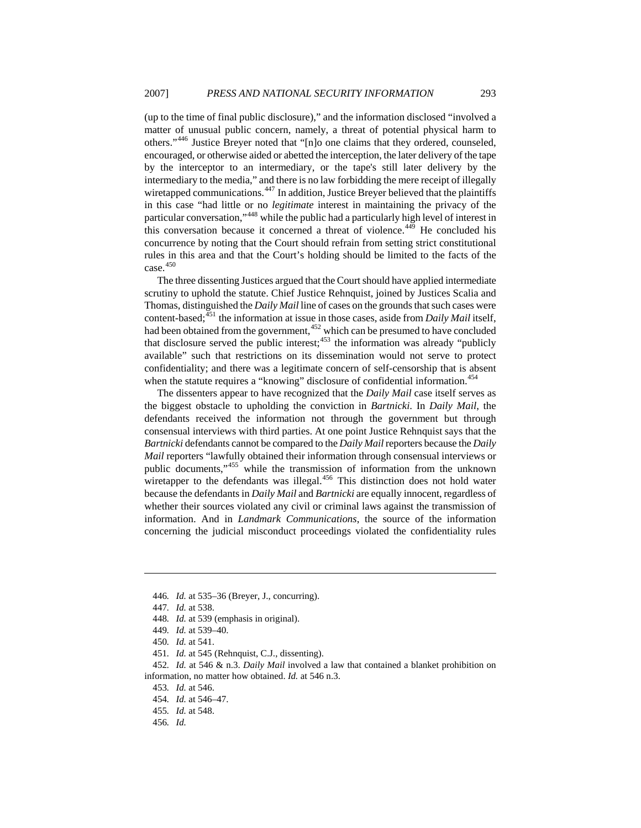(up to the time of final public disclosure)," and the information disclosed "involved a matter of unusual public concern, namely, a threat of potential physical harm to others."[446](#page-61-0) Justice Breyer noted that "[n]o one claims that they ordered, counseled, encouraged, or otherwise aided or abetted the interception, the later delivery of the tape by the interceptor to an intermediary, or the tape's still later delivery by the intermediary to the media," and there is no law forbidding the mere receipt of illegally wiretapped communications.<sup>[447](#page-61-1)</sup> In addition, Justice Breyer believed that the plaintiffs in this case "had little or no *legitimate* interest in maintaining the privacy of the particular conversation,"[448](#page-61-2) while the public had a particularly high level of interest in this conversation because it concerned a threat of violence.<sup>[449](#page-61-3)</sup> He concluded his concurrence by noting that the Court should refrain from setting strict constitutional rules in this area and that the Court's holding should be limited to the facts of the case. $450$ 

The three dissenting Justices argued that the Court should have applied intermediate scrutiny to uphold the statute. Chief Justice Rehnquist, joined by Justices Scalia and Thomas, distinguished the *Daily Mail* line of cases on the grounds that such cases were content-based;<sup>[451](#page-61-5)</sup> the information at issue in those cases, aside from *Daily Mail* itself, had been obtained from the government,<sup>[452](#page-61-6)</sup> which can be presumed to have concluded that disclosure served the public interest; $453$  the information was already "publicly available" such that restrictions on its dissemination would not serve to protect confidentiality; and there was a legitimate concern of self-censorship that is absent when the statute requires a "knowing" disclosure of confidential information.<sup>[454](#page-61-8)</sup>

The dissenters appear to have recognized that the *Daily Mail* case itself serves as the biggest obstacle to upholding the conviction in *Bartnicki*. In *Daily Mail*, the defendants received the information not through the government but through consensual interviews with third parties. At one point Justice Rehnquist says that the *Bartnicki* defendants cannot be compared to the *Daily Mail* reporters because the *Daily Mail* reporters "lawfully obtained their information through consensual interviews or public documents,"[455](#page-61-9) while the transmission of information from the unknown wiretapper to the defendants was illegal.<sup>[456](#page-61-10)</sup> This distinction does not hold water because the defendants in *Daily Mail* and *Bartnicki* are equally innocent, regardless of whether their sources violated any civil or criminal laws against the transmission of information. And in *Landmark Communications*, the source of the information concerning the judicial misconduct proceedings violated the confidentiality rules

<span id="page-61-0"></span><sup>446</sup>*. Id.* at 535–36 (Breyer, J., concurring).

<span id="page-61-1"></span><sup>447</sup>*. Id.* at 538.

<span id="page-61-2"></span><sup>448</sup>*. Id.* at 539 (emphasis in original).

<sup>449</sup>*. Id.* at 539–40.

<sup>450</sup>*. Id.* at 541.

<sup>451</sup>*. Id.* at 545 (Rehnquist, C.J., dissenting).

<span id="page-61-9"></span><span id="page-61-8"></span><span id="page-61-7"></span><span id="page-61-6"></span><span id="page-61-5"></span><span id="page-61-4"></span><span id="page-61-3"></span><sup>452</sup>*. Id.* at 546 & n.3. *Daily Mail* involved a law that contained a blanket prohibition on information, no matter how obtained. *Id.* at 546 n.3.

<sup>453</sup>*. Id.* at 546.

<sup>454</sup>*. Id.* at 546–47.

<span id="page-61-10"></span><sup>455</sup>*. Id.* at 548.

<sup>456</sup>*. Id.*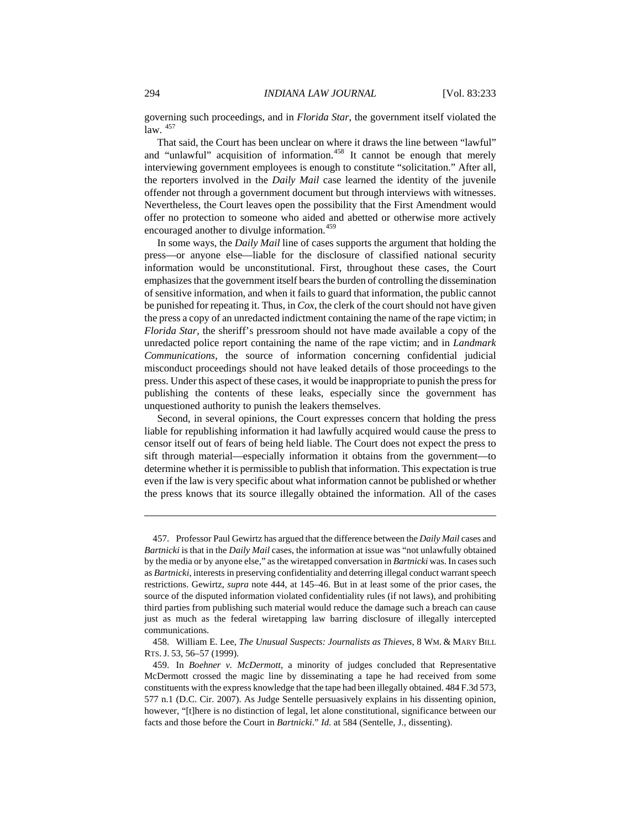governing such proceedings, and in *Florida Star*, the government itself violated the  $law.$   $457$ 

That said, the Court has been unclear on where it draws the line between "lawful" and "unlawful" acquisition of information.<sup>[458](#page-62-1)</sup> It cannot be enough that merely interviewing government employees is enough to constitute "solicitation." After all, the reporters involved in the *Daily Mail* case learned the identity of the juvenile offender not through a government document but through interviews with witnesses. Nevertheless, the Court leaves open the possibility that the First Amendment would offer no protection to someone who aided and abetted or otherwise more actively encouraged another to divulge information.<sup>[459](#page-62-2)</sup>

In some ways, the *Daily Mail* line of cases supports the argument that holding the press—or anyone else—liable for the disclosure of classified national security information would be unconstitutional. First, throughout these cases, the Court emphasizes that the government itself bears the burden of controlling the dissemination of sensitive information, and when it fails to guard that information, the public cannot be punished for repeating it. Thus, in *Cox*, the clerk of the court should not have given the press a copy of an unredacted indictment containing the name of the rape victim; in *Florida Star*, the sheriff's pressroom should not have made available a copy of the unredacted police report containing the name of the rape victim; and in *Landmark Communications*, the source of information concerning confidential judicial misconduct proceedings should not have leaked details of those proceedings to the press. Under this aspect of these cases, it would be inappropriate to punish the press for publishing the contents of these leaks, especially since the government has unquestioned authority to punish the leakers themselves.

Second, in several opinions, the Court expresses concern that holding the press liable for republishing information it had lawfully acquired would cause the press to censor itself out of fears of being held liable. The Court does not expect the press to sift through material—especially information it obtains from the government—to determine whether it is permissible to publish that information. This expectation is true even if the law is very specific about what information cannot be published or whether the press knows that its source illegally obtained the information. All of the cases

<span id="page-62-0"></span><sup>457.</sup> Professor Paul Gewirtz has argued that the difference between the *Daily Mail* cases and *Bartnicki* is that in the *Daily Mail* cases, the information at issue was "not unlawfully obtained by the media or by anyone else," as the wiretapped conversation in *Bartnicki* was. In cases such as *Bartnicki*, interests in preserving confidentiality and deterring illegal conduct warrant speech restrictions. Gewirtz, *supra* note 444, at 145–46. But in at least some of the prior cases, the source of the disputed information violated confidentiality rules (if not laws), and prohibiting third parties from publishing such material would reduce the damage such a breach can cause just as much as the federal wiretapping law barring disclosure of illegally intercepted communications.

<span id="page-62-1"></span><sup>458.</sup> William E. Lee, *The Unusual Suspects: Journalists as Thieves*, 8 WM. & MARY BILL RTS. J. 53, 56–57 (1999).

<span id="page-62-2"></span><sup>459.</sup> In *Boehner v. McDermott*, a minority of judges concluded that Representative McDermott crossed the magic line by disseminating a tape he had received from some constituents with the express knowledge that the tape had been illegally obtained. 484 F.3d 573, 577 n.1 (D.C. Cir. 2007). As Judge Sentelle persuasively explains in his dissenting opinion, however, "[t]here is no distinction of legal, let alone constitutional, significance between our facts and those before the Court in *Bartnicki*." *Id.* at 584 (Sentelle, J., dissenting).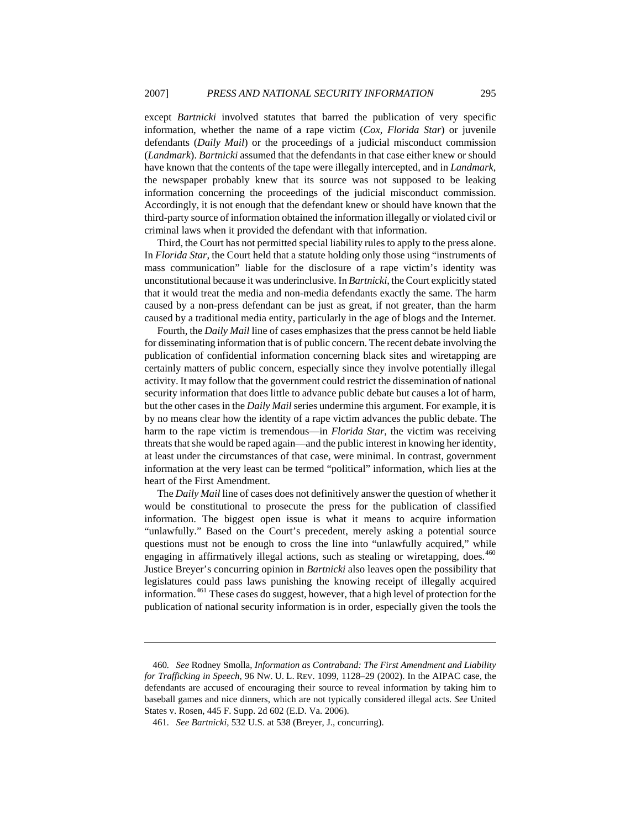except *Bartnicki* involved statutes that barred the publication of very specific information, whether the name of a rape victim (*Cox*, *Florida Star*) or juvenile defendants (*Daily Mail*) or the proceedings of a judicial misconduct commission (*Landmark*). *Bartnicki* assumed that the defendants in that case either knew or should have known that the contents of the tape were illegally intercepted, and in *Landmark*, the newspaper probably knew that its source was not supposed to be leaking information concerning the proceedings of the judicial misconduct commission. Accordingly, it is not enough that the defendant knew or should have known that the third-party source of information obtained the information illegally or violated civil or criminal laws when it provided the defendant with that information.

Third, the Court has not permitted special liability rules to apply to the press alone. In *Florida Star*, the Court held that a statute holding only those using "instruments of mass communication" liable for the disclosure of a rape victim's identity was unconstitutional because it was underinclusive. In *Bartnicki*, the Court explicitly stated that it would treat the media and non-media defendants exactly the same. The harm caused by a non-press defendant can be just as great, if not greater, than the harm caused by a traditional media entity, particularly in the age of blogs and the Internet.

Fourth, the *Daily Mail* line of cases emphasizes that the press cannot be held liable for disseminating information that is of public concern. The recent debate involving the publication of confidential information concerning black sites and wiretapping are certainly matters of public concern, especially since they involve potentially illegal activity. It may follow that the government could restrict the dissemination of national security information that does little to advance public debate but causes a lot of harm, but the other cases in the *Daily Mail* series undermine this argument. For example, it is by no means clear how the identity of a rape victim advances the public debate. The harm to the rape victim is tremendous—in *Florida Star*, the victim was receiving threats that she would be raped again—and the public interest in knowing her identity, at least under the circumstances of that case, were minimal. In contrast, government information at the very least can be termed "political" information, which lies at the heart of the First Amendment.

The *Daily Mail* line of cases does not definitively answer the question of whether it would be constitutional to prosecute the press for the publication of classified information. The biggest open issue is what it means to acquire information "unlawfully." Based on the Court's precedent, merely asking a potential source questions must not be enough to cross the line into "unlawfully acquired," while engaging in affirmatively illegal actions, such as stealing or wiretapping, does.<sup>[460](#page-63-0)</sup> Justice Breyer's concurring opinion in *Bartnicki* also leaves open the possibility that legislatures could pass laws punishing the knowing receipt of illegally acquired information.<sup>[461](#page-63-1)</sup> These cases do suggest, however, that a high level of protection for the publication of national security information is in order, especially given the tools the

<span id="page-63-0"></span><sup>460</sup>*. See* Rodney Smolla, *Information as Contraband: The First Amendment and Liability for Trafficking in Speech*, 96 NW. U. L. REV. 1099, 1128–29 (2002). In the AIPAC case, the defendants are accused of encouraging their source to reveal information by taking him to baseball games and nice dinners, which are not typically considered illegal acts. *See* United States v. Rosen, 445 F. Supp. 2d 602 (E.D. Va. 2006).

<span id="page-63-1"></span><sup>461</sup>*. See Bartnicki*, 532 U.S. at 538 (Breyer, J., concurring).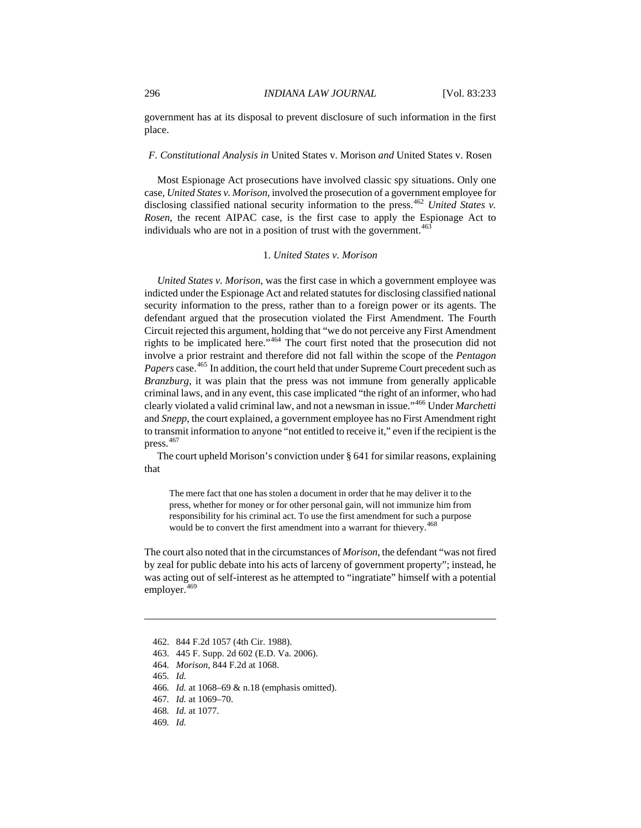### 296 *INDIANA LAW JOURNAL* [Vol. 83:233

government has at its disposal to prevent disclosure of such information in the first place.

## *F. Constitutional Analysis in* United States v. Morison *and* United States v. Rosen

Most Espionage Act prosecutions have involved classic spy situations. Only one case, *United States v. Morison*, involved the prosecution of a government employee for disclosing classified national security information to the press.<sup>[462](#page-64-0)</sup> *United States v. Rosen*, the recent AIPAC case, is the first case to apply the Espionage Act to individuals who are not in a position of trust with the government. $463$ 

#### 1. *United States v. Morison*

*United States v. Morison*, was the first case in which a government employee was indicted under the Espionage Act and related statutes for disclosing classified national security information to the press, rather than to a foreign power or its agents. The defendant argued that the prosecution violated the First Amendment. The Fourth Circuit rejected this argument, holding that "we do not perceive any First Amendment rights to be implicated here."[464](#page-64-2) The court first noted that the prosecution did not involve a prior restraint and therefore did not fall within the scope of the *Pentagon*  Papers case.<sup>[465](#page-64-3)</sup> In addition, the court held that under Supreme Court precedent such as *Branzburg*, it was plain that the press was not immune from generally applicable criminal laws, and in any event, this case implicated "the right of an informer, who had clearly violated a valid criminal law, and not a newsman in issue."[466](#page-64-4) Under *Marchetti* and *Snepp*, the court explained, a government employee has no First Amendment right to transmit information to anyone "not entitled to receive it," even if the recipient is the press.<sup>[467](#page-64-5)</sup>

The court upheld Morison's conviction under § 641 for similar reasons, explaining that

The mere fact that one has stolen a document in order that he may deliver it to the press, whether for money or for other personal gain, will not immunize him from responsibility for his criminal act. To use the first amendment for such a purpose would be to convert the first amendment into a warrant for thievery.<sup>[468](#page-64-6)</sup>

The court also noted that in the circumstances of *Morison*, the defendant "was not fired by zeal for public debate into his acts of larceny of government property"; instead, he was acting out of self-interest as he attempted to "ingratiate" himself with a potential employer.<sup>[469](#page-64-7)</sup>

<span id="page-64-0"></span><sup>462. 844</sup> F.2d 1057 (4th Cir. 1988).

<span id="page-64-1"></span><sup>463. 445</sup> F. Supp. 2d 602 (E.D. Va. 2006).

<span id="page-64-2"></span><sup>464</sup>*. Morison*, 844 F.2d at 1068.

<span id="page-64-3"></span><sup>465</sup>*. Id.*

<span id="page-64-4"></span><sup>466</sup>*. Id.* at 1068–69 & n.18 (emphasis omitted).

<span id="page-64-5"></span><sup>467</sup>*. Id.* at 1069–70.

<span id="page-64-6"></span><sup>468</sup>*. Id.* at 1077.

<span id="page-64-7"></span><sup>469</sup>*. Id.*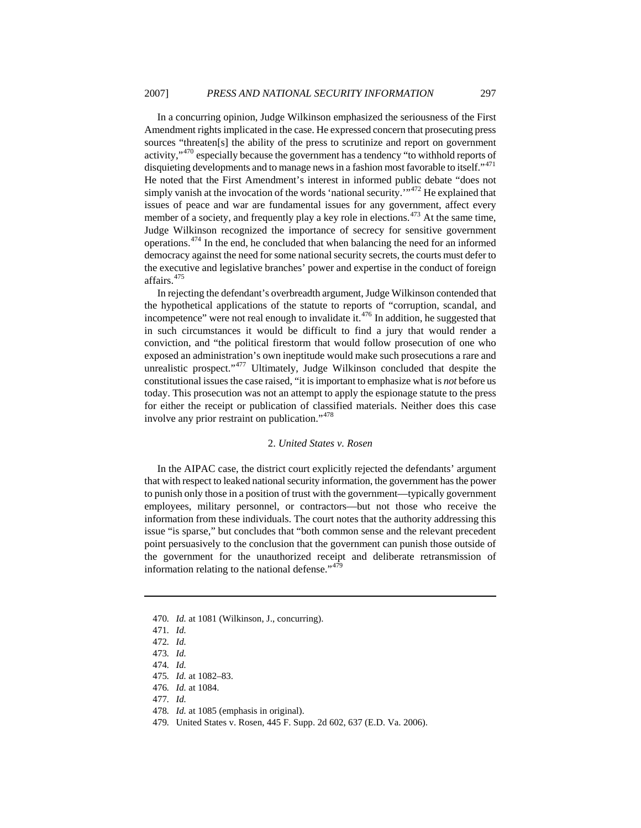In a concurring opinion, Judge Wilkinson emphasized the seriousness of the First Amendment rights implicated in the case. He expressed concern that prosecuting press sources "threaten[s] the ability of the press to scrutinize and report on government activity,"<sup>[470](#page-65-0)</sup> especially because the government has a tendency "to withhold reports of disquieting developments and to manage news in a fashion most favorable to itself."<sup>[471](#page-65-1)</sup> He noted that the First Amendment's interest in informed public debate "does not simply vanish at the invocation of the words 'national security."<sup>[472](#page-65-2)</sup> He explained that issues of peace and war are fundamental issues for any government, affect every member of a society, and frequently play a key role in elections.<sup> $473$ </sup> At the same time, Judge Wilkinson recognized the importance of secrecy for sensitive government operations.[474](#page-65-4) In the end, he concluded that when balancing the need for an informed democracy against the need for some national security secrets, the courts must defer to the executive and legislative branches' power and expertise in the conduct of foreign affairs.<sup>[475](#page-65-5)</sup>

In rejecting the defendant's overbreadth argument, Judge Wilkinson contended that the hypothetical applications of the statute to reports of "corruption, scandal, and incompetence" were not real enough to invalidate it. $476$  In addition, he suggested that in such circumstances it would be difficult to find a jury that would render a conviction, and "the political firestorm that would follow prosecution of one who exposed an administration's own ineptitude would make such prosecutions a rare and unrealistic prospect."<sup>[477](#page-65-7)</sup> Ultimately, Judge Wilkinson concluded that despite the constitutional issues the case raised, "it is important to emphasize what is *not* before us today. This prosecution was not an attempt to apply the espionage statute to the press for either the receipt or publication of classified materials. Neither does this case involve any prior restraint on publication."[478](#page-65-8)

#### 2. *United States v. Rosen*

In the AIPAC case, the district court explicitly rejected the defendants' argument that with respect to leaked national security information, the government has the power to punish only those in a position of trust with the government—typically government employees, military personnel, or contractors—but not those who receive the information from these individuals. The court notes that the authority addressing this issue "is sparse," but concludes that "both common sense and the relevant precedent point persuasively to the conclusion that the government can punish those outside of the government for the unauthorized receipt and deliberate retransmission of information relating to the national defense."<sup>[479](#page-65-9)</sup>

<span id="page-65-1"></span><span id="page-65-0"></span><sup>470</sup>*. Id.* at 1081 (Wilkinson, J., concurring).

<sup>471</sup>*. Id.*

<span id="page-65-2"></span><sup>472</sup>*. Id.*

<span id="page-65-3"></span><sup>473</sup>*. Id.*

<span id="page-65-4"></span><sup>474</sup>*. Id.*

<span id="page-65-5"></span><sup>475</sup>*. Id.* at 1082–83.

<span id="page-65-6"></span><sup>476</sup>*. Id.* at 1084.

<span id="page-65-7"></span><sup>477</sup>*. Id.*

<span id="page-65-8"></span><sup>478</sup>*. Id.* at 1085 (emphasis in original).

<span id="page-65-9"></span><sup>479</sup>*.* United States v. Rosen, 445 F. Supp. 2d 602, 637 (E.D. Va. 2006).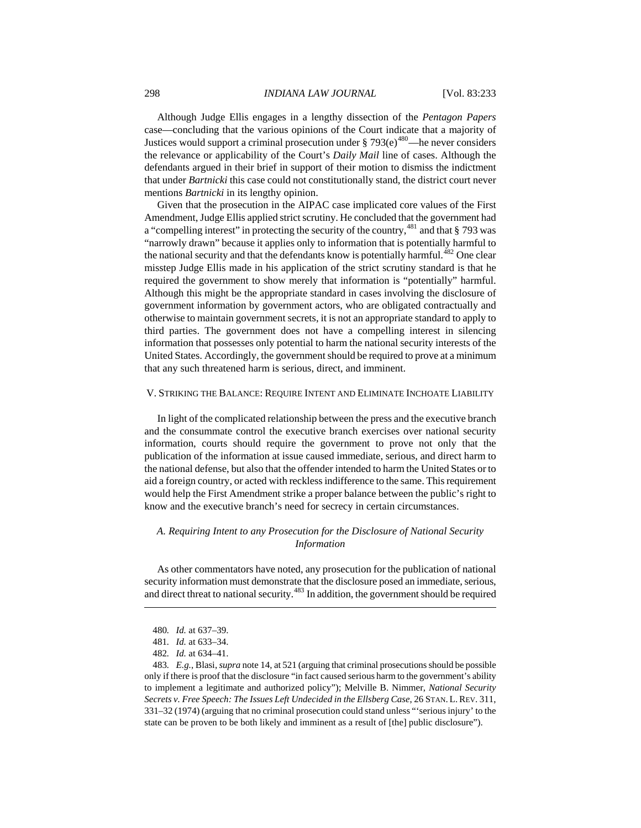298 *INDIANA LAW JOURNAL* [Vol. 83:233

Although Judge Ellis engages in a lengthy dissection of the *Pentagon Papers* case—concluding that the various opinions of the Court indicate that a majority of Justices would support a criminal prosecution under  $\S 793(e)^{480}$  $\S 793(e)^{480}$  $\S 793(e)^{480}$ —he never considers the relevance or applicability of the Court's *Daily Mail* line of cases. Although the defendants argued in their brief in support of their motion to dismiss the indictment that under *Bartnicki* this case could not constitutionally stand, the district court never mentions *Bartnicki* in its lengthy opinion.

Given that the prosecution in the AIPAC case implicated core values of the First Amendment, Judge Ellis applied strict scrutiny. He concluded that the government had a "compelling interest" in protecting the security of the country,<sup>[481](#page-66-1)</sup> and that § 793 was "narrowly drawn" because it applies only to information that is potentially harmful to the national security and that the defendants know is potentially harmful.<sup>[482](#page-66-2)</sup> One clear misstep Judge Ellis made in his application of the strict scrutiny standard is that he required the government to show merely that information is "potentially" harmful. Although this might be the appropriate standard in cases involving the disclosure of government information by government actors, who are obligated contractually and otherwise to maintain government secrets, it is not an appropriate standard to apply to third parties. The government does not have a compelling interest in silencing information that possesses only potential to harm the national security interests of the United States. Accordingly, the government should be required to prove at a minimum that any such threatened harm is serious, direct, and imminent.

### V. STRIKING THE BALANCE: REQUIRE INTENT AND ELIMINATE INCHOATE LIABILITY

In light of the complicated relationship between the press and the executive branch and the consummate control the executive branch exercises over national security information, courts should require the government to prove not only that the publication of the information at issue caused immediate, serious, and direct harm to the national defense, but also that the offender intended to harm the United States or to aid a foreign country, or acted with reckless indifference to the same. This requirement would help the First Amendment strike a proper balance between the public's right to know and the executive branch's need for secrecy in certain circumstances.

# *A. Requiring Intent to any Prosecution for the Disclosure of National Security Information*

As other commentators have noted, any prosecution for the publication of national security information must demonstrate that the disclosure posed an immediate, serious, and direct threat to national security.<sup> $483$ </sup> In addition, the government should be required

<sup>480</sup>*. Id.* at 637–39.

<sup>481</sup>*. Id.* at 633–34.

<sup>482</sup>*. Id.* at 634–41.

<span id="page-66-3"></span><span id="page-66-2"></span><span id="page-66-1"></span><span id="page-66-0"></span><sup>483</sup>*. E.g.*, Blasi, *supra* note 14, at 521 (arguing that criminal prosecutions should be possible only if there is proof that the disclosure "in fact caused serious harm to the government's ability to implement a legitimate and authorized policy"); Melville B. Nimmer, *National Security Secrets v. Free Speech: The Issues Left Undecided in the Ellsberg Case*, 26 STAN. L.REV. 311, 331–32 (1974) (arguing that no criminal prosecution could stand unless "'serious injury' to the state can be proven to be both likely and imminent as a result of [the] public disclosure").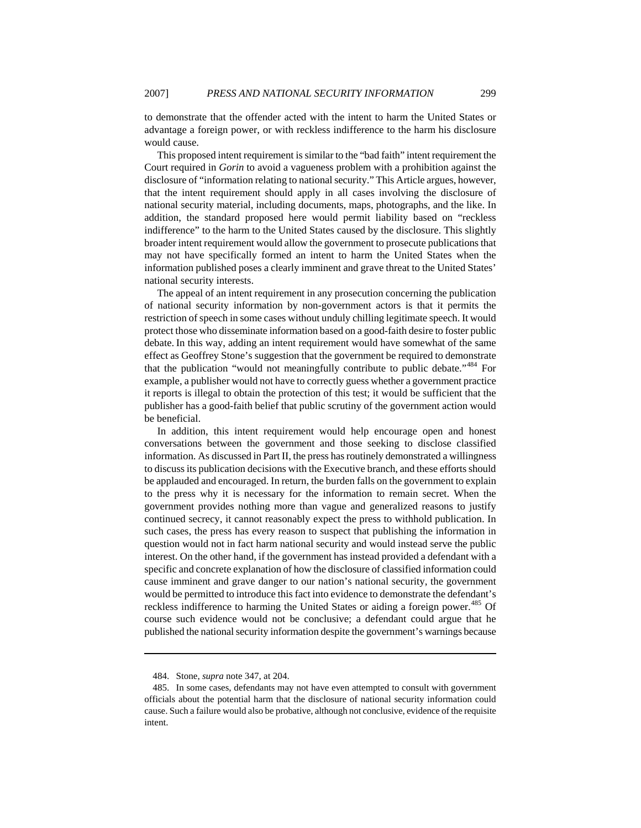to demonstrate that the offender acted with the intent to harm the United States or advantage a foreign power, or with reckless indifference to the harm his disclosure would cause.

This proposed intent requirement is similar to the "bad faith" intent requirement the Court required in *Gorin* to avoid a vagueness problem with a prohibition against the disclosure of "information relating to national security." This Article argues, however, that the intent requirement should apply in all cases involving the disclosure of national security material, including documents, maps, photographs, and the like. In addition, the standard proposed here would permit liability based on "reckless indifference" to the harm to the United States caused by the disclosure. This slightly broader intent requirement would allow the government to prosecute publications that may not have specifically formed an intent to harm the United States when the information published poses a clearly imminent and grave threat to the United States' national security interests.

The appeal of an intent requirement in any prosecution concerning the publication of national security information by non-government actors is that it permits the restriction of speech in some cases without unduly chilling legitimate speech. It would protect those who disseminate information based on a good-faith desire to foster public debate. In this way, adding an intent requirement would have somewhat of the same effect as Geoffrey Stone's suggestion that the government be required to demonstrate that the publication "would not meaningfully contribute to public debate."<sup>[484](#page-67-0)</sup> For example, a publisher would not have to correctly guess whether a government practice it reports is illegal to obtain the protection of this test; it would be sufficient that the publisher has a good-faith belief that public scrutiny of the government action would be beneficial.

In addition, this intent requirement would help encourage open and honest conversations between the government and those seeking to disclose classified information. As discussed in Part II, the press has routinely demonstrated a willingness to discuss its publication decisions with the Executive branch, and these efforts should be applauded and encouraged. In return, the burden falls on the government to explain to the press why it is necessary for the information to remain secret. When the government provides nothing more than vague and generalized reasons to justify continued secrecy, it cannot reasonably expect the press to withhold publication. In such cases, the press has every reason to suspect that publishing the information in question would not in fact harm national security and would instead serve the public interest. On the other hand, if the government has instead provided a defendant with a specific and concrete explanation of how the disclosure of classified information could cause imminent and grave danger to our nation's national security, the government would be permitted to introduce this fact into evidence to demonstrate the defendant's reckless indifference to harming the United States or aiding a foreign power.<sup>[485](#page-67-1)</sup> Of course such evidence would not be conclusive; a defendant could argue that he published the national security information despite the government's warnings because

<sup>484.</sup> Stone, *supra* note 347, at 204.

<span id="page-67-1"></span><span id="page-67-0"></span><sup>485.</sup> In some cases, defendants may not have even attempted to consult with government officials about the potential harm that the disclosure of national security information could cause. Such a failure would also be probative, although not conclusive, evidence of the requisite intent.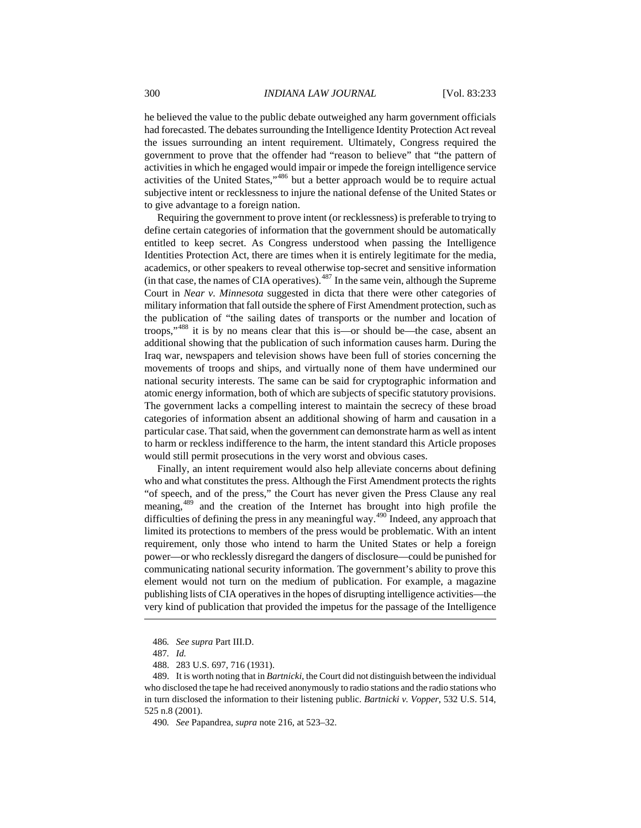he believed the value to the public debate outweighed any harm government officials had forecasted. The debates surrounding the Intelligence Identity Protection Act reveal the issues surrounding an intent requirement. Ultimately, Congress required the government to prove that the offender had "reason to believe" that "the pattern of activities in which he engaged would impair or impede the foreign intelligence service activities of the United States,"[486](#page-68-0) but a better approach would be to require actual subjective intent or recklessness to injure the national defense of the United States or to give advantage to a foreign nation.

Requiring the government to prove intent (or recklessness) is preferable to trying to define certain categories of information that the government should be automatically entitled to keep secret. As Congress understood when passing the Intelligence Identities Protection Act, there are times when it is entirely legitimate for the media, academics, or other speakers to reveal otherwise top-secret and sensitive information (in that case, the names of CIA operatives). $487$  In the same vein, although the Supreme Court in *Near v. Minnesota* suggested in dicta that there were other categories of military information that fall outside the sphere of First Amendment protection, such as the publication of "the sailing dates of transports or the number and location of troops,"[488](#page-68-2) it is by no means clear that this is—or should be—the case, absent an additional showing that the publication of such information causes harm. During the Iraq war, newspapers and television shows have been full of stories concerning the movements of troops and ships, and virtually none of them have undermined our national security interests. The same can be said for cryptographic information and atomic energy information, both of which are subjects of specific statutory provisions. The government lacks a compelling interest to maintain the secrecy of these broad categories of information absent an additional showing of harm and causation in a particular case. That said, when the government can demonstrate harm as well as intent to harm or reckless indifference to the harm, the intent standard this Article proposes would still permit prosecutions in the very worst and obvious cases.

 $\overline{a}$ Finally, an intent requirement would also help alleviate concerns about defining who and what constitutes the press. Although the First Amendment protects the rights "of speech, and of the press," the Court has never given the Press Clause any real meaning,[489](#page-68-3) and the creation of the Internet has brought into high profile the difficulties of defining the press in any meaningful way.<sup>[490](#page-68-4)</sup> Indeed, any approach that limited its protections to members of the press would be problematic. With an intent requirement, only those who intend to harm the United States or help a foreign power—or who recklessly disregard the dangers of disclosure—could be punished for communicating national security information. The government's ability to prove this element would not turn on the medium of publication. For example, a magazine publishing lists of CIA operatives in the hopes of disrupting intelligence activities—the very kind of publication that provided the impetus for the passage of the Intelligence

<sup>486</sup>*. See supra* Part III.D.

<sup>487</sup>*. Id.*

<sup>488. 283</sup> U.S. 697, 716 (1931).

<span id="page-68-4"></span><span id="page-68-3"></span><span id="page-68-2"></span><span id="page-68-1"></span><span id="page-68-0"></span><sup>489.</sup> It is worth noting that in *Bartnicki*, the Court did not distinguish between the individual who disclosed the tape he had received anonymously to radio stations and the radio stations who in turn disclosed the information to their listening public. *Bartnicki v. Vopper*, 532 U.S. 514, 525 n.8 (2001).

<sup>490</sup>*. See* Papandrea, *supra* note 216, at 523–32.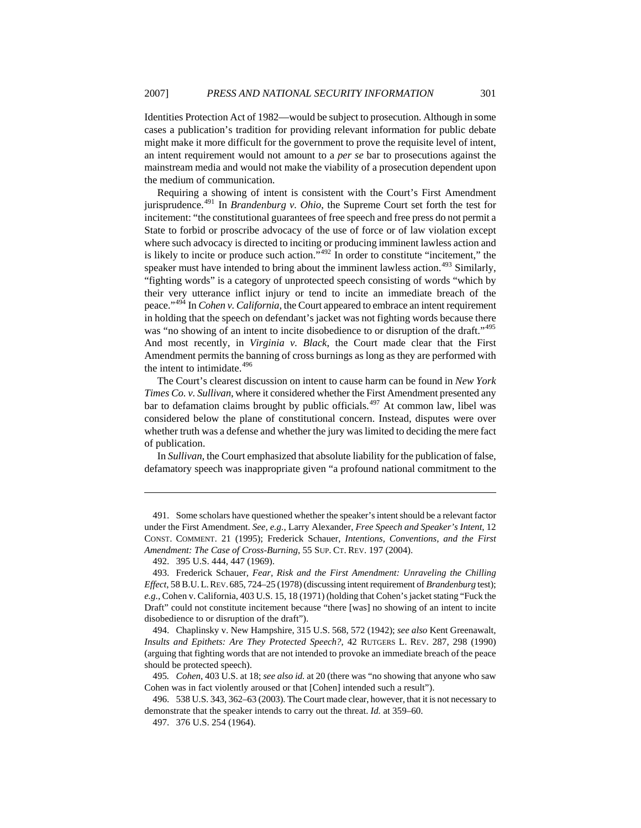Identities Protection Act of 1982—would be subject to prosecution. Although in some cases a publication's tradition for providing relevant information for public debate might make it more difficult for the government to prove the requisite level of intent, an intent requirement would not amount to a *per se* bar to prosecutions against the mainstream media and would not make the viability of a prosecution dependent upon the medium of communication.

Requiring a showing of intent is consistent with the Court's First Amendment jurisprudence.[491](#page-69-0) In *Brandenburg v. Ohio*, the Supreme Court set forth the test for incitement: "the constitutional guarantees of free speech and free press do not permit a State to forbid or proscribe advocacy of the use of force or of law violation except where such advocacy is directed to inciting or producing imminent lawless action and is likely to incite or produce such action."[492](#page-69-1) In order to constitute "incitement," the speaker must have intended to bring about the imminent lawless action.<sup>[493](#page-69-2)</sup> Similarly, "fighting words" is a category of unprotected speech consisting of words "which by their very utterance inflict injury or tend to incite an immediate breach of the peace."[494](#page-69-3) In *Cohen v. California*, the Court appeared to embrace an intent requirement in holding that the speech on defendant's jacket was not fighting words because there was "no showing of an intent to incite disobedience to or disruption of the draft."<sup>[495](#page-69-4)</sup> And most recently, in *Virginia v. Black*, the Court made clear that the First Amendment permits the banning of cross burnings as long as they are performed with the intent to intimidate.<sup>[496](#page-69-5)</sup>

The Court's clearest discussion on intent to cause harm can be found in *New York Times Co. v. Sullivan*, where it considered whether the First Amendment presented any bar to defamation claims brought by public officials.<sup>[497](#page-69-6)</sup> At common law, libel was considered below the plane of constitutional concern. Instead, disputes were over whether truth was a defense and whether the jury was limited to deciding the mere fact of publication.

In *Sullivan*, the Court emphasized that absolute liability for the publication of false, defamatory speech was inappropriate given "a profound national commitment to the

<span id="page-69-0"></span><sup>491.</sup> Some scholars have questioned whether the speaker's intent should be a relevant factor under the First Amendment. *See, e.g.*, Larry Alexander, *Free Speech and Speaker's Intent*, 12 CONST. COMMENT. 21 (1995); Frederick Schauer, *Intentions, Conventions, and the First Amendment: The Case of Cross-Burning*, 55 SUP. CT. REV. 197 (2004).

<sup>492. 395</sup> U.S. 444, 447 (1969).

<span id="page-69-2"></span><span id="page-69-1"></span><sup>493.</sup> Frederick Schauer, *Fear, Risk and the First Amendment: Unraveling the Chilling Effect*, 58 B.U.L.REV. 685, 724–25 (1978) (discussing intent requirement of *Brandenburg* test); *e.g.*, Cohen v. California, 403 U.S. 15, 18 (1971) (holding that Cohen's jacket stating "Fuck the Draft" could not constitute incitement because "there [was] no showing of an intent to incite disobedience to or disruption of the draft").

<span id="page-69-3"></span><sup>494.</sup> Chaplinsky v. New Hampshire, 315 U.S. 568, 572 (1942); *see also* Kent Greenawalt, *Insults and Epithets: Are They Protected Speech?*, 42 RUTGERS L. REV. 287, 298 (1990) (arguing that fighting words that are not intended to provoke an immediate breach of the peace should be protected speech).

<span id="page-69-4"></span><sup>495</sup>*. Cohen*, 403 U.S. at 18; *see also id.* at 20 (there was "no showing that anyone who saw Cohen was in fact violently aroused or that [Cohen] intended such a result").

<span id="page-69-6"></span><span id="page-69-5"></span><sup>496. 538</sup> U.S. 343, 362–63 (2003). The Court made clear, however, that it is not necessary to demonstrate that the speaker intends to carry out the threat. *Id.* at 359–60.

<sup>497. 376</sup> U.S. 254 (1964).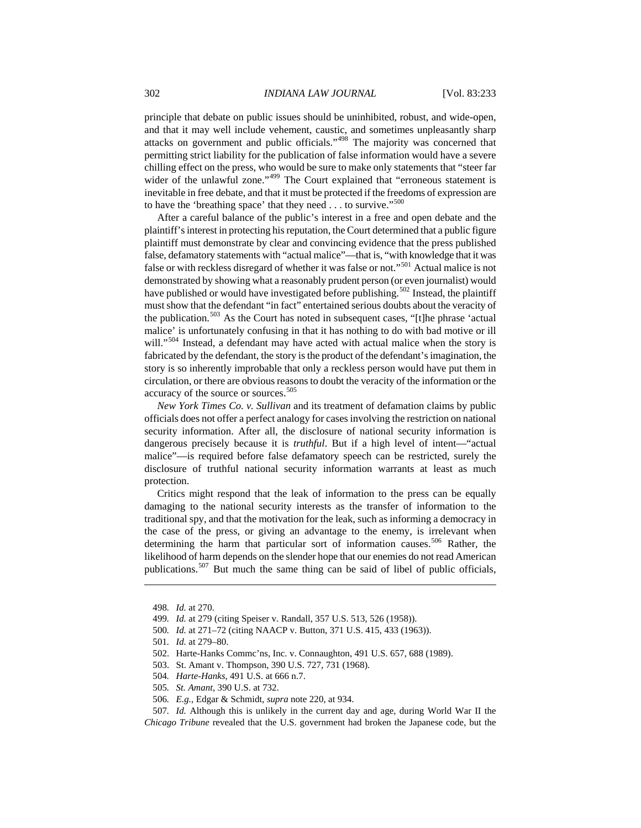principle that debate on public issues should be uninhibited, robust, and wide-open, and that it may well include vehement, caustic, and sometimes unpleasantly sharp attacks on government and public officials."[498](#page-70-0) The majority was concerned that permitting strict liability for the publication of false information would have a severe chilling effect on the press, who would be sure to make only statements that "steer far wider of the unlawful zone."<sup>[499](#page-70-1)</sup> The Court explained that "erroneous statement is inevitable in free debate, and that it must be protected if the freedoms of expression are to have the 'breathing space' that they need  $\dots$  to survive."<sup>[500](#page-70-2)</sup>

After a careful balance of the public's interest in a free and open debate and the plaintiff's interest in protecting his reputation, the Court determined that a public figure plaintiff must demonstrate by clear and convincing evidence that the press published false, defamatory statements with "actual malice"—that is, "with knowledge that it was false or with reckless disregard of whether it was false or not."<sup>[501](#page-70-3)</sup> Actual malice is not demonstrated by showing what a reasonably prudent person (or even journalist) would have published or would have investigated before publishing.<sup>502</sup> Instead, the plaintiff must show that the defendant "in fact" entertained serious doubts about the veracity of the publication.<sup>[503](#page-70-5)</sup> As the Court has noted in subsequent cases, "[t]he phrase 'actual malice' is unfortunately confusing in that it has nothing to do with bad motive or ill will."<sup>[504](#page-70-6)</sup> Instead, a defendant may have acted with actual malice when the story is fabricated by the defendant, the story is the product of the defendant's imagination, the story is so inherently improbable that only a reckless person would have put them in circulation, or there are obvious reasons to doubt the veracity of the information or the accuracy of the source or sources.<sup>505</sup>

*New York Times Co. v. Sullivan* and its treatment of defamation claims by public officials does not offer a perfect analogy for cases involving the restriction on national security information. After all, the disclosure of national security information is dangerous precisely because it is *truthful*. But if a high level of intent—"actual malice"—is required before false defamatory speech can be restricted, surely the disclosure of truthful national security information warrants at least as much protection.

Critics might respond that the leak of information to the press can be equally damaging to the national security interests as the transfer of information to the traditional spy, and that the motivation for the leak, such as informing a democracy in the case of the press, or giving an advantage to the enemy, is irrelevant when determining the harm that particular sort of information causes.<sup>[506](#page-70-8)</sup> Rather, the likelihood of harm depends on the slender hope that our enemies do not read American publications.<sup>[507](#page-70-9)</sup> But much the same thing can be said of libel of public officials,

<span id="page-70-1"></span><span id="page-70-0"></span> $\overline{a}$ 

- 503. St. Amant v. Thompson, 390 U.S. 727, 731 (1968).
- 504*. Harte-Hanks*, 491 U.S. at 666 n.7.
- 505*. St. Amant*, 390 U.S. at 732.
- 506*. E.g.*, Edgar & Schmidt, *supra* note 220, at 934.

<span id="page-70-9"></span><span id="page-70-8"></span><span id="page-70-7"></span><span id="page-70-6"></span><span id="page-70-5"></span>507*. Id.* Although this is unlikely in the current day and age, during World War II the *Chicago Tribune* revealed that the U.S. government had broken the Japanese code, but the

<sup>498</sup>*. Id.* at 270.

<sup>499</sup>*. Id.* at 279 (citing Speiser v. Randall, 357 U.S. 513, 526 (1958)).

<span id="page-70-3"></span><span id="page-70-2"></span><sup>500</sup>*. Id.* at 271–72 (citing NAACP v. Button, 371 U.S. 415, 433 (1963)).

<sup>501</sup>*. Id.* at 279–80.

<span id="page-70-4"></span><sup>502.</sup> Harte-Hanks Commc'ns, Inc. v. Connaughton, 491 U.S. 657, 688 (1989).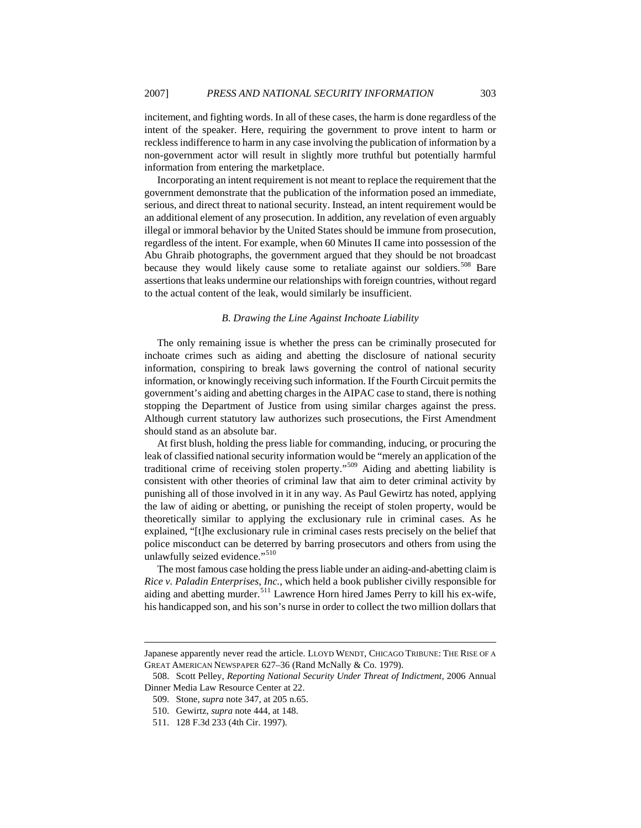incitement, and fighting words. In all of these cases, the harm is done regardless of the intent of the speaker. Here, requiring the government to prove intent to harm or reckless indifference to harm in any case involving the publication of information by a non-government actor will result in slightly more truthful but potentially harmful information from entering the marketplace.

Incorporating an intent requirement is not meant to replace the requirement that the government demonstrate that the publication of the information posed an immediate, serious, and direct threat to national security. Instead, an intent requirement would be an additional element of any prosecution. In addition, any revelation of even arguably illegal or immoral behavior by the United States should be immune from prosecution, regardless of the intent. For example, when 60 Minutes II came into possession of the Abu Ghraib photographs, the government argued that they should be not broadcast because they would likely cause some to retaliate against our soldiers.<sup>[508](#page-71-0)</sup> Bare assertions that leaks undermine our relationships with foreign countries, without regard to the actual content of the leak, would similarly be insufficient.

## *B. Drawing the Line Against Inchoate Liability*

The only remaining issue is whether the press can be criminally prosecuted for inchoate crimes such as aiding and abetting the disclosure of national security information, conspiring to break laws governing the control of national security information, or knowingly receiving such information. If the Fourth Circuit permits the government's aiding and abetting charges in the AIPAC case to stand, there is nothing stopping the Department of Justice from using similar charges against the press. Although current statutory law authorizes such prosecutions, the First Amendment should stand as an absolute bar.

At first blush, holding the press liable for commanding, inducing, or procuring the leak of classified national security information would be "merely an application of the traditional crime of receiving stolen property."[509](#page-71-1) Aiding and abetting liability is consistent with other theories of criminal law that aim to deter criminal activity by punishing all of those involved in it in any way. As Paul Gewirtz has noted, applying the law of aiding or abetting, or punishing the receipt of stolen property, would be theoretically similar to applying the exclusionary rule in criminal cases. As he explained, "[t]he exclusionary rule in criminal cases rests precisely on the belief that police misconduct can be deterred by barring prosecutors and others from using the unlawfully seized evidence."<sup>[510](#page-71-2)</sup>

The most famous case holding the press liable under an aiding-and-abetting claim is *Rice v. Paladin Enterprises, Inc.*, which held a book publisher civilly responsible for aiding and abetting murder.<sup>[511](#page-71-3)</sup> Lawrence Horn hired James Perry to kill his ex-wife. his handicapped son, and his son's nurse in order to collect the two million dollars that

Japanese apparently never read the article. LLOYD WENDT, CHICAGO TRIBUNE: THE RISE OF A GREAT AMERICAN NEWSPAPER 627–36 (Rand McNally & Co. 1979).

<span id="page-71-3"></span><span id="page-71-2"></span><span id="page-71-1"></span><span id="page-71-0"></span><sup>508.</sup> Scott Pelley, *Reporting National Security Under Threat of Indictment*, 2006 Annual Dinner Media Law Resource Center at 22.

<sup>509.</sup> Stone, *supra* note 347, at 205 n.65.

<sup>510.</sup> Gewirtz, *supra* note 444, at 148.

<sup>511. 128</sup> F.3d 233 (4th Cir. 1997).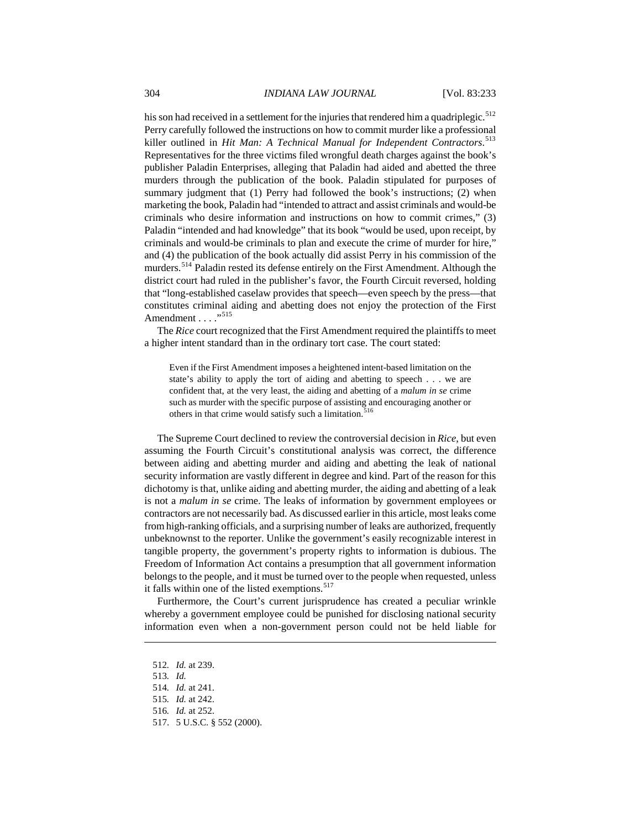his son had received in a settlement for the injuries that rendered him a quadriplegic.<sup>[512](#page-72-0)</sup> Perry carefully followed the instructions on how to commit murder like a professional killer outlined in *Hit Man: A Technical Manual for Independent Contractors*. [513](#page-72-1) Representatives for the three victims filed wrongful death charges against the book's publisher Paladin Enterprises, alleging that Paladin had aided and abetted the three murders through the publication of the book. Paladin stipulated for purposes of summary judgment that (1) Perry had followed the book's instructions; (2) when marketing the book, Paladin had "intended to attract and assist criminals and would-be criminals who desire information and instructions on how to commit crimes," (3) Paladin "intended and had knowledge" that its book "would be used, upon receipt, by criminals and would-be criminals to plan and execute the crime of murder for hire," and (4) the publication of the book actually did assist Perry in his commission of the murders.<sup>[514](#page-72-2)</sup> Paladin rested its defense entirely on the First Amendment. Although the district court had ruled in the publisher's favor, the Fourth Circuit reversed, holding that "long-established caselaw provides that speech—even speech by the press—that constitutes criminal aiding and abetting does not enjoy the protection of the First Amendment . . . . "<sup>[515](#page-72-3)</sup>

The *Rice* court recognized that the First Amendment required the plaintiffs to meet a higher intent standard than in the ordinary tort case. The court stated:

Even if the First Amendment imposes a heightened intent-based limitation on the state's ability to apply the tort of aiding and abetting to speech . . . we are confident that, at the very least, the aiding and abetting of a *malum in se* crime such as murder with the specific purpose of assisting and encouraging another or others in that crime would satisfy such a limitation.<sup>5</sup>

The Supreme Court declined to review the controversial decision in *Rice*, but even assuming the Fourth Circuit's constitutional analysis was correct, the difference between aiding and abetting murder and aiding and abetting the leak of national security information are vastly different in degree and kind. Part of the reason for this dichotomy is that, unlike aiding and abetting murder, the aiding and abetting of a leak is not a *malum in se* crime. The leaks of information by government employees or contractors are not necessarily bad. As discussed earlier in this article, most leaks come from high-ranking officials, and a surprising number of leaks are authorized, frequently unbeknownst to the reporter. Unlike the government's easily recognizable interest in tangible property, the government's property rights to information is dubious. The Freedom of Information Act contains a presumption that all government information belongs to the people, and it must be turned over to the people when requested, unless it falls within one of the listed exemptions.<sup>[517](#page-72-5)</sup>

Furthermore, the Court's current jurisprudence has created a peculiar wrinkle whereby a government employee could be punished for disclosing national security information even when a non-government person could not be held liable for

<span id="page-72-1"></span><span id="page-72-0"></span> $\overline{a}$ 

<sup>512</sup>*. Id.* at 239.

<sup>513</sup>*. Id.*

<span id="page-72-2"></span><sup>514</sup>*. Id.* at 241.

<span id="page-72-3"></span><sup>515</sup>*. Id.* at 242.

<span id="page-72-4"></span><sup>516</sup>*. Id.* at 252.

<span id="page-72-5"></span><sup>517. 5</sup> U.S.C. § 552 (2000).